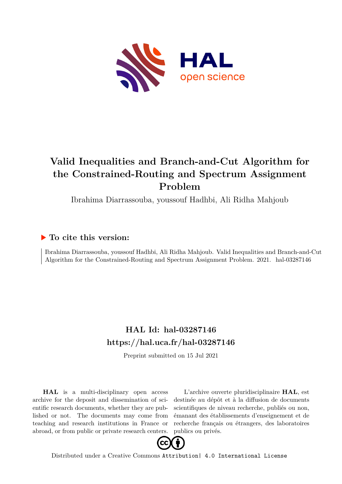

# **Valid Inequalities and Branch-and-Cut Algorithm for the Constrained-Routing and Spectrum Assignment Problem**

Ibrahima Diarrassouba, youssouf Hadhbi, Ali Ridha Mahjoub

## **To cite this version:**

Ibrahima Diarrassouba, youssouf Hadhbi, Ali Ridha Mahjoub. Valid Inequalities and Branch-and-Cut Algorithm for the Constrained-Routing and Spectrum Assignment Problem. 2021. hal-03287146

# **HAL Id: hal-03287146 <https://hal.uca.fr/hal-03287146>**

Preprint submitted on 15 Jul 2021

**HAL** is a multi-disciplinary open access archive for the deposit and dissemination of scientific research documents, whether they are published or not. The documents may come from teaching and research institutions in France or abroad, or from public or private research centers.

L'archive ouverte pluridisciplinaire **HAL**, est destinée au dépôt et à la diffusion de documents scientifiques de niveau recherche, publiés ou non, émanant des établissements d'enseignement et de recherche français ou étrangers, des laboratoires publics ou privés.



Distributed under a Creative Commons [Attribution| 4.0 International License](http://creativecommons.org/licenses/by/4.0/)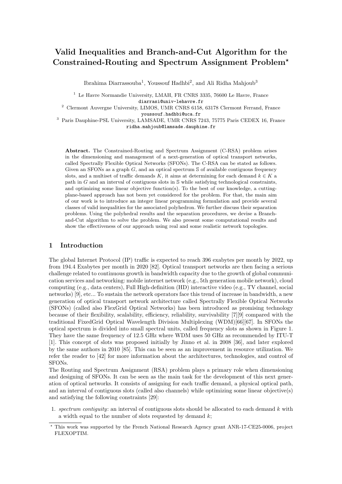## Valid Inequalities and Branch-and-Cut Algorithm for the Constrained-Routing and Spectrum Assignment Problem?

Ibrahima Diarrassouba<sup>1</sup>, Youssouf Hadhbi<sup>2</sup>, and Ali Ridha Mahjoub<sup>3</sup>

 $1$  Le Havre Normandie University, LMAH, FR CNRS 3335, 76600 Le Havre, France diarrasi@univ-lehavre.fr

<sup>2</sup> Clermont Auvergne University, LIMOS, UMR CNRS 6158, 63178 Clermont Ferrand, France youssouf.hadhbi@uca.fr

<sup>3</sup> Paris Dauphine-PSL University, LAMSADE, UMR CNRS 7243, 75775 Paris CEDEX 16, France ridha.mahjoub@lamsade.dauphine.fr

Abstract. The Constrained-Routing and Spectrum Assignment (C-RSA) problem arises in the dimensioning and management of a next-generation of optical transport networks, called Spectrally Flexible Optical Networks (SFONs). The C-RSA can be stated as follows. Given an SFONs as a graph  $G$ , and an optical spectrum  $\mathcal S$  of available contiguous frequency slots, and a multiset of traffic demands K, it aims at determining for each demand  $k \in K$  a path in  $G$  and an interval of contiguous slots in  $\mathcal S$  while satisfying technological constraints, and optimizing some linear objective function(s). To the best of our knowledge, a cuttingplane-based approach has not been yet considered for the problem. For that, the main aim of our work is to introduce an integer linear programming formulation and provide several classes of valid inequalities for the associated polyhedron. We further discuss their separation problems. Using the polyhedral results and the separation procedures, we devise a Branchand-Cut algorithm to solve the problem. We also present some computational results and show the effectiveness of our approach using real and some realistic network topologies.

### 1 Introduction

The global Internet Protocol (IP) traffic is expected to reach 396 exabytes per month by 2022, up from 194.4 Exabytes per month in 2020 [82]. Optical transport networks are then facing a serious challenge related to continuous growth in bandwidth capacity due to the growth of global communication services and networking: mobile internet network (e.g., 5th generation mobile network), cloud computing (e.g., data centers), Full High-definition (HD) interactive video (e.g., TV channel, social networks) [9], etc... To sustain the network operators face this trend of increase in bandwidth, a new generation of optical transport network architecture called Spectrally Flexible Optical Networks (SFONs) (called also FlexGrid Optical Networks) has been introduced as promising technology because of their flexibility, scalability, efficiency, reliability, survivability [7][9] compared with the traditional FixedGrid Optical Wavelength Division Multiplexing (WDM)[66][67]. In SFONs the optical spectrum is divided into small spectral units, called frequency slots as shown in Figure 1. They have the same frequency of 12.5 GHz where WDM uses 50 GHz as recommended by ITU-T [1]. This concept of slots was proposed initially by Jinno et al. in 2008 [36], and later explored by the same authors in 2010 [85]. This can be seen as an improvement in resource utilization. We refer the reader to [42] for more information about the architectures, technologies, and control of SFONs.

The Routing and Spectrum Assignment (RSA) problem plays a primary role when dimensioning and designing of SFONs. It can be seen as the main task for the development of this next generation of optical networks. It consists of assigning for each traffic demand, a physical optical path, and an interval of contiguous slots (called also channels) while optimizing some linear objective(s) and satisfying the following constraints [29]:

1. spectrum contiguity: an interval of contiguous slots should be allocated to each demand  $k$  with a width equal to the number of slots requested by demand  $k$ ;

<sup>?</sup> This work was supported by the French National Research Agency grant ANR-17-CE25-0006, project FLEXOPTIM.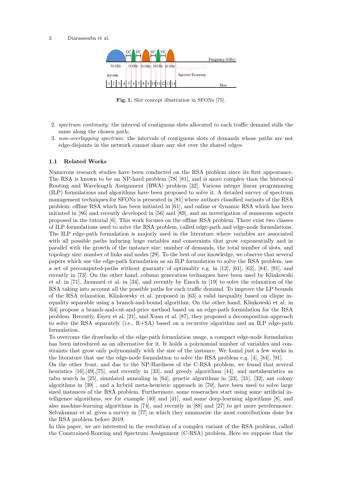

Fig. 1. Slot concept illustration in SFONs [75].

- 2. spectrum continuity: the interval of contiguous slots allocated to each traffic demand stills the same along the chosen path;
- 3. non-overlapping spectrum: the intervals of contiguous slots of demands whose paths are not edge-disjoints in the network cannot share any slot over the shared edges.

### 1.1 Related Works

Numerous research studies have been conducted on the RSA problem since its first appearance. The RSA is known to be an NP-hard problem [78] [81], and is more complex than the historical Routing and Wavelength Assignment (RWA) problem [32]. Various integer linear programming (ILP) formulations and algorithms have been proposed to solve it. A detailed survey of spectrum management techniques for SFONs is presented in [81] where authors classified variants of the RSA problem: offline RSA which has been initiated in [61], and online or dynamic RSA which has been initiated in [86] and recently developed in [56] and [89], and an investigation of numerous aspects proposed in the tutorial [6]. This work focuses on the offline RSA problem. There exist two classes of ILP formulations used to solve the RSA problem, called edge-path and edge-node formulations. The ILP edge-path formulation is majorly used in the literature where variables are associated with all possible paths inducing huge variables and constraints that grow exponentially and in parallel with the growth of the instance size: number of demands, the total number of slots, and topology size: number of links and nodes [29]. To the best of our knowledge, we observe that several papers which use the edge-path formulation as an ILP formulation to solve the RSA problem, use a set of precomputed-paths without guaranty of optimality e.g. in [12], [61], [62], [84], [91], and recently in [73]. On the other hand, column generation techniques have been used by Klinkowski et al. in [71], Jaumard et al. in [34], and recently by Enoch in [19] to solve the relaxation of the RSA taking into account all the possible paths for each traffic demand. To improve the LP bounds of the RSA relaxation, Klinkowsky et al. proposed in [63] a valid inequality based on clique inequality separable using a branch-and-bound algorithm. On the other hand, Klinkowski et al. in [64] propose a branch-and-cut-and-price method based on an edge-path formulation for the RSA problem. Recently, Fayez et al. [21], and Xuan et al. [87], they proposed a decomposition approach to solve the RSA separately (i.e.,  $R+SA$ ) based on a recursive algorithm and an ILP edge-path formulation.

To overcome the drawbacks of the edge-path formulation usage, a compact edge-node formulation has been introduced as an alternative for it. It holds a polynomial number of variables and constraints that grow only polynomially with the size of the instance. We found just a few works in the literature that use the edge-node formulation to solve the RSA problem e.g. [4], [84], [91].

On the other front, and due to the NP-Hardness of the C-RSA problem, we found that several heuristics [16], [49], [75], and recently in [33], and greedy algorithms [44], and metaheuristics as tabu search in [25], simulated annealing in [64], genetic algorithms in [23], [31], [32], ant colony algorithms in [39] , and a hybrid meta-heuristic approach in [70], have been used to solve large sized instances of the RSA problem. Furthermore, some resseraches start using some artificial intelligence algorithms, see for example [40] and [41], and some deep-learning algorithms [8], and also machine-learning algorithms in [74], and recently in [88] and [27] to get more perefermonce. Selvakumar et al. gives a survey in [77] in which they summarise the most contributions done for the RSA problem before 2019.

In this paper, we are interested in the resolution of a complex variant of the RSA problem, called the Constrained-Routing and Spectrum Assignment (C-RSA) problem. Here we suppose that the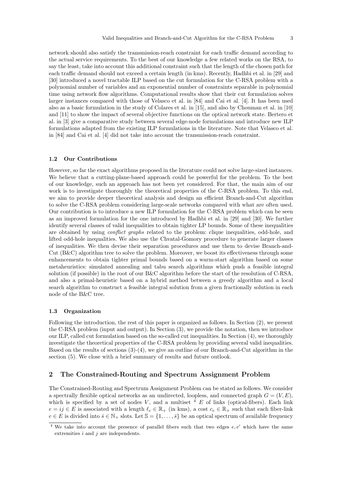network should also satisfy the transmission-reach constraint for each traffic demand according to the actual service requirements. To the best of our knowledge a few related works on the RSA, to say the least, take into account this additional constraint such that the length of the chosen path for each traffic demand should not exceed a certain length (in kms). Recently, Hadhbi et al. in [29] and [30] introduced a novel tractable ILP based on the cut formulation for the C-RSA problem with a polynomial number of variables and an exponential number of constraints separable in polynomial time using network flow algorithms. Computational results show that their cut formulation solves larger instances compared with those of Velasco et al. in [84] and Cai et al. [4]. It has been used also as a basic formulation in the study of Colares et al. in [15], and also by Chouman et al. in [10] and [11] to show the impact of several objective functions on the optical network state. Bertero et al. in [3] give a comparative study between several edge-node formulations and introduce new ILP formulations adapted from the existing ILP formulations in the literature. Note that Velasco et al. in [84] and Cai et al. [4] did not take into account the transmission-reach constraint.

### 1.2 Our Contributions

However, so far the exact algorithms proposed in the literature could not solve large-sized instances. We believe that a cutting-plane-based approach could be powerful for the problem. To the best of our knowledge, such an approach has not been yet considered. For that, the main aim of our work is to investigate thoroughly the theoretical properties of the C-RSA problem. To this end, we aim to provide deeper theoretical analysis and design an efficient Branch-and-Cut algorithm to solve the C-RSA problem considering large-scale networks compared with what are often used. Our contribution is to introduce a new ILP formulation for the C-RSA problem which can be seen as an improved formulation for the one introduced by Hadhbi et al. in [29] and [30]. We further identify several classes of valid inequalities to obtain tighter LP bounds. Some of these inequalities are obtained by using *conflict graphs* related to the problem: clique inequalities, odd-hole, and lifted odd-hole inequalities. We also use the Chvatal-Gomory procedure to generate larger classes of inequalities. We then devise their separation procedures and use them to devise Branch-and-Cut (B&C) algorithm tree to solve the problem. Moreover, we boost its effectiveness through some enhancements to obtain tighter primal bounds based on a warm-start algorithm based on some metaheuristics: simulated annealing and tabu search algorithms which push a feasible integral solution (if possible) in the root of our B&C algorithm before the start of the resolution of C-RSA, and also a primal-heuristic based on a hybrid method between a greedy algorithm and a local search algorithm to construct a feasible integral solution from a given fractionally solution in each node of the B&C tree.

### 1.3 Organization

Following the introduction, the rest of this paper is organized as follows. In Section (2), we present the C-RSA problem (input and output). In Section (3), we provide the notation, then we introduce our ILP, called cut formulation based on the so-called cut inequalities. In Section (4), we thoroughly investigate the theoretical properties of the C-RSA problem by providing several valid inequalities. Based on the results of sections (3)-(4), we give an outline of our Branch-and-Cut algorithm in the section (5). We close with a brief summary of results and future outlook.

### 2 The Constrained-Routing and Spectrum Assignment Problem

The Constrained-Routing and Spectrum Assignment Problem can be stated as follows. We consider a spectrally flexible optical networks as an undirected, loopless, and connected graph  $G = (V, E)$ , which is specified by a set of nodes V, and a multiset  $\frac{4}{3}$  E of links (optical-fibers). Each link  $e = ij \in E$  is associated with a length  $\ell_e \in \mathbb{R}_+$  (in kms), a cost  $c_e \in \mathbb{R}_+$  such that each fiber-link  $e \in E$  is divided into  $\bar{s} \in \mathbb{N}_+$  slots. Let  $\mathbb{S} = \{1, \ldots, \bar{s}\}$  be an optical spectrum of available frequency

<sup>&</sup>lt;sup>4</sup> We take into account the presence of parallel fibers such that two edges  $e, e'$  which have the same extremities  $i$  and  $j$  are independents.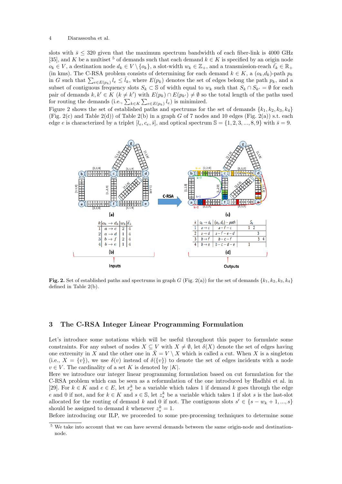slots with  $\bar{s} \leq 320$  given that the maximum spectrum bandwidth of each fiber-link is 4000 GHz [35], and K be a multiset <sup>5</sup> of demands such that each demand  $k \in K$  is specified by an origin node  $o_k \in V$ , a destination node  $d_k \in V \setminus \{o_k\}$ , a slot-width  $w_k \in \mathbb{Z}_+$ , and a transmission-reach  $\bar{\ell}_k \in \mathbb{R}_+$ (in kms). The C-RSA problem consists of determining for each demand  $k \in K$ , a  $(o_k, d_k)$ -path  $p_k$ in G such that  $\sum_{e \in E(p_k)} l_e \leq \bar{l}_k$ , where  $E(p_k)$  denotes the set of edges belong the path  $p_k$ , and a subset of contiguous frequency slots  $S_k \subset \mathbb{S}$  of width equal to  $w_k$  such that  $S_k \cap S_{k'} = \emptyset$  for each pair of demands  $k, k' \in K$   $(k \neq k')$  with  $E(p_k) \cap E(p_{k'}) \neq \emptyset$  so the total length of the paths used for routing the demands (i.e.,  $\sum_{k \in K} \sum_{e \in E(p_k)} l_e$ ) is minimized.

Figure 2 shows the set of established paths and spectrums for the set of demands  $\{k_1, k_2, k_3, k_4\}$ (Fig. 2(c) and Table 2(d)) of Table 2(b) in a graph G of 7 nodes and 10 edges (Fig. 2(a)) s.t. each edge e is characterized by a triplet  $[l_e, c_e, \bar{s}]$ , and optical spectrum  $\mathbb{S} = \{1, 2, 3, ..., 8, 9\}$  with  $\bar{s} = 9$ .



Fig. 2. Set of established paths and spectrums in graph G (Fig. 2(a)) for the set of demands  $\{k_1, k_2, k_3, k_4\}$ defined in Table 2(b).

### 3 The C-RSA Integer Linear Programming Formulation

Let's introduce some notations which will be useful throughout this paper to formulate some constraints. For any subset of nodes  $X \subseteq V$  with  $X \neq \emptyset$ , let  $\delta(X)$  denote the set of edges having one extremity in X and the other one in  $\bar{X} = V \setminus X$  which is called a cut. When X is a singleton (i.e.,  $X = \{v\}$ ), we use  $\delta(v)$  instead of  $\delta({v})$  to denote the set of edges incidents with a node  $v \in V$ . The cardinality of a set K is denoted by |K|.

Here we introduce our integer linear programming formulation based on cut formulation for the C-RSA problem which can be seen as a reformulation of the one introduced by Hadhbi et al. in [29]. For  $k \in K$  and  $e \in E$ , let  $x_e^k$  be a variable which takes 1 if demand k goes through the edge e and 0 if not, and for  $k \in K$  and  $s \in \mathbb{S}$ , let  $z_s^k$  be a variable which takes 1 if slot s is the last-slot allocated for the routing of demand k and 0 if not. The contiguous slots  $s' \in \{s - w_k + 1, ..., s\}$ should be assigned to demand k whenever  $z_s^k = 1$ .

Before introducing our ILP, we proceeded to some pre-processing techniques to determine some

<sup>&</sup>lt;sup>5</sup> We take into account that we can have several demands between the same origin-node and destinationnode.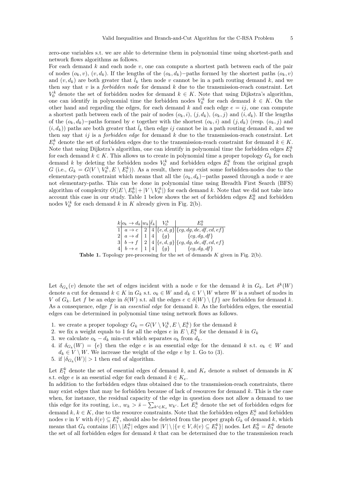zero-one variables s.t. we are able to determine them in polynomial time using shortest-path and network flows algorithms as follows.

For each demand  $k$  and each node  $v$ , one can compute a shortest path between each of the pair of nodes  $(o_k, v)$ ,  $(v, d_k)$ . If the lengths of the  $(o_k, d_k)$ −paths formed by the shortest paths  $(o_k, v)$ and  $(v, d_k)$  are both greater that  $\overline{l}_k$  then node v cannot be in a path routing demand k, and we then say that  $v$  is a *forbidden node* for demand  $k$  due to the transmission-reach constraint. Let  $V_0^k$  denote the set of forbidden nodes for demand  $k \in K$ . Note that using Dijkstra's algorithm, one can identify in polynomial time the forbidden nodes  $V_0^k$  for each demand  $k \in K$ . On the other hand and regarding the edges, for each demand k and each edge  $e = i j$ , one can compute a shortest path between each of the pair of nodes  $(o_k, i)$ ,  $(j, d_k)$ ,  $(o_k, j)$  and  $(i, d_k)$ . If the lengths of the  $(o_k, d_k)$ –paths formed by e together with the shortest  $(o_k, i)$  and  $(j, d_k)$  (resp.  $(o_k, j)$ ) and  $(i, d_k)$  paths are both greater that  $\bar{l}_k$  then edge is cannot be in a path routing demand k, and we then say that ij is a *forbidden edge* for demand  $k$  due to the transmission-reach constraint. Let  $E_t^k$  denote the set of forbidden edges due to the transmission-reach constraint for demand  $k \in K$ . Note that using Dijkstra's algorithm, one can identify in polynomial time the forbidden edges  $E_t^k$ for each demand  $k \in K$ . This allows us to create in polynomial time a proper topology  $G_k$  for each demand k by deleting the forbidden nodes  $V_0^k$  and forbidden edges  $E_t^k$  from the original graph G (i.e.,  $G_k = G(V \setminus V_0^k, E \setminus E_t^k)$ ). As a result, there may exist some forbidden-nodes due to the elementary-path constraint which means that all the  $(o_k, d_k)$ –paths passed through a node v are not elementary-paths. This can be done in polynomial time using Breadth First Search (BFS) algorithm of complexity  $O(|E \setminus E_0^k| + |V \setminus V_0^k|)$  for each demand k. Note that we did not take into account this case in our study. Table 1 below shows the set of forbidden edges  $E_0^k$  and forbidden nodes  $V_0^k$  for each demand k in K already given in Fig. 2(b).



**Table 1.** Topology pre-processing for the set of demands  $K$  given in Fig. 2(b).

Let  $\delta_{G_k}(v)$  denote the set of edges incident with a node v for the demand k in  $G_k$ . Let  $\delta^k(W)$ denote a cut for demand  $k \in K$  in  $G_k$  s.t.  $o_k \in W$  and  $d_k \in V \setminus W$  where W is a subset of nodes in V of  $G_k$ . Let f be an edge in  $\delta(W)$  s.t. all the edges  $e \in \delta(W) \setminus \{f\}$  are forbidden for demand k. As a consequence, edge  $f$  is an *essential edge* for demand  $k$ . As the forbidden edges, the essential edges can be determined in polynomial time using network flows as follows.

- 1. we create a proper topology  $G_k = G(V \setminus V_0^k, E \setminus E_t^k)$  for the demand k
- 2. we fix a weight equals to 1 for all the edges  $e$  in  $E \setminus E_t^k$  for the demand  $k$  in  $G_k$
- 3. we calculate  $o_k d_k$  min-cut which separates  $o_k$  from  $d_k$ .
- 4. if  $\delta_{G_k}(W) = \{e\}$  then the edge e is an essential edge for the demand k s.t.  $o_k \in W$  and  $d_k \in V \setminus W$ . We increase the weight of the edge e by 1. Go to (3).
- 5. if  $|\delta_{G_k}(W)| > 1$  then end of algorithm.

Let  $E_1^k$  denote the set of essential edges of demand k, and  $K_e$  denote a subset of demands in K s.t. edge e is an essential edge for each demand  $k \in K_e$ .

In addition to the forbidden edges thus obtained due to the transmission-reach constraints, there may exist edges that may be forbidden because of lack of resources for demand  $k$ . This is the case when, for instance, the residual capacity of the edge in question does not allow a demand to use this edge for its routing, i.e.,  $w_k > \bar{s} - \sum_{k' \in K_e} w_{k'}$ . Let  $E_c^k$  denote the set of forbidden edges for demand  $k, k \in K$ , due to the resource constraints. Note that the forbidden edges  $E_c^k$  and forbidden nodes v in V with  $\delta(v) \subseteq E_t^k$ , should also be deleted from the proper graph  $G_k$  of demand k, which means that  $G_k$  contains  $|E| \setminus |E_t^k|$  edges and  $|V| \setminus |\{v \in V, \delta(v) \subseteq E_t^k\}|$  nodes. Let  $E_0^k = E_t^k$  denote the set of all forbidden edges for demand  $k$  that can be determined due to the transmission reach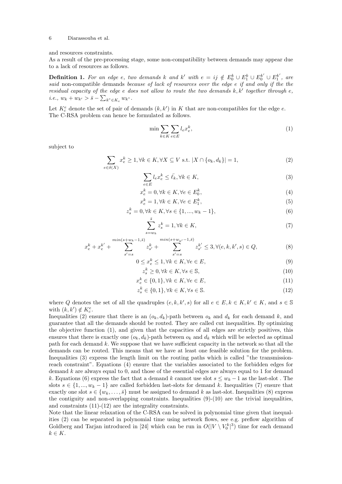### and resources constraints.

As a result of the pre-processing stage, some non-compatibility between demands may appear due to a lack of resources as follows.

**Definition 1.** For an edge e, two demands k and k' with  $e = ij \notin E_0^k \cup E_1^k \cup E_0^{k'} \cup E_1^{k'}$ , are said non-compatible demands because of lack of resources over the edge e if and only if the the residual capacity of the edge  $e$  does not allow to route the two demands  $k, k'$  together through  $e$ , *i.e.*,  $w_k + w_{k'} > \bar{s} - \sum_{k'' \in K_e} w_{k''}.$ 

Let  $K_c^e$  denote the set of pair of demands  $(k, k')$  in K that are non-compatibles for the edge e. The C-RSA problem can hence be formulated as follows.

$$
\min \sum_{k \in K} \sum_{e \in E} l_e x_e^k,\tag{1}
$$

subject to

$$
\sum_{e \in \delta(X)} x_e^k \ge 1, \forall k \in K, \forall X \subseteq V \text{ s.t. } |X \cap \{o_k, d_k\}| = 1,\tag{2}
$$

$$
\sum_{e \in E} l_e x_e^k \le \bar{\ell}_k, \forall k \in K,\tag{3}
$$

$$
x_e^k = 0, \forall k \in K, \forall e \in E_0^k,\tag{4}
$$

$$
x_e^k = 1, \forall k \in K, \forall e \in E_1^k,\tag{5}
$$

$$
z_s^k = 0, \forall k \in K, \forall s \in \{1, ..., w_k - 1\},\tag{6}
$$

$$
\sum_{s=w_k}^{\bar{s}} z_s^k = 1, \forall k \in K,\tag{7}
$$

$$
x_e^k + x_e^{k'} + \sum_{s'=s}^{\min(s+w_k-1,\bar{s})} z_{s'}^k + \sum_{s'=s}^{\min(s+w_{k'}-1,\bar{s})} z_{s'}^{k'} \le 3, \forall (e,k,k',s) \in Q,\tag{8}
$$

$$
0 \le x_e^k \le 1, \forall k \in K, \forall e \in E,\tag{9}
$$

$$
z_s^k \ge 0, \forall k \in K, \forall s \in \mathbb{S},\tag{10}
$$

$$
x_e^k \in \{0, 1\}, \forall k \in K, \forall e \in E,\tag{11}
$$

$$
z_s^k \in \{0, 1\}, \forall k \in K, \forall s \in \mathbb{S}.\tag{12}
$$

where Q denotes the set of all the quadruples  $(e, k, k', s)$  for all  $e \in E, k \in K, k' \in K$ , and  $s \in \mathbb{S}$ with  $(k, k') \notin K_c^e$ .

Inequalities (2) ensure that there is an  $(o_k, d_k)$ -path between  $o_k$  and  $d_k$  for each demand k, and guarantee that all the demands should be routed. They are called cut inequalities. By optimizing the objective function (1), and given that the capacities of all edges are strictly positives, this ensures that there is exactly one  $(o_k, d_k)$ -path between  $o_k$  and  $d_k$  which will be selected as optimal path for each demand k. We suppose that we have sufficient capacity in the network so that all the demands can be routed. This means that we have at least one feasible solution for the problem. Inequalities (3) express the length limit on the routing paths which is called "the transmissionreach constraint". Equations (4) ensure that the variables associated to the forbidden edges for demand k are always equal to 0, and those of the essential edges are always equal to 1 for demand k. Equations (6) express the fact that a demand k cannot use slot  $s \leq w_k - 1$  as the last-slot. The slots  $s \in \{1, ..., w_k - 1\}$  are called forbidden last-slots for demand k. Inequalities (7) ensure that exactly one slot  $s \in \{w_k, \ldots, \bar{s}\}$  must be assigned to demand k as last-slot. Inequalities (8) express the contiguity and non-overlapping constraints. Inequalities  $(9)-(10)$  are the trivial inequalities, and constraints (11)-(12) are the integrality constraints.

Note that the linear relaxation of the C-RSA can be solved in polynomial time given that inequalities (2) can be separated in polynomial time using network flows, see e.g. preflow algorithm of Goldberg and Tarjan introduced in [24] which can be run in  $O(|V \setminus V_0^k|^3)$  time for each demand  $k \in K$ .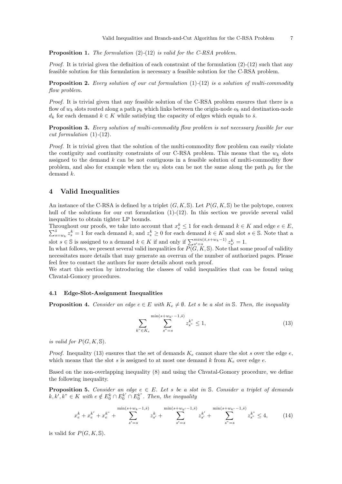**Proposition 1.** The formulation (2)-(12) is valid for the C-RSA problem.

*Proof.* It is trivial given the definition of each constraint of the formulation  $(2)-(12)$  such that any feasible solution for this formulation is necessary a feasible solution for the C-RSA problem.

**Proposition 2.** Every solution of our cut formulation  $(1)-(12)$  is a solution of multi-commodity flow problem.

Proof. It is trivial given that any feasible solution of the C-RSA problem ensures that there is a flow of  $w_k$  slots routed along a path  $p_k$  which links between the origin-node  $o_k$  and destination-node  $d_k$  for each demand  $k \in K$  while satisfying the capacity of edges which equals to  $\bar{s}$ .

Proposition 3. Every solution of multi-commodity flow problem is not necessary feasible for our cut formulation  $(1)-(12)$ .

Proof. It is trivial given that the solution of the multi-commodity flow problem can easily violate the contiguity and continuity constraints of our C-RSA problem. This means that the  $w_k$  slots assigned to the demand  $k$  can be not contiguous in a feasible solution of multi-commodity flow problem, and also for example when the  $w_k$  slots can be not the same along the path  $p_k$  for the demand k.

### 4 Valid Inequalities

An instance of the C-RSA is defined by a triplet  $(G, K, \mathbb{S})$ . Let  $P(G, K, \mathbb{S})$  be the polytope, convex hull of the solutions for our cut formulation (1)-(12). In this section we provide several valid inequalities to obtain tighter LP bounds.

Throughout our proofs, we take into account that  $x_e^k \leq 1$  for each demand  $k \in K$  and edge  $e \in E$ ,  $\sum_{s=w_k}^{\bar{s}} z_s^k = 1$  for each demand  $k$ , and  $z_s^k \geq 0$  for each demand  $k \in K$  and slot  $s \in \mathbb{S}$ . Note that a slot  $s \in \mathbb{S}$  is assigned to a demand  $k \in K$  if and only if  $\sum_{s'=s}^{\min(\bar{s}, s+w_k-1)} z^k_{s'} = 1$ .

In what follows, we present several valid inequalities for  $P(G, K, \mathbb{S})$ . Note that some proof of validity necessitates more details that may generate an overrun of the number of authorized pages. Please feel free to contact the authors for more details about each proof.

We start this section by introducing the classes of valid inequalities that can be found using Chvatal-Gomory procedures.

### 4.1 Edge-Slot-Assignment Inequalities

**Proposition 4.** Consider an edge  $e \in E$  with  $K_e \neq \emptyset$ . Let s be a slot in S. Then, the inequality

$$
\sum_{k'' \in K_e} \sum_{s''=s}^{\min(s+w_{k''}-1,\bar{s})} z_{s''}^{k''} \le 1,
$$
\n(13)

is valid for  $P(G, K, \mathbb{S})$ .

*Proof.* Inequality (13) ensures that the set of demands  $K_e$  cannot share the slot s over the edge e, which means that the slot s is assigned to at most one demand k from  $K_e$  over edge e.

Based on the non-overlapping inequality (8) and using the Chvatal-Gomory procedure, we define the following inequality.

**Proposition 5.** Consider an edge  $e \in E$ . Let s be a slot in S. Consider a triplet of demands  $k, k', k'' \in K$  with  $e \notin E_0^k \cap E_0^{k'} \cap E_0^{k''}$ . Then, the inequality

$$
x_e^k + x_e^{k'} + x_e^{k''} + \sum_{s'=s}^{\min(s+w_k-1,\bar{s})} z_{s'}^k + \sum_{s'=s}^{\min(s+w_{k'}-1,\bar{s})} z_{s'}^{k'} + \sum_{s''=s}^{\min(s+w_{k''}-1,\bar{s})} z_{s''}^{k''} \le 4,
$$
 (14)

is valid for  $P(G, K, \mathbb{S})$ .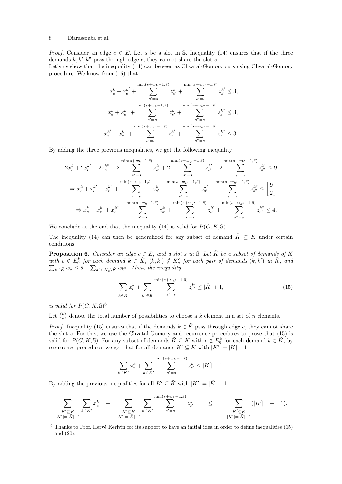*Proof.* Consider an edge  $e \in E$ . Let s be a slot in S. Inequality (14) ensures that if the three demands  $k, k', k''$  pass through edge  $e$ , they cannot share the slot  $s$ .

Let's us show that the inequality (14) can be seen as Chvatal-Gomory cuts using Chvatal-Gomory procedure. We know from (16) that

$$
x_e^k + x_e^{k'} + \sum_{s'=s}^{\min(s+w_k-1,\bar{s})} z_{s'}^k + \sum_{s'=s}^{\min(s+w_{k'}-1,\bar{s})} z_{s'}^{k'} \le 3,
$$
  

$$
x_e^k + x_e^{k''} + \sum_{s'=s}^{\min(s+w_k-1,\bar{s})} z_{s'}^k + \sum_{s''=s}^{\min(s+w_{k''}-1,\bar{s})} z_{s''}^{k''} \le 3,
$$
  

$$
x_e^{k'} + x_e^{k''} + \sum_{s'=s}^{\min(s+w_{k'}-1,\bar{s})} z_{s'}^{k'} + \sum_{s''=s}^{\min(s+w_{k''}-1,\bar{s})} z_{s''}^{k''} \le 3.
$$

By adding the three previous inequalities, we get the following inequality

$$
2x_{e}^{k} + 2x_{e}^{k'} + 2x_{e}^{k^{n}} + 2\sum_{s'=s}^{\min(s+w_{k}-1,\bar{s})} z_{s'}^{k} + 2\sum_{s'=s}^{\min(s+w_{k'}-1,\bar{s})} z_{s'}^{k'} + 2\sum_{s''=s}^{\min(s+w_{k''}-1,\bar{s})} z_{s''}^{k'} \leq 9
$$
  
\n
$$
\Rightarrow x_{e}^{k} + x_{e}^{k'} + x_{e}^{k^{n}} + \sum_{s'=s}^{\min(s+w_{k}-1,\bar{s})} z_{s'}^{k} + \sum_{s'=s}^{\min(s+w_{k'}-1,\bar{s})} z_{s'}^{k'} + \sum_{s''=s}^{\min(s+w_{k''}-1,\bar{s})} z_{s''}^{k''} \leq \left[\frac{9}{2}\right]
$$
  
\n
$$
\Rightarrow x_{e}^{k} + x_{e}^{k'} + x_{e}^{k^{n}} + \sum_{s'=s}^{\min(s+w_{k}-1,\bar{s})} z_{s'}^{k} + \sum_{s'=s}^{\min(s+w_{k'}-1,\bar{s})} z_{s'}^{k'} + \sum_{s''=s}^{\min(s+w_{k''}-1,\bar{s})} z_{s''}^{k''} \leq 4.
$$

We conclude at the end that the inequality (14) is valid for  $P(G, K, \mathbb{S})$ .

The inequality (14) can then be generalized for any subset of demand  $\tilde{K} \subseteq K$  under certain conditions.

**Proposition 6.** Consider an edge  $e \in E$ , and a slot s in S. Let  $\tilde{K}$  be a subset of demands of K with  $e \notin E_0^k$  for each demand  $k \in \tilde{K}$ ,  $(k, k') \notin K_c^e$  for each pair of demands  $(k, k')$  in  $\tilde{K}$ , and  $\sum_{k \in \tilde{K}} w_k \leq \bar{s} - \sum_{k^{\prime\prime} \in K_e \setminus \tilde{K}} w_{k^{\prime\prime}}$ . Then, the inequality

$$
\sum_{k \in \tilde{K}} x_{e}^{k} + \sum_{k' \in \tilde{K}} \sum_{s'=s}^{\min(s+w_{k'}-1,\bar{s})} z_{s'}^{k'} \leq |\tilde{K}| + 1,
$$
\n(15)

is valid for  $P(G, K, \mathbb{S})^6$ .

Let  $\binom{n}{k}$  denote the total number of possibilities to choose a k element in a set of n elements.

*Proof.* Inequality (15) ensures that if the demands  $k \in \tilde{K}$  pass through edge e, they cannot share the slot s. For this, we use the Chvatal-Gomory and recurrence procedures to prove that  $(15)$  is valid for  $P(G, K, \mathbb{S})$ . For any subset of demands  $\tilde{K} \subseteq K$  with  $e \notin E_0^k$  for each demand  $k \in \tilde{K}$ , by recurrence procedures we get that for all demands  $K' \subseteq \tilde{K}$  with  $|K'| = |\tilde{K}| - 1$ 

$$
\sum_{k \in K'} x_{e}^{k} + \sum_{k \in K'} \sum_{s'=s}^{\min(s+w_{k}-1,\bar{s})} z_{s'}^{k} \leq |K'| + 1.
$$

By adding the previous inequalities for all  $K' \subseteq \tilde{K}$  with  $|K'| = |\tilde{K}| - 1$ 

$$
\sum_{\substack{K' \subseteq \tilde{K} \\ |K'| = |\tilde{K}| - 1}} \sum_{k \in K'} x_{e}^{k} + \sum_{\substack{K' \subseteq \tilde{K} \\ |K'| = |\tilde{K}| - 1}} \sum_{k \in K'} \sum_{s' = s}^{\min(s + w_{k} - 1, \tilde{s})} z_{s'}^{k} \leq \sum_{\substack{K' \subseteq \tilde{K} \\ |K'| = |\tilde{K}| - 1}} (|K'| + 1).
$$

 $\overline{6}$  Thanks to Prof. Hervé Kerivin for its support to have an initial idea in order to define inequalities (15) and (20).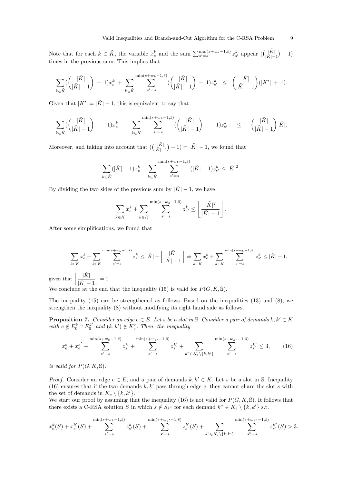Note that for each  $k \in \tilde{K}$ , the variable  $x_e^k$  and the sum  $\sum_{s'=s}^{\min(s+w_k-1,\bar{s})} z_{s'}^k$  appear  $\left(\binom{|\tilde{K}|}{|\tilde{K}|-1} - 1\right)$ times in the previous sum. This implies that

$$
\sum_{k \in \tilde{K}} (\binom{|\tilde{K}|}{|\tilde{K}|-1} - 1) x_{e}^{k} + \sum_{k \in \tilde{K}} \sum_{s'=s}^{\min(s+w_{k}-1,\tilde{s})} (\binom{|\tilde{K}|}{|\tilde{K}|-1} - 1) z_{s'}^{k} \leq (\binom{|\tilde{K}|}{|\tilde{K}|-1} (|K'| + 1).
$$

Given that  $|K'| = |\tilde{K}| - 1$ , this is equivalent to say that

$$
\sum_{k \in \tilde{K}} (\binom{|\tilde{K}|}{|\tilde{K}|-1} - 1) x_{e}^{k} + \sum_{k \in \tilde{K}} \sum_{s'=s}^{\min(s+w_{k}-1,\tilde{s})} (\binom{|\tilde{K}|}{|\tilde{K}|-1} - 1) z_{s'}^{k} \leq (\binom{|\tilde{K}|}{|\tilde{K}|-1} |\tilde{K}|.
$$

Moreover, and taking into account that  $\left( \binom{|\tilde{K}|}{|\tilde{K}|-1} - 1 \right) = |\tilde{K}| - 1$ , we found that

$$
\sum_{k \in \tilde{K}} (|\tilde{K}| - 1) x_{e}^{k} + \sum_{k \in \tilde{K}} \sum_{s'=s}^{\min(s+w_{k}-1,\bar{s})} (|\tilde{K}| - 1) z_{s'}^{k} \leq |\tilde{K}|^{2}.
$$

By dividing the two sides of the previous sum by  $|\tilde{K}| - 1$ , we have

$$
\sum_{k \in \tilde{K}} x_{e}^{k} + \sum_{k \in \tilde{K}} \sum_{s'=s}^{\min(s+w_{k}-1,\bar{s})} z_{s'}^{k} \leq \left\lfloor \frac{|\tilde{K}|^{2}}{|\tilde{K}| - 1} \right\rfloor.
$$

After some simplifications, we found that

$$
\sum_{k \in \tilde{K}} x_{e}^{k} + \sum_{k \in \tilde{K}} \sum_{s'=s}^{\min(s+w_{k}-1,\tilde{s})} z_{s'}^{k} \leq |\tilde{K}| + \left\lfloor \frac{|\tilde{K}|}{|\tilde{K}|-1} \right\rfloor \Rightarrow \sum_{k \in \tilde{K}} x_{e}^{k} + \sum_{k \in \tilde{K}} \sum_{s'=s}^{\min(s+w_{k}-1,\tilde{s})} z_{s'}^{k} \leq |\tilde{K}| + 1,
$$
  
at 
$$
\left\lfloor \frac{|\tilde{K}|}{|\tilde{K}|-1} \right\rfloor = 1.
$$

We conclude at the end that the inequality (15) is valid for  $P(G, K, \mathbb{S})$ .

The inequality (15) can be strengthened as follows. Based on the inequalities (13) and (8), we strengthen the inequality (8) without modifying its right hand side as follows.

**Proposition 7.** Consider an edge  $e \in E$ . Let s be a slot in S. Consider a pair of demands  $k, k' \in K$ with  $e \notin E_0^k \cap E_0^{k'}$  and  $(k, k') \notin K_c^e$ . Then, the inequality

$$
x_e^k + x_e^{k'} + \sum_{s'=s}^{\min(s+w_k-1,\bar{s})} z_{s'}^k + \sum_{s'=s}^{\min(s+w_{k'}-1,\bar{s})} z_{s'}^{k'} + \sum_{k'' \in K_e \setminus \{k,k'\}} \sum_{s'=s}^{\min(s+w_{k''}-1,\bar{s})} z_{s'}^{k''} \le 3, \qquad (16)
$$

is valid for  $P(G, K, \mathbb{S})$ .

given th

*Proof.* Consider an edge  $e \in E$ , and a pair of demands  $k, k' \in K$ . Let s be a slot in S. Inequality (16) ensures that if the two demands  $k, k'$  pass through edge e, they cannot share the slot s with the set of demands in  $K_e \setminus \{k, k'\}.$ 

We start our proof by assuming that the inequality (16) is not valid for  $P(G, K, \mathbb{S})$ . It follows that there exists a C-RSA solution S in which  $s \notin S_{k}$ " for each demand  $k'' \in K_e \setminus \{k, k'\}$  s.t.

$$
x_e^k(S) + x_e^{k'}(S) + \sum_{s'=s}^{\min(s+w_k-1,\bar{s})} z_{s'}^k(S) + \sum_{s'=s}^{\min(s+w_{k'}-1,\bar{s})} z_{s'}^{k'}(S) + \sum_{k'' \in K_e \setminus \{k,k'\}} \sum_{s''=s}^{\min(s+w_{k''}-1,\bar{s})} z_{s''}^{k''}(S) > 3.
$$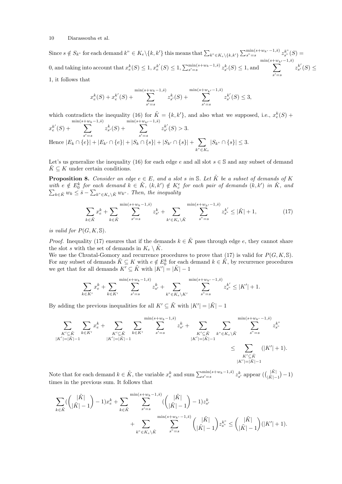Since  $s \notin S_{k}$ " for each demand  $k'' \in K_e \setminus \{k, k'\}$  this means that  $\sum_{k'' \in K_e \setminus \{k, k'\}} \sum_{s''=s}^{\min(s+w_{k''}-1, \bar{s})} z_{s''}^{k''}(S) =$ 0, and taking into account that  $x_e^k(S) \leq 1, x_e^{k'}(S) \leq 1, \sum_{s'=s}^{\min(s+w_k-1,\overline{s})} z_{s'}^k(S) \leq 1$ , and  $\sum_{k=1}^{\min(s+w_{k'}-1,\bar{s})}$  $s' = s$  $z_{s'}^{k'}$  $\zeta^k_{s'}(S) \leq$ 1, it follows that

$$
x_e^k(S) + x_e^{k'}(S) + \sum_{s'=s}^{\min(s+w_k-1,\bar{s})} z_{s'}^k(S) + \sum_{s'=s}^{\min(s+w_{k'}-1,\bar{s})} z_{s'}^{k'}(S) \le 3,
$$

which contradicts the inequality (16) for  $\tilde{K} = \{k, k'\}$ , and also what we supposed, i.e.,  $x_e^k(S)$  +

$$
x_e^{k'}(S) + \sum_{s'=s}^{\min(s+w_k-1,\bar{s})} z_{s'}^k(S) + \sum_{s'=s}^{\min(s+w_{k'}-1,\bar{s})} z_{s'}^{k'}(S) > 3.
$$
  
Hence  $|E_k \cap \{e\}| + |E_{k'} \cap \{e\}| + |S_k \cap \{s\}| + |S_{k'} \cap \{s\}| + \sum_{k^{\circ} \in K_e} |S_{k^{\circ}} \cap \{s\}| \le 3.$ 

Let's us generalize the inequality (16) for each edge e and all slot  $s \in \mathbb{S}$  and any subset of demand  $\tilde{K} \subseteq K$  under certain conditions.

**Proposition 8.** Consider an edge  $e \in E$ , and a slot s in S. Let  $\tilde{K}$  be a subset of demands of K with  $e \notin E_0^k$  for each demand  $k \in \tilde{K}$ ,  $(k, k') \notin K_c^e$  for each pair of demands  $(k, k')$  in  $\tilde{K}$ , and  $\sum_{k \in \tilde{K}} w_k \leq \bar{s} - \sum_{k^{\prime\prime} \in K_e \setminus \tilde{K}} w_{k^{\prime\prime}}$ . Then, the inequality

$$
\sum_{k \in \tilde{K}} x_{e}^{k} + \sum_{k \in \tilde{K}} \sum_{s'=s}^{\min(s+w_{k}-1,\bar{s})} z_{s'}^{k} + \sum_{k' \in K_{e} \setminus \tilde{K}} \sum_{s''=s}^{\min(s+w_{k'}-1,\bar{s})} z_{s''}^{k'} \leq |\tilde{K}| + 1,
$$
\n(17)

is valid for  $P(G, K, \mathbb{S})$ .

*Proof.* Inequality (17) ensures that if the demands  $k \in \tilde{K}$  pass through edge e, they cannot share the slot s with the set of demands in  $K_e \setminus \tilde{K}$ .

We use the Chvatal-Gomory and recurrence procedures to prove that (17) is valid for  $P(G, K, \mathbb{S})$ . For any subset of demands  $\tilde{K} \subseteq K$  with  $e \notin E_0^k$  for each demand  $k \in \tilde{K}$ , by recurrence procedures we get that for all demands  $K' \subseteq \tilde{K}$  with  $|K'| = |\tilde{K}| - 1$ 

$$
\sum_{k \in K'} x_{e}^{k} + \sum_{k \in K'} \sum_{s'=s}^{\min(s+w_{k}-1,\bar{s})} z_{s'}^{k} + \sum_{k'' \in K_{e} \setminus K'} \sum_{s''=s}^{\min(s+w_{k''}-1,\bar{s})} z_{s''}^{k'} \leq |K'| + 1.
$$

By adding the previous inequalities for all  $K' \subseteq \tilde{K}$  with  $|K'| = |\tilde{K}| - 1$ 

$$
\sum_{\substack{K' \subseteq \tilde{K} \\ |K'| = |\tilde{K}| - 1}} \sum_{k \in K'} x_{e}^{k} + \sum_{\substack{K' \subseteq \tilde{K} \\ |K'| = |\tilde{K}| - 1}} \sum_{k \in K'} \sum_{k \in K'} \sum_{s' = s}^{\min(s + w_{k} - 1, \tilde{s})} z_{s'}^{k} + \sum_{\substack{K' \subseteq \tilde{K} \\ |K'| = |\tilde{K}| - 1}} \sum_{k'' \in K_{e} \setminus \tilde{K}} \sum_{s'' = s}^{\min(s + w_{k''} - 1, \tilde{s})} z_{s''}^{k''} \n\leq \sum_{\substack{K' \subseteq \tilde{K} \\ |K'| = |\tilde{K}| - 1}} (|K'| + 1).
$$

Note that for each demand  $k \in \tilde{K}$ , the variable  $x_e^k$  and sum  $\sum_{s'=s}^{\min(s+w_k-1,\bar{s})} z_{s'}^k$  appear  $\left( \binom{|\tilde{K}|}{|\tilde{K}|-1} - 1 \right)$ times in the previous sum. It follows that

$$
\begin{split} \sum_{k \in \tilde{K}} (\binom{|\tilde{K}|}{|\tilde{K}|-1} -1)x_e^k & + \sum_{k \in \tilde{K}} \sum_{s'=s}^{\min(s+w_k-1,\bar{s})} (\binom{|\tilde{K}|}{|\tilde{K}|-1} -1)z_{s'}^k \\ & + \sum_{k'' \in K_e \backslash \tilde{K}} \sum_{s''=s}^{\min(s+w_{k''}-1,\bar{s})} \binom{|\tilde{K}|}{|\tilde{K}|-1} z_{s''}^{k''} \leq \binom{|\tilde{K}|}{|\tilde{K}|-1} (|K'|+1). \end{split}
$$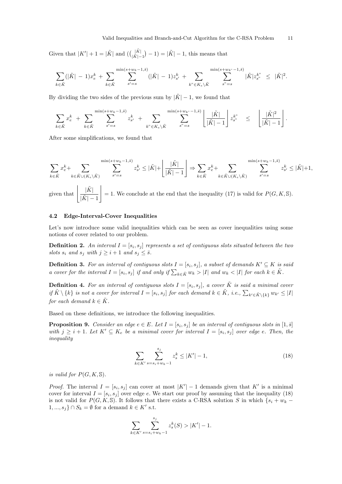Given that  $|K'| + 1 = |\tilde{K}|$  and  $\left( \binom{|\tilde{K}|}{|\tilde{K}|-1} - 1 \right) = |\tilde{K}| - 1$ , this means that

$$
\sum_{k \in \tilde{K}} (|\tilde{K}| - 1) x_{e}^{k} + \sum_{k \in \tilde{K}} \sum_{s'=s}^{\min(s+w_{k}-1,\bar{s})} (|\tilde{K}| - 1) z_{s'}^{k} + \sum_{k'' \in K_{e} \setminus \tilde{K}} \sum_{s''=s}^{\min(s+w_{k''}-1,\bar{s})} |\tilde{K}| z_{s''}^{k''} \leq |\tilde{K}|^{2}.
$$

By dividing the two sides of the previous sum by  $|\tilde{K}| - 1$ , we found that

$$
\sum_{k \in \tilde{K}} x_{e}^{k} + \sum_{k \in \tilde{K}} \sum_{s'=s}^{\min(s+w_{k}-1,\tilde{s})} z_{s'}^{k} + \sum_{k^{v} \in K_{e} \setminus \tilde{K}} \sum_{s^{v}=s}^{\min(s+w_{k^{v}}-1,\tilde{s})} \left[ \frac{|\tilde{K}|}{|\tilde{K}|-1} \right] z_{s^{v}}^{k^{v}} \leq \left[ \frac{|\tilde{K}|^{2}}{|\tilde{K}|-1} \right].
$$

After some simplifications, we found that

$$
\sum_{k \in \tilde{K}} x_{e}^{k} + \sum_{k \in \tilde{K} \cup (K_{e} \setminus \tilde{K})} \sum_{s'=s}^{\min(s+w_{k}-1,\bar{s})} z_{s'}^{k} \leq |\tilde{K}| + \left\lfloor \frac{|\tilde{K}|}{|\tilde{K}|-1} \right\rfloor \Rightarrow \sum_{k \in \tilde{K}} x_{e}^{k} + \sum_{k \in \tilde{K} \cup (K_{e} \setminus \tilde{K})} \sum_{s'=s}^{\min(s+w_{k}-1,\bar{s})} z_{s'}^{k} \leq |\tilde{K}|+1,
$$
  
given that 
$$
\left| \frac{|\tilde{K}|}{|\tilde{K}|-1} \right| = 1.
$$
 We conclude at the end that the inequality (17) is valid for  $P(G, K, \mathbb{S})$ .

### 4.2 Edge-Interval-Cover Inequalities

Let's now introduce some valid inequalities which can be seen as cover inequalities using some notions of cover related to our problem.

**Definition 2.** An interval  $I = [s_i, s_j]$  represents a set of contiguous slots situated between the two slots  $s_i$  and  $s_j$  with  $j \geq i+1$  and  $s_j \leq \overline{s}$ .

**Definition 3.** For an interval of contiguous slots  $I = [s_i, s_j]$ , a subset of demands  $K' \subseteq K$  is said a cover for the interval  $I = [s_i, s_j]$  if and only if  $\sum_{k \in \tilde{K}} w_k > |I|$  and  $w_k < |I|$  for each  $k \in \tilde{K}$ .

**Definition 4.** For an interval of contiguous slots  $I = [s_i, s_j]$ , a cover  $\tilde{K}$  is said a minimal cover if  $\tilde{K} \setminus \{k\}$  is not a cover for interval  $I = [s_i, s_j]$  for each demand  $k \in \tilde{K}$ , i.e.,  $\sum_{k' \in \tilde{K} \setminus \{k\}} w_{k'} \leq |I|$ for each demand  $k \in K$ .

Based on these definitions, we introduce the following inequalities.

**Proposition 9.** Consider an edge  $e \in E$ . Let  $I = [s_i, s_j]$  be an interval of contiguous slots in  $[1, \overline{s}]$ with  $j \geq i+1$ . Let  $K' \subseteq K_e$  be a minimal cover for interval  $I = [s_i, s_j]$  over edge e. Then, the inequality

$$
\sum_{k \in K'} \sum_{s=s_i+w_k-1}^{s_j} z_s^k \le |K'| - 1,\tag{18}
$$

is valid for  $P(G, K, \mathbb{S})$ .

*Proof.* The interval  $I = [s_i, s_j]$  can cover at most  $|K'| - 1$  demands given that K' is a minimal cover for interval  $I = [s_i, s_j]$  over edge e. We start our proof by assuming that the inequality (18) is not valid for  $P(G, K, \mathbb{S})$ . It follows that there exists a C-RSA solution S in which  $\{s_i + w_k 1, ..., s_j$   $\cap S_k = \emptyset$  for a demand  $k \in K'$  s.t.

$$
\sum_{k \in K'} \sum_{s=s_i+w_k-1}^{s_j} z_s^k(S) > |K'| - 1.
$$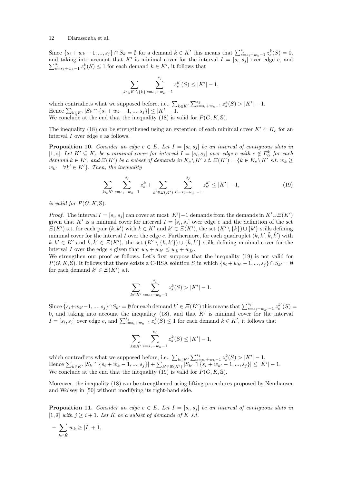Since  $\{s_i + w_k - 1, ..., s_j\} \cap S_k = \emptyset$  for a demand  $k \in K'$  this means that  $\sum_{s=s_i+w_k-1}^{s_j} z_s^k(S) = 0$ , and taking into account that K' is minimal cover for the interval  $I = [s_i, s_j]$  over edge e, and  $\sum_{s=s_i+w_k-1}^{s_j} z_s^k(S) \leq 1$  for each demand  $k \in K'$ , it follows that

$$
\sum_{k' \in K' \setminus \{k\}} \sum_{s=s_i+w_{k'}-1}^{s_j} z_s^{k'}(S) \le |K'| - 1,
$$

which contradicts what we supposed before, i.e.,  $\sum_{k \in K'} \sum_{s=s_i+w_k-1}^{s_j} z_s^k(S) > |K'| - 1$ . Hence  $\sum_{k \in K'} |S_k \cap \{s_i + w_k - 1, ..., s_j\}| \leq |K'| - 1$ . We conclude at the end that the inequality (18) is valid for  $P(G, K, \mathbb{S})$ .

The inequality (18) can be strengthened using an extention of each minimal cover  $K' \subset K<sub>e</sub>$  for an interval I over edge e as follows.

**Proposition 10.** Consider an edge  $e \in E$ . Let  $I = [s_i, s_j]$  be an interval of contiguous slots in [1,  $\bar{s}$ ]. Let  $K' \subseteq K_e$  be a minimal cover for interval  $I = [s_i, s_j]$  over edge e with  $e \notin E_0^k$  for each demand  $k \in K'$ , and  $\Xi(K')$  be a subset of demands in  $K_e \backslash K'$  s.t.  $\Xi(K') = \{k \in K_e \backslash K'$  s.t.  $w_k \geq$  $w_{k'} \quad \forall k' \in K'$ . Then, the inequality

$$
\sum_{k \in K'} \sum_{s=s_i+w_k-1}^{s_j} z_s^k + \sum_{k' \in \Xi(K')} \sum_{s'=s_i+w_{k'}-1}^{s_j} z_{s'}^{k'} \le |K'| - 1,
$$
\n(19)

is valid for  $P(G, K, \mathbb{S})$ .

*Proof.* The interval  $I = [s_i, s_j]$  can cover at most  $|K'|-1$  demands from the demands in  $K' \cup \mathcal{E}(K')$ given that K' is a minimal cover for interval  $I = [s_i, s_j]$  over edge e and the definition of the set  $\Xi(K')$  s.t. for each pair  $(k, k')$  with  $k \in K'$  and  $k' \in \Xi(K')$ , the set  $(K' \setminus \{k\}) \cup \{k'\}$  stills defining minimal cover for the interval I over the edge e. Furthermore, for each quadruplet  $(k, k', \tilde{k}, \tilde{k}')$  with  $k, k' \in K'$  and  $\tilde{k}, \tilde{k}' \in \Xi(K')$ , the set  $(K' \setminus \{k, k'\}) \cup \{\tilde{k}, \tilde{k}'\}$  stills defining minimal cover for the interval I over the edge e given that  $w_k + w_{k'} \leq w_{\tilde{k}} + w_{\tilde{k'}}$ .

We strengthen our proof as follows. Let's first suppose that the inequality (19) is not valid for  $P(G, K, \mathbb{S})$ . It follows that there exists a C-RSA solution S in which  $\{s_i + w_{k'} - 1, ..., s_j\} \cap S_{k'} = \emptyset$ for each demand  $k' \in \Xi(K')$  s.t.

$$
\sum_{k \in K'} \sum_{s=s_i+w_k-1}^{s_j} z_s^k(S) > |K'| - 1.
$$

Since  $\{s_i+w_{k'}-1, ..., s_j\}\cap S_{k'} = \emptyset$  for each demand  $k' \in \mathcal{E}(K')$  this means that  $\sum_{s=s_i+w_{k'}-1}^{s_j} z_s^{k'}(S) =$ 0, and taking into account the inequality (18), and that  $K'$  is minimal cover for the interval  $I=[s_i,s_j]$  over edge e, and  $\sum_{s=s_i+w_k-1}^{s_j} z_s^k(S) \leq 1$  for each demand  $k \in K'$ , it follows that

$$
\sum_{k \in K'} \sum_{s=s_i+w_k-1}^{s_j} z_s^k(S) \le |K'| - 1,
$$

which contradicts what we supposed before, i.e.,  $\sum_{k \in K'} \sum_{s=s_i+w_k-1}^{s_j} z_s^k(S) > |K'| - 1$ . Hence  $\sum_{k \in K'} |S_k \cap \{s_i + w_k - 1, ..., s_j\}| + \sum_{k' \in \Xi(K')} |S_{k'} \cap \{s_i + w_{k'} - 1, ..., s_j\}| \leq |K'| - 1$ . We conclude at the end that the inequality (19) is valid for  $P(G, K, \mathbb{S})$ .

Moreover, the inequality (18) can be strengthened using lifting procedures proposed by Nemhauser and Wolsey in [50] without modifying its right-hand side.

**Proposition 11.** Consider an edge  $e \in E$ . Let  $I = [s_i, s_j]$  be an interval of contiguous slots in [1,  $\bar{s}$ ] with  $j \geq i+1$ . Let  $\tilde{K}$  be a subset of demands of K s.t.

$$
- \sum_{k \in \tilde{K}} w_k \ge |I| + 1,
$$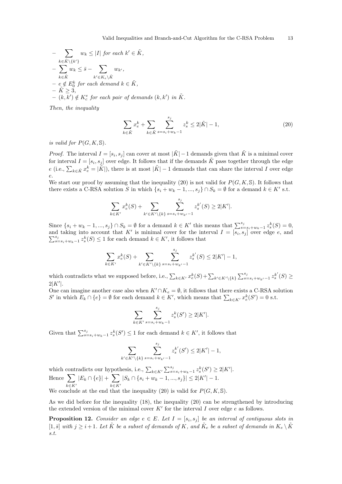$$
-\sum_{k \in \tilde{K}\setminus\{k'\}} w_k \leq |I| \text{ for each } k' \in \tilde{K},
$$
  

$$
-\sum_{k \in \tilde{K}} w_k \leq \bar{s} - \sum_{k' \in K_{\epsilon}\setminus\tilde{K}} w_{k'},
$$
  

$$
-\sum_{e \notin E_0^k} \text{ for each demand } k \in \tilde{K},
$$
  

$$
-\tilde{K} \geq 3,
$$
  

$$
-(k, k') \notin K_c^e \text{ for each pair of demands } (k, k') \text{ in } \tilde{K}.
$$

Then, the inequality

$$
\sum_{k \in \tilde{K}} x_{e}^{k} + \sum_{k \in \tilde{K}} \sum_{s=s_{i}+w_{k}-1}^{s_{j}} z_{s}^{k} \le 2|\tilde{K}| - 1,
$$
\n(20)

is valid for  $P(G, K, \mathbb{S})$ .

*Proof.* The interval  $I = [s_i, s_j]$  can cover at most  $|\tilde{K}| - 1$  demands given that  $\tilde{K}$  is a minimal cover for interval  $I = [s_i, s_j]$  over edge. It follows that if the demands  $\tilde{K}$  pass together through the edge e (i.e.,  $\sum_{k \in \tilde{K}} x_e^k = |\tilde{K}|$ ), there is at most  $|\tilde{K}| - 1$  demands that can share the interval I over edge e.

We start our proof by assuming that the inequality (20) is not valid for  $P(G, K, \mathbb{S})$ . It follows that there exists a C-RSA solution S in which  $\{s_i + w_k - 1, ..., s_j\} \cap S_k = \emptyset$  for a demand  $k \in K'$  s.t.

$$
\sum_{k \in K'} x_{e}^{k}(S) + \sum_{k' \in K' \setminus \{k\}} \sum_{s=s_{i}+w_{k'}-1}^{s_{j}} z_{s}^{k'}(S) \ge 2|K'|.
$$

Since  $\{s_i + w_k - 1, ..., s_j\} \cap S_k = \emptyset$  for a demand  $k \in K'$  this means that  $\sum_{s=s_i+w_k-1}^{s_j} z_s^k(S) = 0$ , and taking into account that K' is minimal cover for the interval  $I = [s_i, s_j]$  over edge e, and  $\sum_{s=s_i+w_k-1}^{s_j} z_s^k(S) \leq 1$  for each demand  $k \in K'$ , it follows that

$$
\sum_{k \in K'} x_{e}^{k}(S) + \sum_{k' \in K' \setminus \{k\}} \sum_{s=s_{i}+w_{k'}-1}^{s_{j}} z_{s}^{k'}(S) \le 2|K'| - 1,
$$

which contradicts what we supposed before, i.e.,  $\sum_{k \in K'} x_{e}^{k}(S) + \sum_{k' \in K' \setminus \{k\}} \sum_{s=s_i+w_{k'}-1}^{s_j} z_{s}^{k'}(S) \geq$  $2|K'|$ .

One can imagine another case also when  $K' \cap K_e = \emptyset$ , it follows that there exists a C-RSA solution S' in which  $E_k \cap \{e\} = \emptyset$  for each demand  $k \in K'$ , which means that  $\sum_{k \in K'} x_e^k(S') = 0$  s.t.

$$
\sum_{k \in K'} \sum_{s=s_i+w_k-1}^{s_j} z_s^k(S') \ge 2|K'|.
$$

Given that  $\sum_{s=s_i+w_k-1}^{s_j} z_s^k(S') \leq 1$  for each demand  $k \in K'$ , it follows that

$$
\sum_{k' \in K' \setminus \{k\}} \sum_{s=s_i+w_{k'}-1}^{s_j} z_s^{k'}(S') \le 2|K'| - 1,
$$

which contradicts our hypothesis, i.e.,  $\sum_{k \in K'} \sum_{s=s_i+w_k-1}^{s_j} z_s^k(S') \geq 2|K'|$ . Hence  $\sum$  $k \in K'$  $|E_k \cap \{e\}| + \sum$  $k\in K'$  $|S_k \cap \{s_i + w_k - 1, ..., s_j\}| \leq 2|K'|-1.$ 

We conclude at the end that the inequality (20) is valid for  $P(G, K, \mathbb{S})$ .

As we did before for the inequality (18), the inequality (20) can be strengthened by introducing the extended version of the minimal cover  $K'$  for the interval I over edge e as follows.

**Proposition 12.** Consider an edge  $e \in E$ . Let  $I = [s_i, s_j]$  be an interval of contiguous slots in  $[1, \bar{s}]$  with  $j \geq i+1$ . Let  $\tilde{K}$  be a subset of demands of K, and  $\tilde{K}_e$  be a subset of demands in  $K_e \setminus \tilde{K}$ s.t.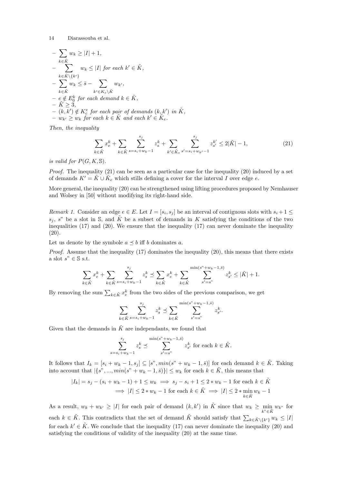$$
\begin{aligned}\n&-\sum_{k\in\tilde{K}}w_k\geq|I|+1, \\
&-\sum_{k\in\tilde{K}\setminus\{k'\}}w_k\leq|I|\nfor each\nk'\in\tilde{K}, \\
&-\sum_{k\in\tilde{K}}w_k\leq\bar{s}-\sum_{k'\in K_e\setminus\tilde{K}}w_{k'}, \\
&-e\notin E_0^k\nfor each\ndemand\nk\in\tilde{K}, \\
&-K\geq3, \\
&-(k,k')\notin K_c^e\nfor each\nk\in\tilde{K}\nand each\nk'\in\tilde{K}_e.\n\end{aligned}
$$

Then, the inequality

$$
\sum_{k \in \tilde{K}} x_{e}^{k} + \sum_{k \in \tilde{K}} \sum_{s=s_{i}+w_{k}-1}^{s_{j}} z_{s}^{k} + \sum_{k' \in \tilde{K}_{e}} \sum_{s'=s_{i}+w_{k'}-1}^{s_{j}} z_{s'}^{k'} \le 2|\tilde{K}| - 1, \tag{21}
$$

is valid for  $P(G, K, \mathbb{S})$ .

*Proof.* The inequality  $(21)$  can be seen as a particular case for the inequality  $(20)$  induced by a set of demands  $K' = \tilde{K} \cup \tilde{K}_e$  which stills defining a cover for the interval I over edge e.

More general, the inequality (20) can be strengthened using lifting procedures proposed by Nemhauser and Wolsey in [50] without modifying its right-hand side.

Remark 1. Consider an edge  $e \in E$ . Let  $I = [s_i, s_j]$  be an interval of contiguous slots with  $s_i + 1 \leq$  $s_i$ , s" be a slot in S, and  $\tilde{K}$  be a subset of demands in K satisfying the conditions of the two inequalities (17) and (20). We ensure that the inequality (17) can never dominate the inequality (20).

Let us denote by the symbole  $a \preceq b$  iff b dominates a.

*Proof.* Assume that the inequality  $(17)$  dominates the inequality  $(20)$ , this means that there exists a slot $s" \in \mathbb{S}$  s.t.

$$
\sum_{k \in \tilde{K}} x_{e}^{k} + \sum_{k \in \tilde{K}} \sum_{s=s_{i}+w_{k}-1}^{s_{j}} z_{s}^{k} \preceq \sum_{k \in \tilde{K}} x_{e}^{k} + \sum_{k \in \tilde{K}} \sum_{s'=s^{v}}^{\min(s^{v}+w_{k}-1,\tilde{s})} z_{s'}^{k} \leq |\tilde{K}| + 1.
$$

By removing the sum  $\sum_{k \in \tilde{K}} x_{e}^{k}$  from the two sides of the previous comparison, we get

$$
\sum_{k \in \tilde{K}} \sum_{s=s_i+w_k-1}^{s_j} z_s^k \preceq \sum_{k \in \tilde{K}} \sum_{s'=s^v}^{\min(s^v + w_k - 1, \bar{s})} z_{s'}^k.
$$

Given that the demands in  $\tilde{K}$  are independants, we found that

$$
\sum_{s=s_i+w_k-1}^{s_j} z_s^k \preceq \sum_{s'=s^{\text{v}}}^{\min(s^{\text{v}}+w_k-1,\overline{s})} z_{s'}^k \text{ for each } k \in \tilde{K}.
$$

It follows that  $I_k = [s_i + w_k - 1, s_j] \subseteq [s', min(s'' + w_k - 1, \overline{s})]$  for each demand  $k \in \tilde{K}$ . Taking into account that  $|\{s'',...,min(s''+w_k-1,\bar{s})\}| \leq w_k$  for each  $k \in \tilde{K}$ , this means that

$$
|I_k| = s_j - (s_i + w_k - 1) + 1 \le w_k \implies s_j - s_i + 1 \le 2 * w_k - 1 \text{ for each } k \in \tilde{K}
$$
  

$$
\implies |I| \le 2 * w_k - 1 \text{ for each } k \in \tilde{K} \implies |I| \le 2 * \min_{k \in \tilde{K}} w_k - 1
$$

As a result,  $w_k + w_{k'} \geq |I|$  for each pair of demand  $(k, k')$  in  $\tilde{K}$  since that  $w_k \geq \min_{k'' \in \tilde{K}} w_{k''}$  for each  $k \in \tilde{K}$ . This contradicts that the set of demand  $\tilde{K}$  should satisfy that  $\sum_{k \in \tilde{K} \setminus \{k'\}} w_k \leq |I|$ for each  $k' \in \tilde{K}$ . We conclude that the inequality (17) can never dominate the inequality (20) and satisfying the conditions of validity of the inequality (20) at the same time.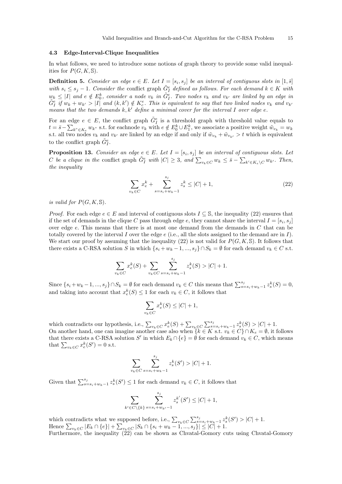### 4.3 Edge-Interval-Clique Inequalities

In what follows, we need to introduce some notions of graph theory to provide some valid inequalities for  $P(G, K, \mathbb{S})$ .

**Definition 5.** Consider an edge  $e \in E$ . Let  $I = [s_i, s_j]$  be an interval of contiguous slots in  $[1, \overline{s}]$ with  $s_i \leq s_j - 1$ . Consider the conflict graph  $\tilde{G}^e_I$  defined as follows. For each demand  $k \in K$  with  $w_k \leq |I|$  and  $e \notin E_0^k$ , consider a node  $v_k$  in  $\tilde{G}_I^e$ . Two nodes  $v_k$  and  $v_{k'}$  are linked by an edge in  $ilde{G}_{I}^{e}$  if  $w_{k} + w_{k'} > |I|$  and  $(k, k') \notin K_{c}^{e}$ . This is equivalent to say that two linked nodes  $v_{k}$  and  $v_{k'}$ means that the two demands  $k, k'$  define a minimal cover for the interval I over edge e.

For an edge  $e \in E$ , the conflict graph  $\tilde{G}^e_I$  is a threshold graph with threshold value equals to  $t = \bar{s} - \sum_{k'' \in K_e} w_{k''}$  s.t. for each node  $v_k$  with  $e \notin E_0^k \cup E_1^k$ , we associate a positive weight  $\tilde{w}_{v_k} = w_k$ s.t. all two nodes  $v_k$  and  $v_{k'}$  are linked by an edge if and only if  $\tilde{w}_{v_k} + \tilde{w}_{v_{k'}} > t$  which is equivalent to the conflict graph  $\tilde{G}_{I}^{e}$ .

**Proposition 13.** Consider an edge  $e \in E$ . Let  $I = [s_i, s_j]$  be an interval of contiguous slots. Let C be a clique in the conflict graph  $\tilde{G}_{I}^{e}$  with  $|C| \geq 3$ , and  $\sum_{v_k \in C} w_k \leq \bar{s} - \sum_{k' \in K_e \backslash C} w_{k'}$ . Then, the inequality

$$
\sum_{v_k \in C} x_e^k + \sum_{s=s_i+w_k-1}^{s_j} z_s^k \le |C| + 1,
$$
\n(22)

is valid for  $P(G, K, \mathbb{S})$ .

*Proof.* For each edge  $e \in E$  and interval of contiguous slots  $I \subseteq S$ , the inequality (22) ensures that if the set of demands in the clique C pass through edge e, they cannot share the interval  $I = [s_i, s_j]$ over edge e. This means that there is at most one demand from the demands in C that can be totally covered by the interval I over the edge  $e$  (i.e., all the slots assigned to the demand are in I). We start our proof by assuming that the inequality (22) is not valid for  $P(G, K, \mathbb{S})$ . It follows that there exists a C-RSA solution S in which  $\{s_i+w_k-1,...,s_j\}\cap S_k = \emptyset$  for each demand  $v_k \in C$  s.t.

$$
\sum_{v_k \in C} x_e^k(S) + \sum_{v_k \in C} \sum_{s=s_i+w_k-1}^{s_j} z_s^k(S) > |C| + 1.
$$

Since  $\{s_i+w_k-1,...,s_j\}\cap S_k=\emptyset$  for each demand  $v_k\in C$  this means that  $\sum_{s=s_i+w_k-1}^{s_j}z_s^k(S)=0$ , and taking into account that  $x_e^k(S) \leq 1$  for each  $v_k \in C$ , it follows that

$$
\sum_{v_k \in C} x_e^k(S) \le |C| + 1,
$$

which contradicts our hypothesis, i.e.,  $\sum_{v_k \in C} x_e^k(S) + \sum_{v_k \in C} \sum_{s=s_i+w_k-1}^{s_j} z_s^k(S) > |C| + 1$ . On another hand, one can imagine another case also when  ${k \in K s.t. v_k \in C} \cap K_e = \emptyset$ , it follows that there exists a C-RSA solution S' in which  $E_k \cap \{e\} = \emptyset$  for each demand  $v_k \in C$ , which means that  $\sum_{v_k \in C} x_e^k(S') = 0$  s.t.

$$
\sum_{v_k \in C} \sum_{s=s_i+w_k-1}^{s_j} z_s^k(S') > |C| + 1.
$$

Given that  $\sum_{s=s_i+w_k-1}^{s_j} z_s^k(S') \leq 1$  for each demand  $v_k \in C$ , it follows that

$$
\sum_{k' \in C \backslash \{k\}} \sum_{s=s_i+w_{k'}-1}^{s_j} z_s^{k'}(S') \leq |C|+1,
$$

which contradicts what we supposed before, i.e.,  $\sum_{v_k \in C} \sum_{s=s_i+w_k-1}^{s_j} z_s^k(S') > |C| + 1$ . Hence  $\sum_{v_k \in C} |E_k \cap \{e\}| + \sum_{v_k \in C} |S_k \cap \{s_i + w_k - 1, ..., s_j\}| \leq |C| + 1.$ 

Furthermore, the inequality (22) can be shown as Chvatal-Gomory cuts using Chvatal-Gomory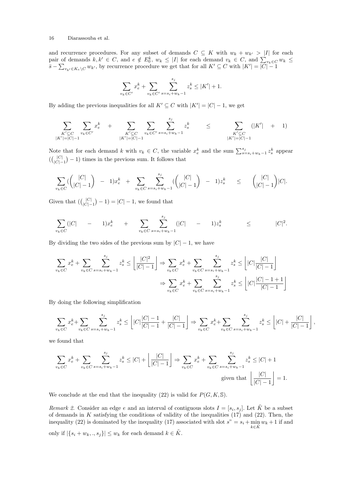and recurrence procedures. For any subset of demands  $C \subseteq K$  with  $w_k + w_{k'} > |I|$  for each pair of demands  $k, k' \in C$ , and  $e \notin E_0^k$ ,  $w_k \leq |I|$  for each demand  $v_k \in C$ , and  $\sum_{v_k \in C} w_k \leq$  $\overline{s}-\sum_{v_{k'}\in K_e\setminus C} w_{k'}$ , by recurrence procedure we get that for all  $K'\subseteq C$  with  $|K'|=|C|-1$ 

$$
\sum_{v_k \in C'} x_e^k + \sum_{v_k \in C'} \sum_{s=s_i+w_k-1}^{s_j} z_s^k \le |K'| + 1.
$$

By adding the previous inequalities for all  $K' \subseteq C$  with  $|K'| = |C| - 1$ , we get

$$
\sum_{\substack{K' \subseteq C \\ |K'| = |C| - 1}} \sum_{v_k \in C'} x_{e}^{k} + \sum_{\substack{K' \subseteq C \\ |K'| = |C| - 1}} \sum_{v_k \in C'} \sum_{s = s_i + w_k - 1}^{s_j} z_s^{k} \leq \sum_{\substack{K' \subseteq C \\ |K'| = |C| - 1}} (|K'| + 1)
$$

Note that for each demand k with  $v_k \in C$ , the variable  $x_e^k$  and the sum  $\sum_{s=s_i+w_k-1}^{s_j} z_s^k$  appear  $(\binom{|C|}{|C|}$  $\binom{|C|}{|C|-1} - 1$  times in the previous sum. It follows that

$$
\sum_{v_k \in C} \left( \begin{array}{c} |C| \\ |C|-1 \end{array} \right) - 1) x_e^k + \sum_{v_k \in C} \sum_{s=s_i+w_k-1}^{s_j} \left( \begin{array}{c} |C| \\ |C|-1 \end{array} \right) - 1) z_s^k \leq \left( \begin{array}{c} |C| \\ |C|-1 \end{array} \right) |C|.
$$

Given that  $(\begin{bmatrix} |C| \\ |C| \end{bmatrix})$  $|C| \choose |C|-1$  =  $|C|-1$ , we found that

$$
\sum_{v_k \in C} (|C| - 1)x_e^k + \sum_{v_k \in C} \sum_{s=s_i+w_k-1}^{s_j} (|C| - 1)x_s^k \leq |C|^2.
$$

By dividing the two sides of the previous sum by  $|C| - 1$ , we have

$$
\sum_{v_k \in C} x_e^k + \sum_{v_k \in C} \sum_{s=s_i+w_k-1}^{s_j} z_s^k \le \left\lfloor \frac{|C|^2}{|C|-1} \right\rfloor \Rightarrow \sum_{v_k \in C} x_e^k + \sum_{v_k \in C} \sum_{s=s_i+w_k-1}^{s_j} z_s^k \le \left\lfloor |C| \frac{|C|}{|C|-1} \right\rfloor
$$

$$
\Rightarrow \sum_{v_k \in C} x_e^k + \sum_{v_k \in C} \sum_{s=s_i+w_k-1}^{s_j} z_s^k \le \left\lfloor |C| \frac{|C|-1+1}{|C|-1} \right\rfloor
$$

By doing the following simplification

$$
\sum_{v_k \in C} x_e^k + \sum_{v_k \in C} \sum_{s=s_i+w_k-1}^{s_j} z_s^k \le \left[ |C| \frac{|C|-1}{|C|-1} + \frac{|C|}{|C|-1} \right] \Rightarrow \sum_{v_k \in C} x_e^k + \sum_{v_k \in C} \sum_{s=s_i+w_k-1}^{s_j} z_s^k \le \left[ |C| + \frac{|C|}{|C|-1} \right]
$$

,

we found that

$$
\sum_{v_k \in C} x_e^k + \sum_{v_k \in C} \sum_{s=s_i+w_k-1}^{s_j} z_s^k \le |C| + \left\lfloor \frac{|C|}{|C|-1} \right\rfloor \Rightarrow \sum_{v_k \in C} x_e^k + \sum_{v_k \in C} \sum_{s=s_i+w_k-1}^{s_j} z_s^k \le |C| + 1
$$
  
given that  $\left\lfloor \frac{|C|}{|C|-1} \right\rfloor = 1$ .

We conclude at the end that the inequality (22) is valid for  $P(G, K, \mathbb{S})$ .

Remark 2. Consider an edge e and an interval of contiguous slots  $I = [s_i, s_j]$ . Let  $\tilde{K}$  be a subset of demands in K satisfying the conditions of validity of the inequalities  $(17)$  and  $(22)$ . Then, the inequality (22) is dominated by the inequality (17) associated with slot  $s'' = s_i + \min w_k + 1$  if and  $k\in\tilde K$ only if  $|\{s_i + w_k, \ldots, s_j\}| \leq w_k$  for each demand  $k \in \tilde{K}$ .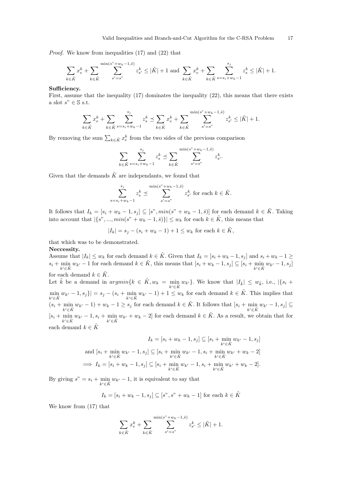Proof. We know from inequalities (17) and (22) that

$$
\sum_{k \in \tilde{K}} x_{e}^{k} + \sum_{k \in \tilde{K}} \sum_{s'=s^{n}}^{\min(s^{n}+w_{k}-1,\bar{s})} z_{s'}^{k} \leq |\tilde{K}| + 1 \text{ and } \sum_{k \in \tilde{K}} x_{e}^{k} + \sum_{k \in \tilde{K}} \sum_{s=s_{i}+w_{k}-1}^{s_{j}} z_{s}^{k} \leq |\tilde{K}| + 1.
$$

### Sufficiency.

First, assume that the inequality (17) dominates the inequality (22), this means that there exists a slot $s" \in \mathbb{S}$  s.t.

$$
\sum_{k \in \tilde{K}} x_{e}^{k} + \sum_{k \in \tilde{K}} \sum_{s=s_{i}+w_{k}-1}^{s_{j}} z_{s}^{k} \preceq \sum_{k \in \tilde{K}} x_{e}^{k} + \sum_{k \in \tilde{K}} \sum_{s'=s^{n}}^{\min(s^{n}+w_{k}-1,\bar{s})} z_{s'}^{k} \leq |\tilde{K}| + 1.
$$

By removing the sum  $\sum_{k \in \tilde{K}} x_{e}^{k}$  from the two sides of the previous comparison

$$
\sum_{k \in \tilde{K}} \sum_{s=s_i+w_k-1}^{s_j} z_s^k \preceq \sum_{k \in \tilde{K}} \sum_{s'=s^{\prime}}^{\min(s^{\prime\prime}+w_k-1,\bar{s})} z_{s'}^k.
$$

Given that the demands  $\tilde{K}$  are independants, we found that

$$
\sum_{s=s_i+w_k-1}^{s_j} z_s^k \preceq \sum_{s'=s^r}^{\min(s^r+w_k-1,\overline{s})} z_{s'}^k \text{ for each } k \in \tilde{K}.
$$

It follows that  $I_k = [s_i + w_k - 1, s_j] \subseteq [s], min(s_i + w_k - 1, \overline{s})$  for each demand  $k \in \tilde{K}$ . Taking into account that  $|\{s", ..., min(s'' + w_k - 1, \bar{s})\}| \leq w_k$  for each  $k \in \tilde{K}$ , this means that

$$
|I_k| = s_j - (s_i + w_k - 1) + 1 \le w_k
$$
 for each  $k \in \tilde{K}$ ,

that which was to be demonstrated.

Neccessity.

Assume that  $|I_k| \leq w_k$  for each demand  $k \in \tilde{K}$ . Given that  $I_k = [s_i + w_k - 1, s_j]$  and  $s_i + w_k - 1 \geq$  $s_i + \min_{k' \in \tilde{K}} w_{k'} - 1$  for each demand  $k \in \tilde{K}$ , this means that  $[s_i + w_k - 1, s_j] \subseteq [s_i + \min_{k' \in \tilde{K}} w_{k'} - 1, s_j]$  $k' \in \tilde{K}$ for each demand  $k \in \tilde{K}$ .

Let  $\tilde{k}$  be a demand in  $argmin\{k \in \tilde{K}, w_k = \min_{k' \in \tilde{K}} w_{k'}\}$ . We know that  $|I_{\tilde{k}}| \leq w_{\tilde{k}}$ , i.e.,  $|\{s_i +$  $\min_{k' \in \tilde{K}} w_{k'} - 1, s_j\}| = s_j - (s_i + \min_{k' \in \tilde{K}} w_{k'} - 1) + 1 \le w_k$  for each demand  $k \in \tilde{K}$ . This implies that  $(s_i + \min_{k' \in \tilde{K}} w_{k'} - 1) + w_k - 1 \geq s_j$  for each demand  $k \in \tilde{K}$ . It follows that  $[s_i + \min_{k' \in \tilde{K}} w_{k'} - 1, s_j] \subseteq$  $[s_i + \min_{k' \in \tilde{K}} w_{k'} - 1, s_i + \min_{k' \in \tilde{K}} w_{k'} + w_k - 2]$  for each demand  $k \in \tilde{K}$ . As a result, we obtain that for each demand  $k \in \tilde{K}$ 

$$
I_k = [s_i + w_k - 1, s_j] \subseteq [s_i + \min_{k' \in \tilde{K}} w_{k'} - 1, s_j]
$$
  
and 
$$
[s_i + \min_{k' \in \tilde{K}} w_{k'} - 1, s_j] \subseteq [s_i + \min_{k' \in \tilde{K}} w_{k'} - 1, s_i + \min_{k' \in \tilde{K}} w_{k'} + w_k - 2]
$$

$$
\implies I_k = [s_i + w_k - 1, s_j] \subseteq [s_i + \min_{k' \in \tilde{K}} w_{k'} - 1, s_i + \min_{k' \in \tilde{K}} w_{k'} + w_k - 2].
$$

By giving  $s'' = s_i + \min_{k' \in \tilde{K}} w_{k'} - 1$ , it is equivalent to say that

$$
I_k = [s_i + w_k - 1, s_j] \subseteq [s", s" + w_k - 1]
$$
 for each  $k \in \tilde{K}$ 

We know from (17) that

$$
\sum_{k \in \tilde{K}} x_{e}^{k} + \sum_{k \in \tilde{K}} \sum_{s'=s^{n}}^{\min(s^{n}+w_{k}-1,\bar{s})} z_{s'}^{k} \leq |\tilde{K}| + 1.
$$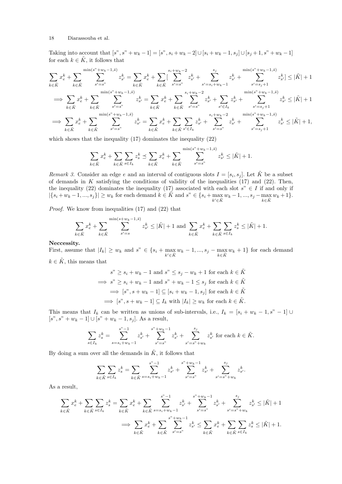Taking into account that  $[s", s" + w_k - 1] = [s", s_i + w_k - 2] \cup [s_i + w_k - 1, s_j] \cup [s_j + 1, s" + w_k - 1]$ for each  $k \in \tilde{K}$ , it follows that

$$
\sum_{k \in \tilde{K}} x_{e}^{k} + \sum_{k \in \tilde{K}} \sum_{s'=s^{n}}^{\min(s^{n}+w_{k}-1,\tilde{s})} z_{s'}^{k} = \sum_{k \in \tilde{K}} x_{e}^{k} + \sum_{k \in \tilde{K}} \left[ \sum_{s'=s^{n}}^{s_{i}+w_{k}-2} z_{s'}^{k} + \sum_{s'=s_{i}+w_{k}-1}^{s_{i}+w_{k}-1} z_{s'}^{k} + \sum_{s'=s_{j}+1}^{s_{i}+w_{k}-1,\tilde{s}} z_{s'}^{k} \right] \leq |\tilde{K}| + 1
$$
\n
$$
\implies \sum_{k \in \tilde{K}} x_{e}^{k} + \sum_{k \in \tilde{K}} \sum_{s'=s^{n}}^{\min(s^{n}+w_{k}-1,\tilde{s})} z_{s'}^{k} = \sum_{k \in \tilde{K}} x_{e}^{k} + \sum_{k \in \tilde{K}} \sum_{s'=s^{n}}^{s_{i}+w_{k}-2} z_{s'}^{k} + \sum_{s' \in I_{k}} z_{s'}^{k} + \sum_{s'=s_{j}+1}^{\min(s^{n}+w_{k}-1,\tilde{s})} z_{s'}^{k} \leq |\tilde{K}| + 1
$$
\n
$$
\implies \sum_{k \in \tilde{K}} x_{e}^{k} + \sum_{k \in \tilde{K}} \sum_{s'=s^{n}}^{s_{i}+w_{k}-1,\tilde{s}} z_{s'}^{k} = \sum_{k \in \tilde{K}} x_{e}^{k} + \sum_{k \in \tilde{K}} \sum_{s' \in I_{k}} z_{s'}^{k} + \sum_{s'=s^{n}}^{s_{i}+w_{k}-2} z_{s'}^{k} + \sum_{s'=s_{j}+1}^{s_{i}+w_{k}-1,\tilde{s}} z_{s'}^{k} \leq |\tilde{K}| + 1,
$$

which shows that the inequality (17) dominates the inequality (22)

$$
\sum_{k \in \tilde{K}} x_{e}^{k} + \sum_{k \in \tilde{K}} \sum_{s \in I_{k}} z_{s}^{k} \preceq \sum_{k \in \tilde{K}} x_{e}^{k} + \sum_{k \in \tilde{K}} \sum_{s'=s^{n}}^{\min(s^{n}+w_{k}-1,\bar{s})} z_{s'}^{k} \leq |\tilde{K}| + 1.
$$

Remark 3. Consider an edge e and an interval of contiguous slots  $I = [s_i, s_j]$ . Let  $\tilde{K}$  be a subset of demands in K satisfying the conditions of validity of the inequalities  $(17)$  and  $(22)$ . Then, the inequality (22) dominates the inequality (17) associated with each slot  $s'' \in I$  if and only if  $|\{s_i + w_k - 1, ..., s_j\}| \ge w_k$  for each demand  $k \in \tilde{K}$  and  $s'' \in \{s_i + \max_{k' \in \tilde{K}} w_k - 1, ..., s_j - \max_{k \in \tilde{K}} w_k + 1\}.$ 

Proof. We know from inequalities (17) and (22) that

$$
\sum_{k \in \tilde{K}} x_{e}^{k} + \sum_{k \in \tilde{K}} \sum_{s'=s}^{\min(s+w_{k}-1,\bar{s})} z_{s'}^{k} \leq |\tilde{K}| + 1 \text{ and } \sum_{k \in \tilde{K}} x_{e}^{k} + \sum_{k \in \tilde{K}} \sum_{s \in I_{k}} z_{s}^{k} \leq |\tilde{K}| + 1.
$$

### Neccessity.

First, assume that  $|I_k| \geq w_k$  and  $s'' \in \{s_i + \max_{k' \in \tilde{K}} w_k - 1, ..., s_j - \max_{k \in \tilde{K}} w_k + 1\}$  for each demand  $k \in \tilde{K}$ , this means that

$$
s" \ge s_i + w_k - 1 \text{ and } s" \le s_j - w_k + 1 \text{ for each } k \in \tilde{K}
$$
  
\n
$$
\implies s" \ge s_i + w_k - 1 \text{ and } s" + w_k - 1 \le s_j \text{ for each } k \in \tilde{K}
$$
  
\n
$$
\implies [s", s + w_k - 1] \subseteq [s_i + w_k - 1, s_j] \text{ for each } k \in \tilde{K}
$$
  
\n
$$
\implies [s", s + w_k - 1] \subseteq I_k \text{ with } |I_k| \ge w_k \text{ for each } k \in \tilde{K}.
$$

This means that  $I_k$  can be written as unions of sub-intervals, i.e.,  $I_k = [s_i + w_k - 1, s^* - 1] \cup$  $[s", s" + w_k - 1] \cup [s" + w_k - 1, s_j]$ . As a result,

$$
\sum_{s \in I_k} z_s^k = \sum_{s=s_i+w_k-1}^{s^v-1} z_{s'}^k + \sum_{s'=s^v}^{s^v+w_k-1} z_{s'}^k + \sum_{s'=s^v+w_k}^{s_j} z_{s'}^k \text{ for each } k \in \tilde{K}.
$$

By doing a sum over all the demands in  $\tilde{K}$ , it follows that

$$
\sum_{k \in \tilde{K}} \sum_{s \in I_k} z_s^k = \sum_{k \in \tilde{K}} \sum_{s=s_i+w_k-1}^{s^v-1} z_{s'}^k + \sum_{s'=s^v}^{s^v+w_k-1} z_{s'}^k + \sum_{s'=s^v+w_k}^{s_j} z_{s'}^k.
$$

As a result,

$$
\sum_{k \in \tilde{K}} x_{e}^{k} + \sum_{k \in \tilde{K}} \sum_{s \in I_{k}} z_{s}^{k} = \sum_{k \in \tilde{K}} x_{e}^{k} + \sum_{k \in \tilde{K}} \sum_{s=s_{i}+w_{k}-1}^{s^{n}-1} z_{s'}^{k} + \sum_{s'=s^{n}}^{s^{n}+w_{k}-1} z_{s'}^{k} + \sum_{s'=s^{n}+w_{k}}^{s_{j}} z_{s'}^{k} \le |\tilde{K}| + 1
$$
  

$$
\implies \sum_{k \in \tilde{K}} x_{e}^{k} + \sum_{k \in \tilde{K}} \sum_{s'=s^{n}}^{s^{n}+w_{k}-1} z_{s'}^{k} \le \sum_{k \in \tilde{K}} x_{e}^{k} + \sum_{k \in \tilde{K}} \sum_{s \in I_{k}} z_{s}^{k} \le |\tilde{K}| + 1.
$$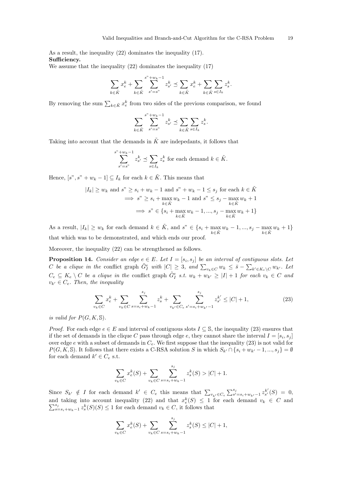As a result, the inequality (22) dominates the inequality (17). Sufficiency.

We assume that the inequality (22) dominates the inequality (17)

$$
\sum_{k \in \tilde{K}} x_{e}^{k} + \sum_{k \in \tilde{K}} \sum_{s'=s^{n}}^{s^{n}+w_{k}-1} z_{s'}^{k} \preceq \sum_{k \in \tilde{K}} x_{e}^{k} + \sum_{k \in \tilde{K}} \sum_{s \in I_{k}} z_{s}^{k}.
$$

By removing the sum  $\sum_{k \in \tilde{K}} x_{e}^{k}$  from two sides of the previous comparison, we found

$$
\sum_{k \in \tilde{K}} \sum_{s'=s^{\prime\prime}}^{s^{\prime\prime}+w_k-1} z_{s'}^k \preceq \sum_{k \in \tilde{K}} \sum_{s \in I_k} z_s^k.
$$

Taking into account that the demands in  $\tilde{K}$  are indepedants, it follows that

$$
\sum_{s'=s^{"}}^{s^{n}+w_{k}-1} z_{s'}^{k} \preceq \sum_{s\in I_{k}} z_{s}^{k}
$$
 for each demand  $k \in \tilde{K}$ .

Hence,  $[s", s" + w_k - 1] \subseteq I_k$  for each  $k \in \tilde{K}$ . This means that

$$
|I_k| \ge w_k \text{ and } s^r \ge s_i + w_k - 1 \text{ and } s^r + w_k - 1 \le s_j \text{ for each } k \in \tilde{K}
$$
  

$$
\implies s^r \ge s_i + \max_{k \in \tilde{K}} w_k - 1 \text{ and } s^r \le s_j - \max_{k \in \tilde{K}} w_k + 1
$$
  

$$
\implies s^r \in \{s_i + \max_{k \in \tilde{K}} w_k - 1, ..., s_j - \max_{k \in \tilde{K}} w_k + 1\}
$$

As a result,  $|I_k| \geq w_k$  for each demand  $k \in \tilde{K}$ , and  $s'' \in \{s_i + \max_{k \in \tilde{K}} w_k - 1, ..., s_j - \max_{k \in \tilde{K}} w_k + 1\}$ that which was to be demonstrated, and which ends our proof.

Moreover, the inequality (22) can be strengthened as follows.

**Proposition 14.** Consider an edge  $e \in E$ . Let  $I = [s_i, s_j]$  be an interval of contiguous slots. Let C be a clique in the conflict graph  $\tilde{G}_I^e$  with  $|C| \geq 3$ , and  $\sum_{v_k \in C} w_k \leq \bar{s} - \sum_{k' \in K_e \setminus C} w_{k'}$ . Let  $C_e \subseteq K_e \setminus C$  be a clique in the conflict graph  $\tilde{G}^e_I$  s.t.  $w_k + w_{k'} \geq |I| + 1$  for each  $v_k \in C$  and  $v_{k'} \in C_e$ . Then, the inequality

$$
\sum_{v_k \in C} x_{e}^k + \sum_{v_k \in C} \sum_{s=s_i+w_k-1}^{s_j} z_s^k + \sum_{v_{k'} \in C_e} \sum_{s'=s_i+w_{k'}-1}^{s_j} z_{s'}^{k'} \le |C|+1,
$$
\n(23)

is valid for  $P(G, K, \mathbb{S})$ .

*Proof.* For each edge  $e \in E$  and interval of contiguous slots  $I \subseteq S$ , the inequality (23) ensures that if the set of demands in the clique C pass through edge e, they cannot share the interval  $I = [s_i, s_j]$ over edge e with a subset of demands in  $C_e$ . We first suppose that the inequality (23) is not valid for  $P(G, K, \mathbb{S})$ . It follows that there exists a C-RSA solution S in which  $S_{k'} \cap \{s_i + w_{k'} - 1, ..., s_j\} = \emptyset$ for each demand  $k' \in C_e$  s.t.

$$
\sum_{v_k \in C} x_e^k(S) + \sum_{v_k \in C} \sum_{s=s_i+w_k-1}^{s_j} z_s^k(S) > |C| + 1.
$$

Since  $S_{k'} \notin I$  for each demand  $k' \in C_e$  this means that  $\sum_{v_{k'} \in C_e} \sum_{s'=s_i+w_{k'}-1}^{s_j} z_{s'}^{k'}(S) = 0$ , and taking into account inequality (22) and that  $x_e^k(S) \leq 1$  for each demand  $v_k \in C$  and  $\sum_{s=s_i+w_k-1}^{s_j} z_s^k(S)(S) \leq 1$  for each demand  $v_k \in C$ , it follows that

$$
\sum_{v_k \in C} x_e^k(S) + \sum_{v_k \in C} \sum_{s=s_i+w_k-1}^{s_j} z_s^k(S) \le |C| + 1,
$$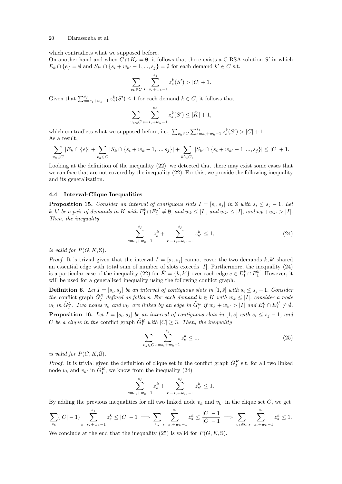which contradicts what we supposed before.

On another hand and when  $C \cap K_e = \emptyset$ , it follows that there exists a C-RSA solution S' in which  $E_k \cap \{e\} = \emptyset$  and  $S_{k'} \cap \{s_i + w_{k'} - 1, ..., s_j\} = \emptyset$  for each demand  $k' \in C$  s.t.

$$
\sum_{v_k \in C} \sum_{s=s_i+w_k-1}^{s_j} z_s^k(S') > |C| + 1.
$$

Given that  $\sum_{s=s_i+w_k-1}^{s_j} z_s^k(S') \leq 1$  for each demand  $k \in C$ , it follows that

$$
\sum_{v_k \in C} \sum_{s=s_i+w_k-1}^{s_j} z_s^k(S') \leq |\tilde{K}| + 1,
$$

which contradicts what we supposed before, i.e.,  $\sum_{v_k \in C} \sum_{s=s_i+w_k-1}^{s_j} z_s^k(S') > |C| + 1$ . As a result,

$$
\sum_{v_k \in C} |E_k \cap \{e\}| + \sum_{v_k \in C} |S_k \cap \{s_i + w_k - 1, ..., s_j\}| + \sum_{k' \in C_e} |S_{k'} \cap \{s_i + w_{k'} - 1, ..., s_j\}| \leq |C| + 1.
$$

Looking at the definition of the inequality (22), we detected that there may exist some cases that we can face that are not covered by the inequality (22). For this, we provide the following inequality and its generalization.

### 4.4 Interval-Clique Inequalities

**Proposition 15.** Consider an interval of contiguous slots  $I = [s_i, s_j]$  in S with  $s_i \leq s_j - 1$ . Let  $k, k'$  be a pair of demands in K with  $E_1^k \cap E_1^{k'} \neq \emptyset$ , and  $w_k \leq |I|$ , and  $w_{k'} \leq |I|$ , and  $w_k + w_{k'} > |I|$ . Then, the inequality

$$
\sum_{s=s_i+w_k-1}^{s_j} z_s^k + \sum_{s'=s_i+w_{k'}-1}^{s_j} z_{s'}^{k'} \le 1,
$$
\n(24)

is valid for  $P(G, K, \mathbb{S})$ .

*Proof.* It is trivial given that the interval  $I = [s_i, s_j]$  cannot cover the two demands  $k, k'$  shared an essential edge with total sum of number of slots exceeds  $|I|$ . Furthermore, the inequality  $(24)$ is a particular case of the inequality (22) for  $\tilde{K} = \{k, k'\}$  over each edge  $e \in E_1^k \cap E_1^{k'}$ . However, it will be used for a generalized inequality using the following conflict graph.

**Definition 6.** Let  $I = [s_i, s_j]$  be an interval of contiguous slots in  $[1, \bar{s}]$  with  $s_i \leq s_j - 1$ . Consider the conflict graph  $\tilde{G}^E_I$  defined as follows. For each demand  $k \in K$  with  $w_k \leq |I|$ , consider a node  $v_k$  in  $\tilde{G}_I^E$ . Two nodes  $v_k$  and  $v_{k'}$  are linked by an edge in  $\tilde{G}_I^E$  if  $w_k + w_{k'} > |I|$  and  $E_1^k \cap E_1^{k'} \neq \emptyset$ .

**Proposition 16.** Let  $I = [s_i, s_j]$  be an interval of contiguous slots in  $[1, \bar{s}]$  with  $s_i \leq s_j - 1$ , and C be a clique in the conflict graph  $\tilde{G}^E_I$  with  $|C| \geq 3$ . Then, the inequality

$$
\sum_{v_k \in C} \sum_{s=s_i+w_k-1}^{s_j} z_s^k \le 1,
$$
\n(25)

is valid for  $P(G, K, \mathbb{S})$ .

*Proof.* It is trivial given the definition of clique set in the conflict graph  $\tilde{G}^E_I$  s.t. for all two linked node  $v_k$  and  $v_{k'}$  in  $\tilde{G}^E_I$ , we know from the inequality (24)

$$
\sum_{s=s_i+w_k-1}^{s_j} z_s^k + \sum_{s'=s_i+w_{k'}-1}^{s_j} z_{s'}^{k'} \le 1.
$$

By adding the previous inequalities for all two linked node  $v_k$  and  $v_{k'}$  in the clique set C, we get

$$
\sum_{v_k} (|C|-1) \sum_{s=s_i+w_k-1}^{s_j} z_s^k \le |C|-1 \implies \sum_{v_k} \sum_{s=s_i+w_k-1}^{s_j} z_s^k \le \frac{|C|-1}{|C|-1} \implies \sum_{v_k \in C} \sum_{s=s_i+w_k-1}^{s_j} z_s^k \le 1.
$$

We conclude at the end that the inequality (25) is valid for  $P(G, K, \mathbb{S})$ .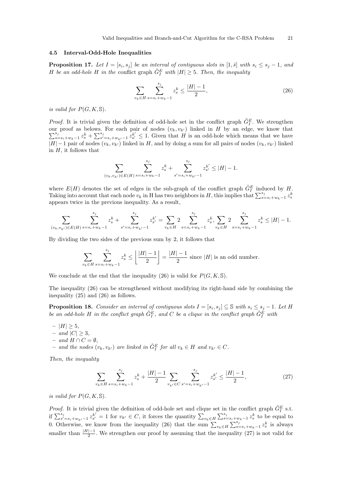### 4.5 Interval-Odd-Hole Inequalities

**Proposition 17.** Let  $I = [s_i, s_j]$  be an interval of contiguous slots in  $[1, \bar{s}]$  with  $s_i \leq s_j - 1$ , and H be an odd-hole H in the conflict graph  $\tilde{G}^E_I$  with  $|H| \geq 5$ . Then, the inequality

$$
\sum_{v_k \in H} \sum_{s=s_i+w_k-1}^{s_j} z_s^k \le \frac{|H|-1}{2},\tag{26}
$$

is valid for  $P(G, K, \mathbb{S})$ .

*Proof.* It is trivial given the definition of odd-hole set in the conflict graph  $\tilde{G}_{I}^{E}$ . We strengthen  $\sum_{s=s_i+w_k-1}^{s_j} z_s^k + \sum_{s'=s_i+w_{k'}-1}^{s_j} z_{s'}^{k'} \leq 1$ . Given that H is an odd-hole which means that we have our proof as belows. For each pair of nodes  $(v_k, v_{k'})$  linked in H by an edge, we know that  $|H| - 1$  pair of nodes  $(v_k, v_{k'})$  linked in H, and by doing a sum for all pairs of nodes  $(v_k, v_{k'})$  linked in  $H$ , it follows that

$$
\sum_{(v_k, v_{k'}) \in E(H)} \sum_{s=s_i+w_k-1}^{s_j} z_s^k + \sum_{s'=s_i+w_{k'}-1}^{s_j} z_{s'}^{k'} \le |H|-1.
$$

where  $E(H)$  denotes the set of edges in the sub-graph of the conflict graph  $\tilde{G}^E_I$  induced by H. Taking into account that each node  $v_k$  in H has two neighbors in H, this implies that  $\sum_{s=s_i+w_k-1}^{s_j} z_s^k$ appears twice in the previous inequality. As a result,

$$
\sum_{(v_k, v_{k'}) \in E(H)} \sum_{s=s_i+w_k-1}^{s_j} z_s^k + \sum_{s'=s_i+w_{k'}-1}^{s_j} z_{s'}^{k'} = \sum_{v_k \in H} 2 \sum_{s=s_i+w_k-1}^{s_j} z_s^k, \sum_{v_k \in H} 2 \sum_{s=s_i+w_k-1}^{s_j} z_s^k \le |H|-1.
$$

By dividing the two sides of the previous sum by 2, it follows that

$$
\sum_{v_k \in H} \sum_{s=s_i+w_k-1}^{s_j} z_s^k \le \left\lfloor \frac{|H|-1}{2} \right\rfloor = \frac{|H|-1}{2}
$$
 since |H| is an odd number.

We conclude at the end that the inequality (26) is valid for  $P(G, K, \mathbb{S})$ .

The inequality (26) can be strengthened without modifying its right-hand side by combining the inequality (25) and (26) as follows.

**Proposition 18.** Consider an interval of contiguous slots  $I = [s_i, s_j] \subseteq \mathbb{S}$  with  $s_i \leq s_j - 1$ . Let H be an odd-hole H in the conflict graph  $\tilde{G}_{I}^{E}$ , and C be a clique in the conflict graph  $\tilde{G}_{I}^{\tilde{E}}$  with

- $|H| \geq 5$ ,
- and  $|C| \geq 3$ ,
- and  $H \cap C = ∅$ ,
- and the nodes  $(v_k, v_{k'})$  are linked in  $\tilde{G}^E_I$  for all  $v_k \in H$  and  $v_{k'} \in C$ .

Then, the inequality

$$
\sum_{v_k \in H} \sum_{s=s_i+w_k-1}^{s_j} z_s^k + \frac{|H|-1}{2} \sum_{v_{k'} \in C} \sum_{s'=s_i+w_{k'}-1}^{s_j} z_{s'}^{k'} \le \frac{|H|-1}{2},\tag{27}
$$

is valid for  $P(G, K, \mathbb{S})$ .

*Proof.* It is trivial given the definition of odd-hole set and clique set in the conflict graph  $\tilde{G}_{I}^{E}$  s.t. if  $\sum_{s'=s_i+w_{k'}-1}^{s_j} z_{s'}^{k'} = 1$  for  $v_{k'} \in C$ , it forces the quantity  $\sum_{v_k \in H} \sum_{s=s_i+w_k-1}^{s_j} z_s^k$  to be equal to 0. Otherwise, we know from the inequality (26) that the sum  $\sum_{v_k \in H} \sum_{s=s_i+w_k-1}^{s_j} z_s^k$  is always smaller than  $\frac{|H|-1}{2}$ . We strengthen our proof by assuming that the inequality (27) is not valid for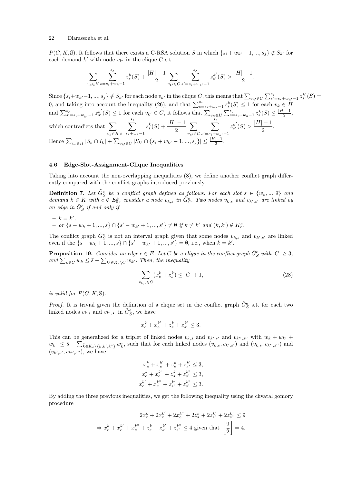$P(G, K, \mathbb{S})$ . It follows that there exists a C-RSA solution S in which  $\{s_i + w_{k'} - 1, ..., s_j\} \notin S_{k'}$  for each demand  $k'$  with node  $v_{k'}$  in the clique C s.t.

$$
\sum_{v_k \in H} \sum_{s=s_i+w_k-1}^{s_j} z_s^k(S) + \frac{|H|-1}{2} \sum_{v_{k'} \in C} \sum_{s'=s_i+w_{k'}-1}^{s_j} z_{s'}^{k'}(S) > \frac{|H|-1}{2}.
$$

Since  $\{s_i+w_{k'}-1, ..., s_j\} \notin S_{k'}$  for each node  $v_{k'}$  in the clique C, this means that  $\sum_{v_{k'} \in C} \sum_{s'=s_i+w_{k'}-1}^{s_j} z_{s'}^{k'}(S)$ 0, and taking into account the inequality (26), and that  $\sum_{s=s_i+w_k-1}^{s_j} z_s^k(S) \leq 1$  for each  $v_k \in H$ and  $\sum_{s'=s_i+w_{k'}-1}^{s_j} z_{s'}^{k'}(S) \leq 1$  for each  $v_{k'} \in C$ , it follows that  $\sum_{v_k \in H} \sum_{s=s_i+w_{k}-1}^{s_j} z_s^k(S) \leq \frac{|H|-1}{2}$  $\frac{1}{2}$ , which contradicts that  $\sum$  $v_k \in H$  $\sum_{i=1}^{s_j}$  $s=s_i+w_k-1$  $z_s^k(S) + \frac{|H| - 1}{2}$  $\sum$  $v_{k'}{\in}C$  $\sum_{i=1}^{s_j}$  $s'\!=\!s_i\!+\!w_{k'}\!-\!1$  $z_{s'}^{k'}$  $\frac{1}{s'}(S) > \frac{|H|-1}{2}$  $\frac{1}{2}$ . Hence  $\sum_{v_k \in H} |S_k \cap I_k| + \sum_{v_{k'} \in C} |S_{k'} \cap \{s_i + w_{k'} - 1, ..., s_j\}| \leq \frac{|H| - 1}{2}$ .

### 4.6 Edge-Slot-Assignment-Clique Inequalities

Taking into account the non-overlapping inequalities (8), we define another conflict graph differently compared with the conflict graphs introduced previously.

**Definition 7.** Let  $\tilde{G}_{S}^{e}$  be a conflict graph defined as follows. For each slot  $s \in \{w_k, ..., \bar{s}\}$  and demand  $k \in K$  with  $e \notin E_0^k$ , consider a node  $v_{k,s}$  in  $\tilde{G}_S^e$ . Two nodes  $v_{k,s}$  and  $v_{k',s'}$  are linked by an edge in  $\tilde{G}_{S}^{e}$  if and only if

$$
- k = k',
$$
  
- or {s - w<sub>k</sub> + 1, ..., s}  $\cap$  {s' - w<sub>k'</sub> + 1, ..., s'}  $\neq \emptyset$  if  $k \neq k'$  and  $(k, k') \notin K_c^e$ .

The conflict graph  $\tilde{G}_{S}^{e}$  is not an interval graph given that some nodes  $v_{k,s}$  and  $v_{k',s'}$  are linked even if the  $\{s - w_k + 1, ..., s\} \cap \{s' - w_{k'} + 1, ..., s'\} = \emptyset$ , i.e., when  $k = k'$ .

**Proposition 19.** Consider an edge  $e \in E$ . Let C be a clique in the conflict graph  $\tilde{G}^e_S$  with  $|C| \geq 3$ , and  $\sum_{k \in C} w_k \leq \bar{s} - \sum_{k' \in K_e \setminus C} w_{k'}$ . Then, the inequality

$$
\sum_{v_{k,s}\in C} (x_e^k + z_s^k) \le |C| + 1,\tag{28}
$$

is valid for  $P(G, K, \mathbb{S})$ .

*Proof.* It is trivial given the definition of a clique set in the conflict graph  $\tilde{G}_{S}^{e}$  s.t. for each two linked nodes  $v_{k,s}$  and  $v_{k',s'}$  in  $\tilde{G}_{S}^{e}$ , we have

$$
x_e^k + x_e^{k'} + z_s^k + z_{s'}^{k'} \le 3.
$$

This can be generalized for a triplet of linked nodes  $v_{k,s}$  and  $v_{k',s'}$  and  $v_{k'',s''}$  with  $w_k + w_{k'}$  +  $w_{k^{\prime\prime}} \leq \bar{s} - \sum_{\tilde{k} \in K_{\epsilon} \setminus \{k, k', k^{\prime\prime}\}} w_{\tilde{k}}$ , such that for each linked nodes  $(v_{k,s}, v_{k',s'})$  and  $(v_{k,s}, v_{k'',s''})$  and  $(v_{k',s'}, v_{k'',s''}),$  we have

$$
x_e^k + x_e^{k'} + z_s^k + z_{s'}^{k'} \le 3,
$$
  
\n
$$
x_e^k + x_e^{k''} + z_s^k + z_{s''}^{k''} \le 3,
$$
  
\n
$$
x_e^{k'} + x_e^{k''} + z_{s'}^{k'} + z_{s''}^{k''} \le 3.
$$

By adding the three previous inequalities, we get the following inequality using the chvatal gomory procedure

$$
2x_e^k + 2x_e^{k'} + 2x_e^{k''} + 2z_s^k + 2z_{s'}^{k'} + 2z_{s''}^{k''} \le 9
$$
  
\n
$$
\Rightarrow x_e^k + x_e^{k'} + x_e^{k''} + z_s^{k} + z_{s'}^{k'} + z_{s''}^{k''} \le 4 \text{ given that } \left\lfloor \frac{9}{2} \right\rfloor = 4.
$$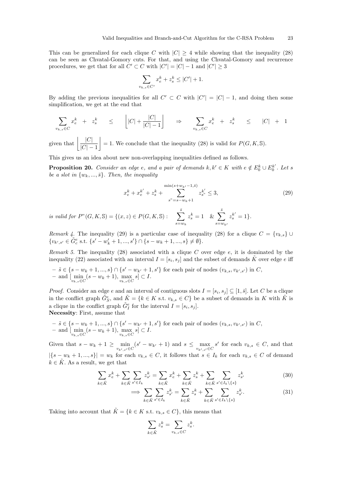This can be generalized for each clique C with  $|C| \geq 4$  while showing that the inequality (28) can be seen as Chvatal-Gomory cuts. For that, and using the Chvatal-Gomory and recurrence procedures, we get that for all  $C' \subset C$  with  $|C'| = |C| - 1$  and  $|C'| \geq 3$ 

$$
\sum_{v_{k,s} \in C'} x_e^k + z_s^k \le |C'| + 1.
$$

By adding the previous inequalities for all  $C' \subset C$  with  $|C'| = |C| - 1$ , and doing then some simplification, we get at the end that

$$
\sum_{v_{k,s}\in C} x_e^k + z_s^k \le |C| + \frac{|C|}{|C|-1} \implies \sum_{v_{k,s}\in C} x_e^k + z_s^k \le |C| + 1
$$

given that  $\left| \frac{|C|}{|C|} \right|$  $|C| - 1$  $= 1$ . We conclude that the inequality (28) is valid for  $P(G, K, \mathbb{S})$ .

This gives us an idea about new non-overlapping inequalities defined as follows.

**Proposition 20.** Consider an edge e, and a pair of demands  $k, k' \in K$  with  $e \notin E_0^k \cup E_0^{k'}$ . Let s be a slot in  $\{w_k, ..., \bar{s}\}$ . Then, the inequality

$$
x_e^k + x_e^{k'} + z_s^k + \sum_{s^" = s - w_k + 1}^{\min(s + w_{k'} - 1, \bar{s})} z_{s^"}^{k'} \le 3,
$$
\n
$$
(29)
$$

is valid for  $P^{\prime\prime}(G, K, \mathbb{S}) = \{(x, z) \in P(G, K, \mathbb{S}) : \sum_{i=1}^{\bar{s}}\}$  $s = w_k$  $z_s^k = 1$  &  $\sum$ <sup>s</sup>  $s = w_k$  $z_s^{k'} = 1$ .

Remark 4. The inequality (29) is a particular case of inequality (28) for a clique  $C = \{v_{k,s}\}\cup$  $\{v_{k',s'} \in \tilde{G}_c^e \text{ s.t. } \{s'-w_k'+1,...,s'\} \cap \{s-w_k+1,...,s\} \neq \emptyset\}.$ 

Remark 5. The inequality (28) associated with a clique  $C$  over edge  $e$ , it is dominated by the inequality (22) associated with an interval  $I = [s_i, s_j]$  and the subset of demands  $\tilde{K}$  over edge e iff

$$
- \tilde{s} \in \{s - w_k + 1, ..., s\} \cap \{s' - w_{k'} + 1, s'\} \text{ for each pair of nodes } (v_{k,s}, v_{k',s'}) \text{ in } C, \\ - \text{ and } [\min_{v_{k,s} \in C} (s - w_k + 1), \max_{v_{k,s} \in C} s] \subset I.
$$

*Proof.* Consider an edge e and an interval of contiguous slots  $I = [s_i, s_j] \subseteq [1, \bar{s}]$ . Let C be a clique in the conflict graph  $\tilde{G}_{S}^{e}$ , and  $\tilde{K} = \{k \in K \text{ s.t. } v_{k,s} \in C\}$  be a subset of demands in K with  $\tilde{K}$  is a clique in the conflict graph  $\tilde{G}^e_I$  for the interval  $I = [s_i, s_j]$ . Necessity: First, assume that

 $- \tilde{s} \in \{s - w_k + 1, ..., s\} \cap \{s' - w_{k'} + 1, s'\}$  for each pair of nodes  $(v_{k,s}, v_{k',s'})$  in C, - and  $[\min_{v_{k,s} \in C} (s - w_k + 1), \max_{v_{k,s} \in C} s]$  ⊂ I.

Given that  $s - w_k + 1 \ge \min_{v_{k',s'} \in C} (s' - w_{k'} + 1)$  and  $s \le \max_{v_{k',s'} \in C} s'$  for each  $v_{k,s} \in C$ , and that  $|\{s - w_k + 1, ..., s\}| = w_k$  for each  $v_{k,s} \in C$ , it follows that  $s \in I_k$  for each  $v_{k,s} \in C$  of demand  $k \in \tilde{K}$ . As a result, we get that

$$
\sum_{k \in \tilde{K}} x_{e}^{k} + \sum_{k \in \tilde{K}} \sum_{s' \in I_{k}} z_{s'}^{k} = \sum_{k \in \tilde{K}} x_{e}^{k} + \sum_{k \in \tilde{K}} z_{s}^{k} + \sum_{k \in \tilde{K}} \sum_{s' \in I_{k} \setminus \{s\}} z_{s'}^{k}
$$
(30)

$$
\implies \sum_{k \in \tilde{K}} \sum_{s' \in I_k} z_{s'}^k = \sum_{k \in \tilde{K}} z_s^k + \sum_{k \in \tilde{K}} \sum_{s' \in I_k \setminus \{s\}} z_{s'}^k.
$$
 (31)

Taking into account that  $\tilde{K} = \{k \in K \text{ s.t. } v_{k,s} \in C\}$ , this means that

$$
\sum_{k \in \tilde{K}} z_s^k = \sum_{v_{k,s} \in C} z_s^k.
$$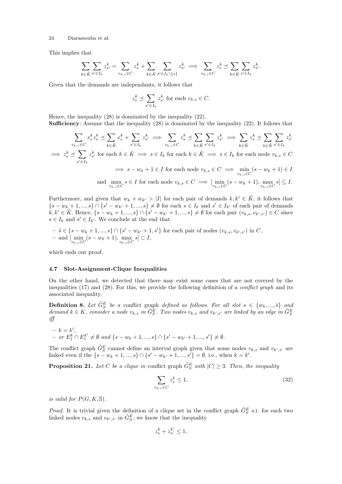This implies that

$$
\sum_{k \in \tilde{K}} \sum_{s' \in I_k} z_{s'}^k = \sum_{v_{k,s} \in C} z_s^k + \sum_{k \in \tilde{K}} \sum_{s' \in I_k \setminus \{s\}} z_{s'}^k \implies \sum_{v_{k,s} \in C} z_s^k \preceq \sum_{k \in \tilde{K}} \sum_{s' \in I_k} z_{s'}^k.
$$

Given that the demands are independants, it follows that

$$
z_s^k \preceq \sum_{s' \in I_k} z_{s'}^k
$$
 for each  $v_{k,s} \in C$ .

Hence, the inequality (28) is dominated by the inequality (22). Sufficiency: Assume that the inequality (28) is dominated by the inequality (22). It follows that

$$
\sum_{v_{k,s}\in C} x_{\varepsilon}^{k} z_{s}^{k} \preceq \sum_{k\in \tilde{K}} x_{\varepsilon}^{k} + \sum_{s'\in I_{k}} z_{s'}^{k} \implies \sum_{v_{k,s}\in C} z_{s}^{k} \preceq \sum_{k\in \tilde{K}} \sum_{s'\in I_{k}} z_{s'}^{k} \implies \sum_{k\in \tilde{K}} z_{s}^{k} \preceq \sum_{k\in \tilde{K}} \sum_{s'\in I_{k}} z_{s'}^{k}
$$
\n
$$
\implies z_{s}^{k} \preceq \sum_{s'\in I_{k}} z_{s'}^{k} \text{ for each } k \in \tilde{K} \implies s \in I_{k} \text{ for each } k \in \tilde{K} \implies s \in I_{k} \text{ for each node } v_{k,s} \in C
$$
\n
$$
\implies s - w_{k} + 1 \in I \text{ for each node } v_{k,s} \in C \implies \min_{v_{k,s}\in C} (s - w_{k} + 1) \in I
$$
\n
$$
\text{and } \max_{v_{k,s}\in C} s \in I \text{ for each node } v_{k,s} \in C \implies [\min_{v_{k,s}\in C} (s - w_{k} + 1), \max_{v_{k,s}\in C} s] \subseteq I.
$$

Furthermore, and given that  $w_k + w_{k'} > |I|$  for each pair of demands  $k, k' \in \tilde{K}$ , it follows that  $\{s-w_k+1,...,s\} \cap \{s'-w_{k'}+1,...,s\} \neq \emptyset$  for each  $s \in I_k$  and  $s' \in I_{k'}$  of each pair of demands  $k, k' \in \tilde{K}$ . Hence,  $\{s - w_k + 1, ..., s\} \cap \{s' - w_{k'} + 1, ..., s\} \neq \emptyset$  for each pair  $(v_{k,s}, v_{k',s'}) \in C$  since  $s \in I_k$  and  $s' \in I_{k'}$ . We conclude at the end that

 $- \tilde{s} \in \{s - w_k + 1, ..., s\} \cap \{s' - w_{k'} + 1, s'\}$  for each pair of nodes  $(v_{k,s}, v_{k',s'})$  in C,  $- \text{ and } [\min_{v_{k,s} \in C} (s - w_k + 1), \max_{v_{k,s} \in C} s] \subset I,$ 

which ends our proof.

### 4.7 Slot-Assignment-Clique Inequalities

On the other hand, we detected that there may exist some cases that are not covered by the inequalities  $(17)$  and  $(28)$ . For this, we provide the following definition of a *conflict graph* and its associated inequality.

**Definition 8.** Let  $\tilde{G}_{S}^{E}$  be a conflict graph defined as follows. For all slot  $s \in \{w_k, ..., \bar{s}\}$  and demand  $k \in K$ , consider a node  $v_{k,s}$  in  $\tilde{G}_{S}^{E}$ . Two nodes  $v_{k,s}$  and  $v_{k',s'}$  are linked by an edge in  $\tilde{G}_{S}^{E}$ iff

$$
- k = k',
$$
  
- or  $E_1^k \cap E_1^{k'} \neq \emptyset$  and  $\{s - w_k + 1, ..., s\} \cap \{s' - w_{k'} + 1, ..., s'\} \neq \emptyset$ .

The conflict graph  $\tilde{G}_{S}^{E}$  cannot define an interval graph given that some nodes  $v_{k,s}$  and  $v_{k',s'}$  are linked even if the  $\{s - w_k + 1, ..., s\} \cap \{s' - w_{k'} + 1, ..., s'\} = \emptyset$ , i.e., when  $k = k'$ .

**Proposition 21.** Let C be a clique in conflict graph  $\tilde{G}_{S}^{E}$  with  $|C| \geq 3$ . Then, the inequality

$$
\sum_{v_{k,s}\in C} z_s^k \le 1,\tag{32}
$$

is valid for  $P(G, K, \mathbb{S})$ .

*Proof.* It is trivial given the definition of a clique set in the conflict graph  $\tilde{G}_{S}^{E}$  s.t. for each two linked nodes  $v_{k,s}$  and  $v_{k',s'}$  in  $\tilde{G}_{S}^{E}$ , we know that the inequality

$$
z_s^k + z_{s'}^{k'} \leq 1,
$$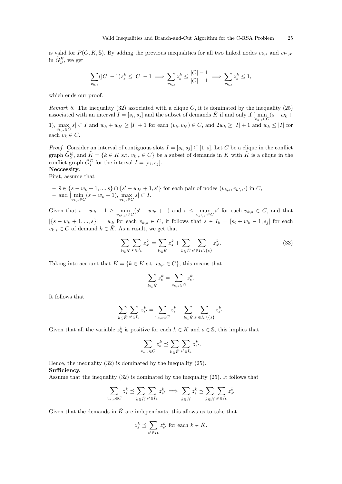is valid for  $P(G, K, \mathbb{S})$ . By adding the previous inequalities for all two linked nodes  $v_{k,s}$  and  $v_{k',s'}$ in  $\tilde{G}_{S}^{E}$ , we get

$$
\sum_{v_{k,s}} (|C| - 1) z_s^k \le |C| - 1 \implies \sum_{v_{k,s}} z_s^k \le \frac{|C| - 1}{|C| - 1} \implies \sum_{v_{k,s}} z_s^k \le 1,
$$

which ends our proof.

*Remark 6.* The inequality (32) associated with a clique C, it is dominated by the inequality (25) associated with an interval  $I = [s_i, s_j]$  and the subset of demands  $\tilde{K}$  if and only if  $\lim_{v_{k,s} \in C} (s - w_k + \dots + w_0)$ 

1),  $\max_{v_{k,s}\in C} s \subset I$  and  $w_k + w_{k'} \geq |I| + 1$  for each  $(v_k, v_{k'}) \in C$ , and  $2w_k \geq |I| + 1$  and  $w_k \leq |I|$  for each  $v_k \in C$ .

*Proof.* Consider an interval of contiguous slots  $I = [s_i, s_j] \subseteq [1, \bar{s}]$ . Let C be a clique in the conflict graph  $\tilde{G}_{S}^{E}$ , and  $\tilde{K} = \{k \in K \text{ s.t. } v_{k,s} \in C\}$  be a subset of demands in K with  $\tilde{K}$  is a clique in the conflict graph  $\tilde{G}_I^E$  for the interval  $I = [s_i, s_j]$ . Neccessity.

First, assume that

 $- \tilde{s} \in \{s - w_k + 1, ..., s\} \cap \{s' - w_{k'} + 1, s'\}$  for each pair of nodes  $(v_{k,s}, v_{k',s'})$  in C, - and  $[\min_{v_{k,s} \in C} (s - w_k + 1), \max_{v_{k,s} \in C} s]$  ⊂ I.

Given that  $s - w_k + 1 \ge \min_{v_{k',s'} \in C} (s' - w_{k'} + 1)$  and  $s \le \max_{v_{k',s'} \in C} s'$  for each  $v_{k,s} \in C$ , and that  $|\{s - w_k + 1, ..., s\}| = w_k$  for each  $v_{k,s} \in C$ , it follows that  $s \in I_k = [s_i + w_k - 1, s_j]$  for each  $v_{k,s} \in C$  of demand  $k \in \tilde{K}$ . As a result, we get that

$$
\sum_{k \in \tilde{K}} \sum_{s' \in I_k} z_{s'}^k = \sum_{k \in \tilde{K}} z_s^k + \sum_{k \in \tilde{K}} \sum_{s' \in I_k \setminus \{s\}} z_{s'}^k.
$$
\n(33)

Taking into account that  $\tilde{K} = \{k \in K \text{ s.t. } v_{k,s} \in C\}$ , this means that

$$
\sum_{k \in \tilde{K}} z_s^k = \sum_{v_{k,s} \in C} z_s^k.
$$

It follows that

$$
\sum_{k\in \tilde{K}}\sum_{s'\in I_k}z_{s'}^k=\sum_{v_{k,s}\in C}z_s^k+\sum_{k\in \tilde{K}}\sum_{s'\in I_k\backslash\{s\}}z_{s'}^k.
$$

Given that all the variable  $z_s^k$  is positive for each  $k \in K$  and  $s \in \mathbb{S}$ , this implies that

$$
\sum_{v_{k,s}\in C} z_s^k \preceq \sum_{k\in \tilde{K}} \sum_{s'\in I_k} z_{s'}^k.
$$

Hence, the inequality (32) is dominated by the inequality (25). Sufficiency.

Assume that the inequality (32) is dominated by the inequality (25). It follows that

$$
\sum_{v_{k,s}\in C} z_s^k \preceq \sum_{k\in \tilde{K}} \sum_{s'\in I_k} z_{s'}^k \implies \sum_{k\in \tilde{K}} z_s^k \preceq \sum_{k\in \tilde{K}} \sum_{s'\in I_k} z_{s'}^k
$$

Given that the demands in  $\tilde{K}$  are independants, this allows us to take that

$$
z_s^k \preceq \sum_{s' \in I_k} z_{s'}^k \text{ for each } k \in \tilde{K}.
$$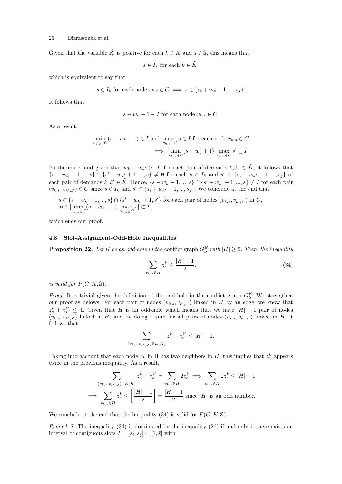Given that the variable  $z_s^k$  is positive for each  $k \in K$  and  $s \in \mathbb{S}$ , this means that

 $s \in I_k$  for each  $k \in \tilde{K}$ ,

which is equivalent to say that

$$
s \in I_k
$$
 for each node  $v_{k,s} \in C \implies s \in \{s_i + w_k - 1, ..., s_j\}.$ 

It follows that

$$
s - w_k + 1 \in I
$$
 for each node  $v_{k,s} \in C$ .

As a result,

$$
\min_{v_{k,s} \in C} (s - w_k + 1) \in I \text{ and } \max_{v_{k,s} \in C} s \in I \text{ for each node } v_{k,s} \in C
$$

$$
\implies \left[ \min_{v_{k,s} \in C} (s - w_k + 1), \max_{v_{k,s} \in C} s \right] \subseteq I.
$$

Furthermore, and given that  $w_k + w_{k'} > |I|$  for each pair of demands  $k, k' \in \tilde{K}$ , it follows that  $\{s-w_k+1,...,s\} \cap \{s'-w_{k'}+1,...,s\} \neq \emptyset$  for each  $s \in I_k$  and  $s' \in \{s_i+w_{k'}-1,...,s_j\}$  of each pair of demands  $k, k' \in \tilde{K}$ . Hence,  $\{s - w_k + 1, ..., s\} \cap \{s' - w_{k'} + 1, ..., s\} \neq \emptyset$  for each pair  $(v_{k,s}, v_{k',s'}) \in C$  since  $s \in I_k$  and  $s' \in \{s_i + w_{k'} - 1, ..., s_j\}$ . We conclude at the end that

 $- \tilde{s} \in \{s - w_k + 1, ..., s\} \cap \{s' - w_{k'} + 1, s'\}$  for each pair of nodes  $(v_{k,s}, v_{k',s'})$  in C, - and  $[\min_{v_{k,s} \in C} (s - w_k + 1), \max_{v_{k,s} \in C} s]$  ⊂ I,

which ends our proof.

### 4.8 Slot-Assignment-Odd-Hole Inequalities

**Proposition 22.** Let H be an odd-hole in the conflict graph  $\tilde{G}_{S}^{E}$  with  $|H| \geq 5$ . Then, the inequality

$$
\sum_{v_{k,s}\in H} z_s^k \le \frac{|H|-1}{2},\tag{34}
$$

is valid for  $P(G, K, \mathbb{S})$ .

*Proof.* It is trivial given the definition of the odd-hole in the conflict graph  $\tilde{G}_{S}^{E}$ . We strengthen our proof as belows. For each pair of nodes  $(v_{k,s}, v_{k',s'})$  linked in H by an edge, we know that  $z_s^k + z_{s'}^{k'} \leq 1$ . Given that H is an odd-hole which means that we have  $|H| - 1$  pair of nodes  $(v_{k,s}, v_{k',s'})$  linked in H, and by doing a sum for all pairs of nodes  $(v_{k,s}, v_{k',s'})$  linked in H, it follows that

$$
\sum_{(v_{k,s}, v_{k',s'}) \in E(H)} z_s^k + z_{s'}^{k'} \le |H| - 1.
$$

Taking into account that each node  $v_k$  in H has two neighbors in H, this implies that  $z_s^k$  appears twice in the previous inequality. As a result,

$$
\sum_{(v_{k,s}, v_{k',s'}) \in E(H)} z_s^k + z_{s'}^{k'} = \sum_{v_{k,s} \in H} 2z_s^k \implies \sum_{v_{k,s} \in H} 2z_s^k \le |H| - 1
$$
  

$$
\implies \sum_{v_{k,s} \in H} z_s^k \le \left\lfloor \frac{|H| - 1}{2} \right\rfloor = \frac{|H| - 1}{2}
$$
 since |H| is an odd number.

We conclude at the end that the inequality (34) is valid for  $P(G, K, \mathbb{S})$ .

Remark 7. The inequality (34) is dominated by the inequality (26) if and only if there exists an interval of contiguous slots  $I = [s_i, s_j] \subset [1, \bar{s}]$  with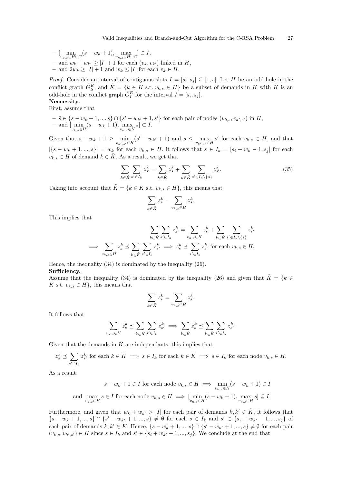$- \left[ \min_{v_{k,s} \in H \cup C} (s - w_k + 1), \max_{v_{k,s} \in H \cup C} \right] \subset I,$ – and  $w_k + w_{k'} \geq |I| + 1$  for each  $(v_k, v_{k'})$  linked in H, – and  $2w_k \geq |I| + 1$  and  $w_k \leq |I|$  for each  $v_k \in H$ .

*Proof.* Consider an interval of contiguous slots  $I = [s_i, s_j] \subseteq [1, \bar{s}]$ . Let H be an odd-hole in the conflict graph  $\tilde{G}_{S}^{E}$ , and  $\tilde{K} = \{k \in K \text{ s.t. } v_{k,s} \in H\}$  be a subset of demands in K with  $\tilde{K}$  is an odd-hole in the conflict graph  $\tilde{G}^E_I$  for the interval  $I = [s_i, s_j]$ . Neccessity.

### First, assume that

 $- \tilde{s} \in \{s - w_k + 1, ..., s\} \cap \{s' - w_{k'} + 1, s'\}$  for each pair of nodes  $(v_{k,s}, v_{k',s'})$  in H, - and  $[\min_{v_{k,s} \in H} (s - w_k + 1), \max_{v_{k,s} \in H} s]$  ⊂ I.

Given that  $s - w_k + 1 \ge \min_{v_{k',s'} \in H} (s' - w_{k'} + 1)$  and  $s \le \max_{v_{k',s'} \in H} s'$  for each  $v_{k,s} \in H$ , and that  $|\{s - w_k + 1, ..., s\}| = w_k$  for each  $v_{k,s} \in H$ , it follows that  $s \in I_k = [s_i + w_k - 1, s_j]$  for each  $v_{k,s} \in H$  of demand  $k \in \tilde{K}$ . As a result, we get that

$$
\sum_{k \in \tilde{K}} \sum_{s' \in I_k} z_{s'}^k = \sum_{k \in \tilde{K}} z_s^k + \sum_{k \in \tilde{K}} \sum_{s' \in I_k \setminus \{s\}} z_{s'}^k.
$$
\n(35)

Taking into account that  $\tilde{K} = \{k \in K \text{ s.t. } v_{k,s} \in H\}$ , this means that

$$
\sum_{k \in \tilde{K}} z_s^k = \sum_{v_{k,s} \in H} z_s^k.
$$

This implies that

$$
\sum_{k \in \tilde{K}} \sum_{s' \in I_k} z_s^k = \sum_{v_{k,s} \in H} z_s^k + \sum_{k \in \tilde{K}} \sum_{s' \in I_k \setminus \{s\}} z_{s'}^k
$$
  

$$
\implies \sum_{v_{k,s} \in H} z_s^k \le \sum_{k \in \tilde{K}} \sum_{s' \in I_k} z_{s'}^k \implies z_s^k \le \sum_{s' \in I_k} z_{s'}^k \text{ for each } v_{k,s} \in H.
$$

Hence, the inequality (34) is dominated by the inequality (26). Sufficiency.

Assume that the inequality (34) is dominated by the inequality (26) and given that  $\tilde{K} = \{k \in \mathbb{R}\}$ K s.t.  $v_{k,s} \in H$ , this means that

$$
\sum_{k \in \tilde{K}} z_s^k = \sum_{v_{k,s} \in H} z_s^k.
$$

It follows that

$$
\sum_{v_{k,s}\in H} z_s^k \preceq \sum_{k\in \tilde{K}} \sum_{s'\in I_k} z_{s'}^k \implies \sum_{k\in \tilde{K}} z_s^k \preceq \sum_{k\in \tilde{K}} \sum_{s'\in I_k} z_{s'}^k.
$$

Given that the demands in  $\tilde{K}$  are independants, this implies that

$$
z_s^k \preceq \sum_{s' \in I_k} z_{s'}^k \text{ for each } k \in \tilde{K} \implies s \in I_k \text{ for each } k \in \tilde{K} \implies s \in I_k \text{ for each node } v_{k,s} \in H.
$$

As a result,

$$
s - w_k + 1 \in I \text{ for each node } v_{k,s} \in H \implies \min_{v_{k,s} \in H} (s - w_k + 1) \in I
$$
  
and 
$$
\max_{v_{k,s} \in H} s \in I \text{ for each node } v_{k,s} \in H \implies [\min_{v_{k,s} \in H} (s - w_k + 1), \max_{v_{k,s} \in H} s] \subseteq I.
$$

Furthermore, and given that  $w_k + w_{k'} > |I|$  for each pair of demands  $k, k' \in \tilde{K}$ , it follows that  $\{s-w_k+1,...,s\} \cap \{s'-w_{k'}+1,...,s\} \neq \emptyset$  for each  $s \in I_k$  and  $s' \in \{s_i+w_{k'}-1,...,s_j\}$  of each pair of demands  $k, k' \in \tilde{K}$ . Hence,  $\{s - w_k + 1, ..., s\} \cap \{s' - w_{k'} + 1, ..., s\} \neq \emptyset$  for each pair  $(v_{k,s}, v_{k',s'}) \in H$  since  $s \in I_k$  and  $s' \in \{s_i + w_{k'} - 1, ..., s_j\}$ . We conclude at the end that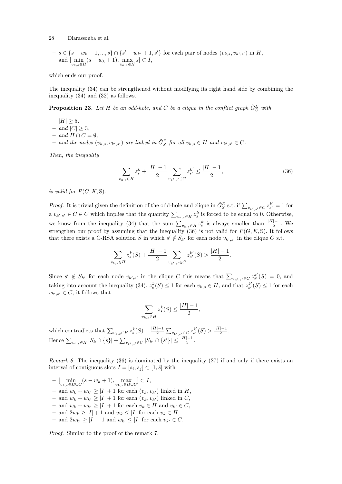$$
- \tilde{s} \in \{s - w_k + 1, ..., s\} \cap \{s' - w_{k'} + 1, s'\}
$$
 for each pair of nodes  $(v_{k,s}, v_{k',s'})$  in  $H$ ,  $-$  and  $\left[\min_{v_{k,s} \in H} (s - w_k + 1), \max_{v_{k,s} \in H} s \right] \subset I$ ,

which ends our proof.

The inequality (34) can be strengthened without modifying its right hand side by combining the inequality (34) and (32) as follows.

**Proposition 23.** Let H be an odd-hole, and C be a clique in the conflict graph  $\tilde{G}_{S}^{E}$  with

- | $H$ | ≥ 5,
- and  $|C| \geq 3$ ,
- and  $H \cap C = \emptyset$ .
- and the nodes  $(v_{k,s}, v_{k',s'})$  are linked in  $\tilde{G}_{S}^{E}$  for all  $v_{k,s} \in H$  and  $v_{k',s'} \in C$ .

Then, the inequality

$$
\sum_{v_{k,s}\in H} z_s^k + \frac{|H|-1}{2} \sum_{v_{k',s'}\in C} z_{s'}^{k'} \le \frac{|H|-1}{2},\tag{36}
$$

is valid for  $P(G, K, \mathbb{S})$ .

*Proof.* It is trivial given the definition of the odd-hole and clique in  $\tilde{G}_{S}^{E}$  s.t. if  $\sum_{v_{k',s'}\in C} z_{s'}^{k'} = 1$  for a  $v_{k',s'} \in C \in C$  which implies that the quantity  $\sum_{v_{k,s} \in H} z_s^k$  is forced to be equal to 0. Otherwise, we know from the inequality (34) that the sum  $\sum_{v_{k,s}\in H} z_s^k$  is always smaller than  $\frac{|H|-1}{2}$ . We strengthen our proof by assuming that the inequality (36) is not valid for  $P(G, K, \mathbb{S})$ . It follows that there exists a C-RSA solution S in which  $s' \notin S_{k'}$  for each node  $v_{k',s'}$  in the clique C s.t.

$$
\sum_{v_{k,s}\in H} z_s^k(S) + \frac{|H|-1}{2}\sum_{v_{k',s'}\in C} z_{s'}^{k'}(S) > \frac{|H|-1}{2}.
$$

Since  $s' \notin S_{k'}$  for each node  $v_{k',s'}$  in the clique C this means that  $\sum_{v_{k',s'} \in C} z_{s'}^{k'}(S) = 0$ , and taking into account the inequality (34),  $z_s^k(S) \leq 1$  for each  $v_{k,s} \in H$ , and that  $z_{s'}^{k'}(S) \leq 1$  for each  $v_{k',s'} \in C$ , it follows that

$$
\sum_{v_{k,s}\in H} z_s^k(S) \le \frac{|H|-1}{2},
$$

which contradicts that  $\sum_{v_{k,s}\in H} z_s^k(S) + \frac{|H|-1}{2} \sum_{v_{k',s'}\in C} z_{s'}^{k'}(S) > \frac{|H|-1}{2}$  $rac{1-1}{2}$ . Hence  $\sum_{v_{k,s}\in H} |S_k \cap \{s\}| + \sum_{v_{k',s'}\in C} |S_{k'} \cap \{s'\}| \leq \frac{|H|-1}{2}.$ 

*Remark 8.* The inequality  $(36)$  is dominated by the inequality  $(27)$  if and only if there exists an interval of contiguous slots  $I = [s_i, s_j] \subset [1, \bar{s}]$  with

 $- \left[ \min_{v_{k,s} \in H \cup C} (s - w_k + 1), \max_{v_{k,s} \in H \cup C} \right] \subset I,$ – and  $w_k + w_{k'} \geq |I| + 1$  for each  $(v_k, v_{k'})$  linked in H, – and  $w_k + w_{k'} \geq |I| + 1$  for each  $(v_k, v_{k'})$  linked in C, – and  $w_k + w_{k'} \geq |I| + 1$  for each  $v_k \in H$  and  $v_{k'} \in C$ , - and  $2w_k ≥ |I| + 1$  and  $w_k ≤ |I|$  for each  $v_k ∈ H$ , – and  $2w_{k'} \geq |I| + 1$  and  $w_{k'} \leq |I|$  for each  $v_{k'} \in C$ .

Proof. Similar to the proof of the remark 7.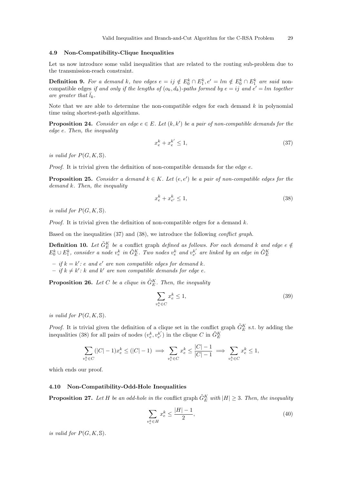### 4.9 Non-Compatibility-Clique Inequalities

Let us now introduce some valid inequalities that are related to the routing sub-problem due to the transmission-reach constraint.

**Definition 9.** For a demand k, two edges  $e = ij \notin E_0^k \cap E_1^k$ ,  $e' = lm \notin E_0^k \cap E_1^k$  are said noncompatible edges if and only if the lengths of  $(o_k, d_k)$ -paths formed by  $e = ij$  and  $e' = lm$  together are greater that  $\bar{l}_k$ .

Note that we are able to determine the non-compatible edges for each demand  $k$  in polynomial time using shortest-path algorithms.

**Proposition 24.** Consider an edge  $e \in E$ . Let  $(k, k')$  be a pair of non-compatible demands for the edge e. Then, the inequality

$$
x_e^k + x_e^{k'} \le 1,\tag{37}
$$

is valid for  $P(G, K, \mathbb{S})$ .

*Proof.* It is trivial given the definition of non-compatible demands for the edge  $e$ .

**Proposition 25.** Consider a demand  $k \in K$ . Let  $(e, e')$  be a pair of non-compatible edges for the demand k. Then, the inequality

$$
x_e^k + x_{e'}^k \le 1,\t\t(38)
$$

is valid for  $P(G, K, \mathbb{S})$ .

*Proof.* It is trivial given the definition of non-compatible edges for a demand  $k$ .

Based on the inequalities (37) and (38), we introduce the following conflict graph.

**Definition 10.** Let  $\tilde{G}_E^K$  be a conflict graph defined as follows. For each demand k and edge e  $\notin$  $E_0^k \cup E_1^k$ , consider a node  $v_e^k$  in  $\tilde{G}_E^K$ . Two nodes  $v_e^k$  and  $v_{e'}^{k'}$  are linked by an edge in  $\tilde{G}_E^K$ 

 $-$  if  $k = k'$ : e and e' are non compatible edges for demand k.

 $-$  if  $k \neq k'$ : k and k' are non compatible demands for edge e.

**Proposition 26.** Let C be a clique in  $\tilde{G}_E^K$ . Then, the inequality

$$
\sum_{v_e^k \in C} x_e^k \le 1,\tag{39}
$$

is valid for  $P(G, K, \mathbb{S})$ .

*Proof.* It is trivial given the definition of a clique set in the conflict graph  $\tilde{G}_E^K$  s.t. by adding the inequalities (38) for all pairs of nodes  $(v_e^k, v_{e'}^{k'})$  in the clique  $C$  in  $\tilde{G}_E^K$ 

$$
\sum_{v_e^k \in C} (|C| - 1)x_e^k \le (|C| - 1) \implies \sum_{v_e^k \in C} x_e^k \le \frac{|C| - 1}{|C| - 1} \implies \sum_{v_e^k \in C} x_e^k \le 1,
$$

which ends our proof.

### 4.10 Non-Compatibility-Odd-Hole Inequalities

**Proposition 27.** Let H be an odd-hole in the conflict graph  $\tilde{G}_E^K$  with  $|H| \geq 3$ . Then, the inequality

$$
\sum_{v_e^k \in H} x_e^k \le \frac{|H| - 1}{2},\tag{40}
$$

is valid for  $P(G, K, \mathbb{S})$ .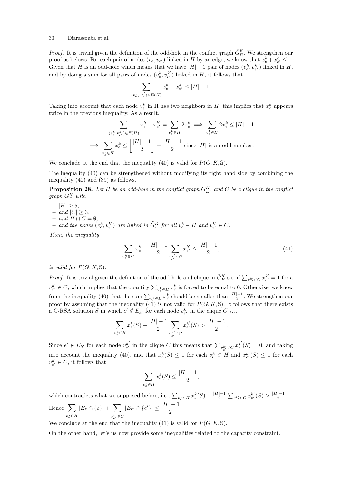*Proof.* It is trivial given the definition of the odd-hole in the conflict graph  $\tilde{G}_{E}^{K}$ . We strengthen our proof as belows. For each pair of nodes  $(v_e, v_{e'})$  linked in H by an edge, we know that  $x_e^k + x_{e'}^k \leq 1$ . Given that H is an odd-hole which means that we have  $|H|-1$  pair of nodes  $(v_e^k, v_{e'}^{k'})$  linked in H, and by doing a sum for all pairs of nodes  $(v_e^k, v_{e'}^{k'})$  linked in  $H$ , it follows that

$$
\sum_{(v_e^k, v_{e'}^{k'}) \in E(H)} x_e^k + x_{e'}^{k'} \leq |H|-1.
$$

Taking into account that each node  $v_e^k$  in H has two neighbors in H, this implies that  $x_e^k$  appears twice in the previous inequality. As a result,

$$
\sum_{(v_e^k, v_{e'}^{k'}) \in E(H)} x_e^k + x_{e'}^{k'} = \sum_{v_e^k \in H} 2x_e^k \implies \sum_{v_e^k \in H} 2x_e^k \le |H| - 1
$$
  

$$
\implies \sum_{v_e^k \in H} x_e^k \le \left\lfloor \frac{|H| - 1}{2} \right\rfloor = \frac{|H| - 1}{2}
$$
 since |H| is an odd number.

We conclude at the end that the inequality (40) is valid for  $P(G, K, \mathbb{S})$ .

The inequality (40) can be strengthened without modifying its right hand side by combining the inequality (40) and (39) as follows.

**Proposition 28.** Let H be an odd-hole in the conflict graph  $\tilde{G}_{E}^{K}$ , and C be a clique in the conflict  $graph\ \tilde{G}_E^K$  with

- $-$  |H|  $>$  5, – and  $|C| \geq 3$ ,
- $-$  and  $H \cap C = \emptyset$ ,
- and the nodes  $(v_e^k, v_{e'}^{k'})$  are linked in  $\tilde{G}_E^K$  for all  $v_e^k \in H$  and  $v_{e'}^{k'} \in C$ .

Then, the inequality

$$
\sum_{v_e^k \in H} x_e^k + \frac{|H| - 1}{2} \sum_{v_{e'}^{k'} \in C} x_{e'}^{k'} \le \frac{|H| - 1}{2},\tag{41}
$$

is valid for  $P(G, K, \mathbb{S})$ .

*Proof.* It is trivial given the definition of the odd-hole and clique in  $\tilde{G}_E^K$  s.t. if  $\sum_{v_{e'}^k \in C} x_{e'}^{k'} = 1$  for a  $v_{e'}^{k'} \in C$ , which implies that the quantity  $\sum_{v_e^k \in H} x_e^k$  is forced to be equal to 0. Otherwise, we know from the inequality (40) that the sum  $\sum_{v_e^k \in H} x_e^k$  should be smaller than  $\frac{|H|-1}{2}$ . We strengthen our proof by assuming that the inequality (41) is not valid for  $P(G, K, \mathbb{S})$ . It follows that there exists a C-RSA solution S in which  $e' \notin E_{k'}$  for each node  $v_{e'}^{k'}$  in the clique C s.t.

$$
\sum_{v_e^k \in H} x_e^k(S) + \frac{|H|-1}{2} \sum_{v_{e'}^{k'} \in C} x_{e'}^{k'}(S) > \frac{|H|-1}{2}.
$$

Since  $e' \notin E_{k'}$  for each node  $v_{e'}^{k'}$  in the clique C this means that  $\sum_{v_{e'}^{k'} \in C} x_{e'}^{k'}(S) = 0$ , and taking into account the inequality (40), and that  $x_e^k(S) \leq 1$  for each  $v_e^k \in H$  and  $x_{e'}^{k'}(S) \leq 1$  for each  $v_{e'}^{k'} \in C$ , it follows that

$$
\sum_{v_e^k \in H} x_e^k(S) \le \frac{|H| - 1}{2},
$$

which contradicts what we supposed before, i.e.,  $\sum_{v_e^k \in H} x_e^k(S) + \frac{|H|-1}{2} \sum_{v_{e'}^k \in C} x_{e'}^{k'}(S) > \frac{|H|-1}{2}$  $rac{|-1|}{2}$ . Hence  $\Sigma$  $v_e^k \\ \in \\ H$  $|E_k \cap \{e\}| + \sum$  $v_{e'}^{k'}$  $\in$ C  $|E_{k'} \cap \{e'\}| \leq \frac{|H| - 1}{2}.$ 

We conclude at the end that the inequality (41) is valid for  $P(G, K, \mathbb{S})$ .

On the other hand, let's us now provide some inequalities related to the capacity constraint.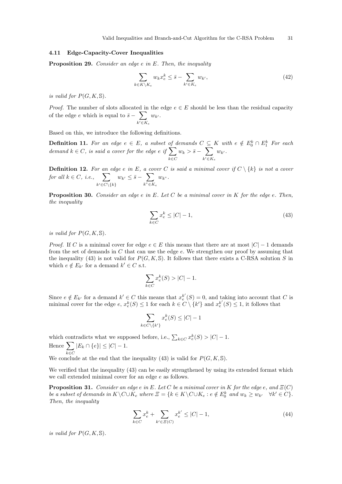### 4.11 Edge-Capacity-Cover Inequalities

**Proposition 29.** Consider an edge e in E. Then, the inequality

$$
\sum_{k \in K \backslash K_e} w_k x_e^k \le \bar{s} - \sum_{k' \in K_e} w_{k'},\tag{42}
$$

is valid for  $P(G, K, \mathbb{S})$ .

*Proof.* The number of slots allocated in the edge  $e \in E$  should be less than the residual capacity of the edge e which is equal to  $\bar{s} - \sum$  $k' \in K_e$  $w_{k'}$ .

Based on this, we introduce the following definitions.

**Definition 11.** For an edge  $e \in E$ , a subset of demands  $C \subseteq K$  with  $e \notin E_0^k \cap E_1^k$  For each demand  $k \in C$ , is said a cover for the edge e if  $\sum$ k∈C  $w_k > \bar{s}-\sum$  $k' \in K_e$  $w_{k'}$ .

**Definition 12.** For an edge e in E, a cover C is said a minimal cover if  $C \setminus \{k\}$  is not a cover for all  $k \in C$ , i.e.,  $\sum$  $k' \in C \setminus \{k\}$  $w_{k'} \leq \bar{s}-\sum$  $k$ "∈ $K_e$  $w_{k}$ ".

**Proposition 30.** Consider an edge  $e$  in  $E$ . Let  $C$  be a minimal cover in  $K$  for the edge  $e$ . Then, the inequality

$$
\sum_{k \in C} x_e^k \le |C| - 1,\tag{43}
$$

is valid for  $P(G, K, \mathbb{S})$ .

*Proof.* If C is a minimal cover for edge  $e \in E$  this means that there are at most  $|C| - 1$  demands from the set of demands in  $C$  that can use the edge  $e$ . We strengthen our proof by assuming that the inequality (43) is not valid for  $P(G, K, \mathbb{S})$ . It follows that there exists a C-RSA solution S in which  $e \notin E_{k'}$  for a demand  $k' \in C$  s.t.

$$
\sum_{k \in C} x_e^k(S) > |C| - 1.
$$

Since  $e \notin E_{k'}$  for a demand  $k' \in C$  this means that  $x_e^{k'}(S) = 0$ , and taking into account that C is minimal cover for the edge  $e, x_e^k(S) \leq 1$  for each  $k \in C \setminus \{k'\}$  and  $x_e^{k'}(S) \leq 1$ , it follows that

$$
\sum_{k \in C \setminus \{k'\}} x_e^k(S) \le |C| - 1
$$

which contradicts what we supposed before, i.e.,  $\sum_{k \in C} x_e^k(S) > |C| - 1$ . Hence  $\sum$  $k \in C$  $|E_k \cap \{e\}| \leq |C| - 1.$ 

We conclude at the end that the inequality (43) is valid for  $P(G, K, \mathbb{S})$ .

We verified that the inequality (43) can be easily strengthened by using its extended format which we call extended minimal cover for an edge e as follows.

**Proposition 31.** Consider an edge e in E. Let C be a minimal cover in K for the edge e, and  $E(C)$ be a subset of demands in  $K \backslash C \cup K_e$  where  $\Xi = \{k \in K \backslash C \cup K_e : e \notin E_0^k \text{ and } w_k \geq w_{k'} \quad \forall k' \in C\}.$ Then, the inequality

$$
\sum_{k \in C} x_e^k + \sum_{k' \in \Xi(C)} x_e^{k'} \le |C| - 1,\tag{44}
$$

is valid for  $P(G, K, \mathbb{S})$ .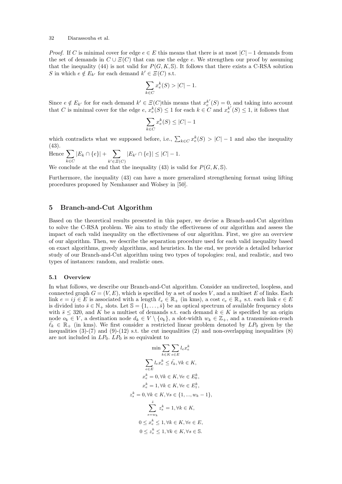*Proof.* If C is minimal cover for edge  $e \in E$  this means that there is at most  $|C| - 1$  demands from the set of demands in  $C \cup \overline{E}(C)$  that can use the edge e. We strengthen our proof by assuming that the inequality (44) is not valid for  $P(G, K, \mathbb{S})$ . It follows that there exists a C-RSA solution S in which  $e \notin E_{k'}$  for each demand  $k' \in \Xi(C)$  s.t.

$$
\sum_{k \in C} x_e^k(S) > |C| - 1.
$$

Since  $e \notin E_{k'}$  for for each demand  $k' \in \mathcal{E}(C)$  this means that  $x_e^{k'}(S) = 0$ , and taking into account that C is minimal cover for the edge  $e, x_e^k(S) \leq 1$  for each  $k \in C$  and  $x_e^{k'}(S) \leq 1$ , it follows that

$$
\sum_{k \in C} x_e^k(S) \leq |C| - 1
$$

which contradicts what we supposed before, i.e.,  $\sum_{k \in C} x_e^k(S) > |C| - 1$  and also the inequality (43).

Hence  $\sum$ k∈C  $|E_k \cap \{e\}| + \sum$  $k' \in \Xi(C)$  $|E_{k'} \cap \{e\}| \leq |C| - 1.$ 

We conclude at the end that the inequality (43) is valid for  $P(G, K, \mathbb{S})$ .

Furthermore, the inequality (43) can have a more generalized strengthening format using lifting procedures proposed by Nemhauser and Wolsey in [50].

### 5 Branch-and-Cut Algorithm

Based on the theoretical results presented in this paper, we devise a Branch-and-Cut algorithm to solve the C-RSA problem. We aim to study the effectiveness of our algorithm and assess the impact of each valid inequality on the effectiveness of our algorithm. First, we give an overview of our algorithm. Then, we describe the separation procedure used for each valid inequality based on exact algorithms, greedy algorithms, and heuristics. In the end, we provide a detailed behavior study of our Branch-and-Cut algorithm using two types of topologies: real, and realistic, and two types of instances: random, and realistic ones.

### 5.1 Overview

In what follows, we describe our Branch-and-Cut algorithm. Consider an undirected, loopless, and connected graph  $G = (V, E)$ , which is specified by a set of nodes V, and a multiset E of links. Each link  $e = ij \in E$  is associated with a length  $\ell_e \in \mathbb{R}_+$  (in kms), a cost  $c_e \in \mathbb{R}_+$  s.t. each link  $e \in E$ is divided into  $\bar{s} \in \mathbb{N}_+$  slots. Let  $\mathbb{S} = \{1, \ldots, \bar{s}\}$  be an optical spectrum of available frequency slots with  $\bar{s} \leq 320$ , and K be a multiset of demands s.t. each demand  $k \in K$  is specified by an origin node  $o_k \in V$ , a destination node  $d_k \in V \setminus \{o_k\}$ , a slot-width  $w_k \in \mathbb{Z}_+$ , and a transmission-reach  $\bar{\ell}_k \in \mathbb{R}_+$  (in kms). We first consider a restricted linear problem denoted by  $LP_0$  given by the inequalities  $(3)-(7)$  and  $(9)-(12)$  s.t. the cut inequalities  $(2)$  and non-overlapping inequalities  $(8)$ are not included in  $LP_0$ .  $LP_0$  is so equivalent to

$$
\min \sum_{k \in K} \sum_{e \in E} l_e x_e^k
$$
  

$$
\sum_{e \in E} l_e x_e^k \le \bar{\ell}_k, \forall k \in K,
$$
  

$$
x_e^k = 0, \forall k \in K, \forall e \in E_0^k,
$$
  

$$
x_e^k = 1, \forall k \in K, \forall e \in E_1^k,
$$
  

$$
z_s^k = 0, \forall k \in K, \forall s \in \{1, ..., w_k - 1\},
$$
  

$$
\sum_{s=w_k}^{\bar{s}} z_s^k = 1, \forall k \in K,
$$
  

$$
0 \le x_e^k \le 1, \forall k \in K, \forall e \in E,
$$
  

$$
0 \le z_s^k \le 1, \forall k \in K, \forall s \in \mathbb{S}.
$$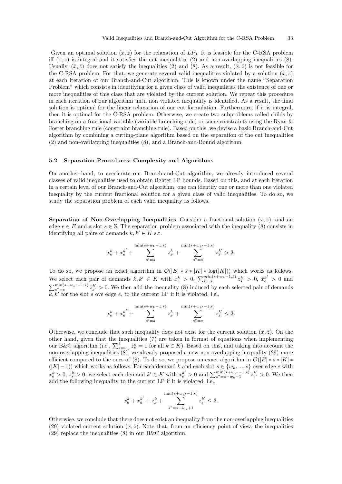Given an optimal solution  $(\bar{x}, \bar{z})$  for the relaxation of  $LP_0$ . It is feasible for the C-RSA problem iff  $(\bar{x}, \bar{z})$  is integral and it satisfies the cut inequalities (2) and non-overlapping inequalities (8). Usually,  $(\bar{x}, \bar{z})$  does not satisfy the inequalities (2) and (8). As a result,  $(\bar{x}, \bar{z})$  is not feasible for the C-RSA problem. For that, we generate several valid inequalities violated by a solution  $(\bar{x}, \bar{z})$ at each iteration of our Branch-and-Cut algorithm. This is known under the name "Separation Problem" which consists in identifying for a given class of valid inequalities the existence of one or more inequalities of this class that are violated by the current solution. We repeat this procedure in each iteration of our algorithm until non violated inequality is identified. As a result, the final solution is optimal for the linear relaxation of our cut formulation. Furthermore, if it is integral, then it is optimal for the C-RSA problem. Otherwise, we create two subproblems called childs by branching on a fractional variable (variable branching rule) or some constraints using the Ryan & Foster branching rule (constraint branching rule). Based on this, we devise a basic Branch-and-Cut algorithm by combining a cutting-plane algorithm based on the separation of the cut inequalities (2) and non-overlapping inequalities (8), and a Branch-and-Bound algorithm.

### 5.2 Separation Procedures: Complexity and Algorithms

On another hand, to accelerate our Branch-and-Cut algorithm, we already introduced several classes of valid inequalities used to obtain tighter LP bounds. Based on this, and at each iteration in a certain level of our Branch-and-Cut algorithm, one can identify one or more than one violated inequality by the current fractional solution for a given class of valid inequalities. To do so, we study the separation problem of each valid inequality as follows.

**Separation of Non-Overlapping Inequalities** Consider a fractional solution  $(\bar{x}, \bar{z})$ , and an edge  $e \in E$  and a slot  $s \in \mathbb{S}$ . The separation problem associated with the inequality (8) consists in identifying all pairs of demands  $k, k' \in K$  s.t.

$$
\bar{x}^k_e + \bar{x}^{k'}_e + \sum\limits_{s'=s}^{\min(s+w_k-1,\bar{s})} \bar{z}^k_{s'} + \sum\limits_{s''=s}^{\min(s+w_{k'}-1,\bar{s})} \bar{z}^{k'}_{s''} > 3.
$$

To do so, we propose an exact algorithm in  $\mathcal{O}(|E| * \bar{s} * |K| * \log(|K|))$  which works as follows. We select each pair of demands  $k, k' \in K$  with  $x_e^k > 0$ ,  $\sum_{s'=s}^{\min(s+w_k-1,\bar{s})} z_{s'}^k > 0$ ,  $\bar{x}_e^{k'} > 0$  and  $\sum_{s^{\prime\prime}=s}^{\min(s+w_{k'}-1,\bar{s})} \bar{z}_{s^{\prime}}^{k'} > 0$ . We then add the inequality (8) induced by each selected pair of demands  $k, k'$  for the slot s ove edge e, to the current LP if it is violated, i.e.,

$$
x_e^k + x_e^{k'} + \sum_{s'=s}^{\min(s+w_k-1,\bar{s})} z_{s'}^k + \sum_{s''=s}^{\min(s+w_{k'}-1,\bar{s})} z_{s''}^{k'} \leq 3.
$$

Otherwise, we conclude that such inequality does not exist for the current solution  $(\bar{x}, \bar{z})$ . On the other hand, given that the inequalities (7) are taken in format of equations when implementing our B&C algorithm (i.e.,  $\sum_{s=w_k}^{\bar{s}} z_s^k = 1$  for all  $k \in K$ ). Based on this, and taking into account the non-overlapping inequalities (8), we already proposed a new non-overlapping inequality (29) more efficient compared to the ones of (8). To do so, we propose an exact algorithm in  $\mathcal{O}(|E| * \bar{s} * |K| *$  $(|K| - 1)$ ) which works as follows. For each demand k and each slot  $s \in \{w_k, ..., \bar{s}\}$  over edge e with  $x_e^k > 0, z_s^k > 0$ , we select each demand  $k' \in K$  with  $\bar{x}_e^{k'} > 0$  and  $\sum_{s''=s-w_k+1}^{\min(s+w_{k'}-1,\bar{s})} \bar{z}_{s''}^{k'} > 0$ . We then add the following inequality to the current LP if it is violated, i.e.,

$$
x_e^{k} + x_e^{k'} + z_s^{k} + \sum_{s''=s-w_k+1}^{\min(s+w_{k'}-1,\bar{s})} z_{s''}^{k'} \le 3.
$$

Otherwise, we conclude that there does not exist an inequality from the non-overlapping inequalities (29) violated current solution  $(\bar{x}, \bar{z})$ . Note that, from an efficiency point of view, the inequalities  $(29)$  replace the inequalities  $(8)$  in our B&C algorithm.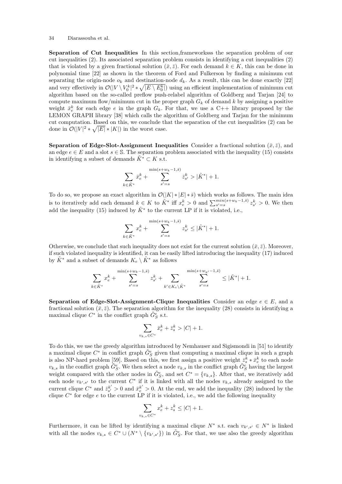Separation of Cut Inequalities In this section,frameworksss the separation problem of our cut inequalities (2). Its associated separation problem consists in identifying a cut inequalities (2) that is violated by a given fractional solution  $(\bar{x}, \bar{z})$ . For each demand  $k \in K$ , this can be done in polynomial time [22] as shown in the theorem of Ford and Fulkerson by finding a minimum cut separating the origin-node  $o_k$  and destination-node  $d_k$ . As a result, this can be done exactly [22] and very effectively in  $\mathcal{O}(|V \setminus V_0^k|^2 * \sqrt{|E \setminus E_0^k|})$  using an efficient implementation of minimum cut algorithm based on the so-called preflow push-relabel algorithm of Goldberg and Tarjan [24] to compute maximum flow/minimum cut in the proper graph  $G_k$  of demand k by assigning a positive weight  $\bar{x}_e^k$  for each edge e in the graph  $G_k$ . For that, we use a C++ library proposed by the LEMON GRAPH library [38] which calls the algorithm of Goldberg and Tarjan for the minimum cut computation. Based on this, we conclude that the separation of the cut inequalities (2) can be done in  $\mathcal{O}(|V|^2 * \sqrt{|E|} * |K|)$  in the worst case.

**Separation of Edge-Slot-Assignment Inequalities** Consider a fractional solution  $(\bar{x}, \bar{z})$ , and an edge  $e \in E$  and a slot  $s \in \mathbb{S}$ . The separation problem associated with the inequality (15) consists in identifying a subset of demands  $K^* \subset K$  s.t.

$$
\sum_{k \in \tilde{K}^*} \bar{x}_{e}^k + \sum_{s'=s}^{\min(s+w_k-1, \bar{s})} \bar{z}_{s'}^k > |\tilde{K}^*| + 1.
$$

To do so, we propose an exact algorithm in  $\mathcal{O}(|K| * |E| * \bar{s})$  which works as follows. The main idea is to iteratively add each demand  $k \in K$  to  $\tilde{K}^*$  iff  $x_e^k > 0$  and  $\sum_{s'=s}^{\min(s+w_k-1,\bar{s})} z_{s'}^k > 0$ . We then add the inequality (15) induced by  $\tilde{K}^*$  to the current LP if it is violated, i.e.,

$$
\sum_{k \in \tilde{K}^*} x_{e}^k + \sum_{s'=s}^{\min(s+w_k-1,\bar{s})} z_{s'}^k \le |\tilde{K}^*| + 1.
$$

Otherwise, we conclude that such inequality does not exist for the current solution  $(\bar{x}, \bar{z})$ . Moreover, if such violated inequality is identified, it can be easily lifted introducing the inequality (17) induced by  $\tilde{K}^*$  and a subset of demands  $K_e \setminus \tilde{K}^*$  as follows

$$
\sum_{k \in \tilde{K}^*} x^k_e + \sum_{s'=s}^{\min(s+w_k-1,\bar{s})} z^k_{s'} + \sum_{k' \in K_e \backslash \tilde{K}^*} \sum_{s'=s}^{\min(s+w_{k'}-1,\bar{s})} \le |\tilde{K}^*|+1.
$$

Separation of Edge-Slot-Assignment-Clique Inequalities Consider an edge  $e \in E$ , and a fractional solution ( $\bar{x}, \bar{z}$ ). The separation algorithm for the inequality (28) consists in identifying a maximal clique  $C^*$  in the conflict graph  $\tilde{G}^e_S$  s.t.

$$
\sum_{v_{k,s}\in C^*} \bar{x}_e^k + \bar{z}_s^k > |C| + 1.
$$

To do this, we use the greedy algorithm introduced by Nemhauser and Sigismondi in [51] to identify a maximal clique  $C^*$  in conflict graph  $\tilde{G}_{S}^e$  given that computing a maximal clique in such a graph is also NP-hard problem [59]. Based on this, we first assign a positive weight  $\bar{z}_s^k * \bar{x}_e^k$  to each node  $v_{k,s}$  in the conflict graph  $\tilde{G}_{S}^{e}$ . We then select a node  $v_{k,s}$  in the conflict graph  $\tilde{G}_{S}^{e}$  having the largest weight compared with the other nodes in  $\tilde{G}_{S}^{e}$ , and set  $C^* = \{v_{k,s}\}\.$  After that, we iteratively add each node  $v_{k',s'}$  to the current  $C^*$  if it is linked with all the nodes  $v_{k,s}$  already assigned to the current clique  $C^*$  and  $\bar{z}_{s'}^{k'} > 0$  and  $\bar{x}_e^{k'} > 0$ . At the end, we add the inequality (28) induced by the clique  $C^*$  for edge  $e$  to the current LP if it is violated, i.e., we add the following inequality

$$
\sum_{v_{k,s}\in C^*} x_e^k + z_s^k \le |C| + 1.
$$

Furthermore, it can be lifted by identifying a maximal clique  $N^*$  s.t. each  $v_{k',s'} \in N^*$  is linked with all the nodes  $v_{k,s} \in C^* \cup (N^* \setminus \{v_{k',s'}\})$  in  $\tilde{G}_S^e$ . For that, we use also the greedy algorithm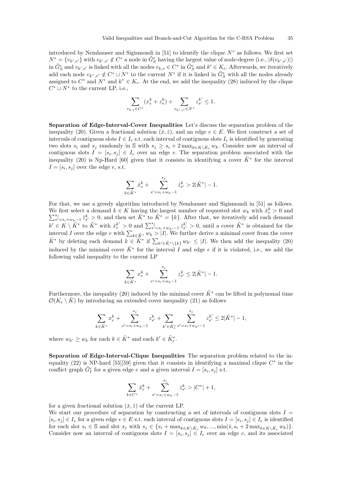introduced by Nemhauser and Sigismondi in [51] to identify the clique  $N^*$  as follows. We first set  $N^* = \{v_{k',s'}\}\$  with  $v_{k',s'} \notin C^*$  a node in  $\tilde{G}_{S}^e$  having the largest value of node-degree (i.e.,  $|\delta(v_{k',s'})|$ ) in  $\tilde{G}_{S}^{e}$  and  $v_{k',s'}$  is linked with all the nodes  $v_{k,s} \in C^*$  in  $\tilde{G}_{S}^{e}$  and  $k' \in K_e$ . Afterwards, we iteratively add each node  $v_{k^*,s^*} \notin C^* \cup N^*$  to the current  $N^*$  if it is linked in  $\tilde{G}_S^e$  with all the nodes already assigned to  $C^*$  and  $N^*$  and  $k^* \in K_e$ . At the end, we add the inequality (28) induced by the clique  $C^* \cup N^*$  to the current LP, i.e.,

$$
\sum_{v_{k,s}\in C^*} (x_e^k + z_s^k) + \sum_{v_{k',s'}\in N^*} z_{s'}^{k'} \le 1.
$$

Separation of Edge-Interval-Cover Inequalities Let's discuss the separation problem of the inequality (20). Given a fractional solution  $(\bar{x}, \bar{z})$ , and an edge  $e \in E$ . We first construct a set of intervals of contiguous slots  $I \in I_e$  s.t. each interval of contiguous slots  $I_e$  is identified by generating two slots  $s_i$  and  $s_j$  randomly in S with  $s_j \geq s_i + 2 \max_{k \in K \setminus \overline{K}_e} w_k$ . Consider now an interval of contiguous slots  $I = [s_i, s_j] \in I_e$  over an edge e. The separation problem associated with the inequality (20) is Np-Hard [60] given that it consists in identifying a cover  $\tilde{K}^*$  for the interval  $I=[s_i,s_j]$  over the edge e, s.t.

$$
\sum_{k \in \tilde{K}^*} \bar{x}_{e}^k + \sum_{s'=s_i+w_k-1}^{s_j} \bar{z}_{s'}^k > 2|\tilde{K}^*| - 1.
$$

For that, we use a greedy algorithm introduced by Nemhauser and Sigismondi in [51] as follows. We first select a demand  $k \in K$  having the largest number of requested slot  $w_k$  with  $\bar{x}_{e}^k > 0$  and  $\sum_{s'=s_i+w_k-1}^{s_j} \bar{z}_{s'}^k > 0$ , and then set  $\tilde{K}^*$  to  $\tilde{K}^* = \{k\}$ . After that, we iteratively add each dema  $k' \in K \setminus \tilde{K}^*$  to  $\tilde{K}^*$  with  $\bar{x}_{e}^{k'} > 0$  and  $\sum_{s'=s_i+w_{k'}-1}^{s_j} \bar{z}_{s'}^{k'} > 0$ , until a cover  $\tilde{K}^*$  is obtained for the interval I over the edge e with  $\sum_{k \in \tilde{K}^*} w_k > |I|$ . We further derive a minimal cover from the cover  $\tilde{K}^*$  by deleting each demand  $k \in \tilde{K}^*$  if  $\sum_{k' \in \tilde{K}^* \setminus \{k\}} w_{k'} \leq |I|$ . We then add the inequality (20) induced by the minimal cover  $\tilde{K}^*$  for the interval I and edge e if it is violated, i.e., we add the following valid inequality to the current LP

$$
\sum_{k \in \tilde{K}^*} x_{e}^k + \sum_{s'=s_i+w_k-1}^{s_j} z_{s'}^k \le 2|\tilde{K}^*| - 1.
$$

Furthermore, the inequality (20) induced by the minimal cover  $\tilde{K}^*$  can be lifted in polynomal time  $\mathcal{O}(K_e \setminus \tilde{K})$  by introducing an extended cover inequality (21) as follows

$$
\sum_{k\in \tilde{K}^*} x^k_e + \sum_{s'=s_i+w_k-1}^{s_j} z^k_{s'} + \sum_{k'\in \tilde{K}^*_e} \sum_{s'=s_i+w_{k'}-1}^{s_j} z^{k'}_{s'} \leq 2|\tilde{K}^*|-1,
$$

where  $w_{k'} \geq w_k$  for each  $k \in \tilde{K}^*$  and each  $k' \in \tilde{K}^*_e$ .

Separation of Edge-Interval-Clique Inequalities The separation problem related to the inequality (22) is NP-hard [55][59] given that it consists in identifying a maximal clique  $C^*$  in the conflict graph  $\tilde{G}_{I}^{e}$  for a given edge e and a given interval  $I = [s_i, s_j]$  s.t.

$$
\sum_{k \in C^*} \bar{x}_e^k + \sum_{s'=s_i+w_k-1}^{s_j} \bar{z}_{s'}^k > |C^*| + 1,
$$

for a given fractional solution  $(\bar{x}, \bar{z})$  of the current LP.

We start our procedure of separation by constructing a set of intervals of contiguous slots  $I =$  $[s_i, s_j] \in I_e$  for a given edge  $e \in E$  s.t. each interval of contiguous slots  $I = [s_i, s_j] \in I_e$  is identified for each slot  $s_i \in \mathbb{S}$  and slot  $s_j$  with  $s_j \in \{s_i + \max_{k \in K \setminus \overline{K}_e} w_k, ..., \min(\overline{s}, s_i + 2 \max_{k \in K \setminus \overline{K}_e} w_k)\}.$ Consider now an interval of contiguous slots  $I = [s_i, s_j] \in I_e$  over an edge e, and its associated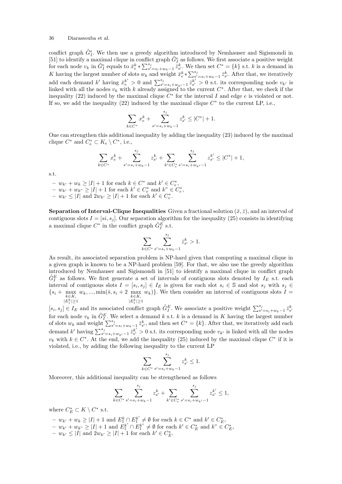conflict graph  $\tilde{G}_{I}^{e}$ . We then use a greedy algorithm introduced by Nemhauser and Sigismondi in [51] to identify a maximal clique in conflict graph  $\tilde{G}^e_I$  as follows. We first associate a positive weight for each node  $v_k$  in  $\tilde{G}^e_I$  equals to  $\bar{x}^k_{\epsilon} * \sum_{s'=s_i+w_k-1}^{s_i} \bar{z}^k_{s'}$ . We then set  $C^* = \{k\}$  s.t. k is a demand in K having the largest number of slots  $w_k$  and weight  $\bar{x}_e^k * \sum_{s'=s_i+w_k-1}^{s_j} \bar{z}_{s'}^k$ . After that, we iteratively add each demand k' having  $\bar{x}_{e}^{k'} > 0$  and  $\sum_{s'=s_i+w_{k'}-1}^{s_j} \bar{z}_{s'}^{k'} > 0$  s.t. its corresponding node  $v_{k'}$  is linked with all the nodes  $v_k$  with k already assigned to the current  $C^*$ . After that, we check if the inequality (22) induced by the maximal clique  $C^*$  for the interval I and edge e is violated or not. If so, we add the inequality  $(22)$  induced by the maximal clique  $C^*$  to the current LP, i.e.,

$$
\sum_{k \in C^*} x_{e}^k + \sum_{s'=s_i+w_k-1}^{s_j} z_{s'}^k \leq |C^*| + 1.
$$

One can strengthen this additional inequality by adding the inequality (23) induced by the maximal clique  $C^*$  and  $C_e^* \subset K_e \setminus C^*$ , i.e.,

$$
\sum_{k \in C^*} x_{e}^k + \sum_{s'=s_i+w_k-1}^{s_j} z_{s'}^k + \sum_{k' \in C_e^*} \sum_{s'=s_i+w_{k'}-1}^{s_j} z_{s'}^{k'} \leq |C^*| + 1,
$$

s.t.

- $w_{k'} + w_k \ge |I| + 1$  for each  $k \in C^*$  and  $k' \in C_e^*$ ,
- $w_{k'} + w_{k''} \geq |I| + 1$  for each  $k' \in C_e^*$  and  $k'' \in C_e^*$ ,
- $w_{k'} \leq |I|$  and  $2w_{k'} \geq |I| + 1$  for each  $k' \in C_e^*$ .

**Separation of Interval-Clique Inequalities** Given a fractional solution  $(\bar{x}, \bar{z})$ , and an interval of contiguous slots  $I = [si, s_j]$ . Our separation algorithm for the inequality (25) consists in identifying a maximal clique  $C^*$  in the conflict graph  $\tilde{G}^E_I$  s.t.

$$
\sum_{k \in C^*} \sum_{s'=s_i+w_k-1}^{s_j} \bar{z}_{s'}^k > 1.
$$

As result, its associated separation problem is NP-hard given that computing a maximal clique in a given graph is known to be a NP-hard problem [59]. For that, we also use the greedy algorithm introduced by Nemhauser and Sigismondi in [51] to identify a maximal clique in conflict graph  $\tilde{G}^E_I$  as follows. We first generate a set of intervals of contiguous slots denoted by  $I_E$  s.t. each interval of contiguous slots  $I = [s_i, s_j] \in I_E$  is given for each slot  $s_i \in \mathbb{S}$  and slot  $s_j$  with  $s_j \in$  $\{s_i + \max_{k \in K, \Lambda}\}$  $|E_1^k|\geq 1$  $w_k, ..., \min(\bar{s}, s_i + 2 \max_{k \in K, \bar{s}}$  $|E_1^k|\geq 1$  $(w_k)$ . We then consider an interval of contiguous slots  $I =$ 

 $[s_i, s_j] \in I_E$  and its associated conflict graph  $\tilde{G}_I^E$ . We associate a positive weight  $\sum_{s'=s_i+w_k-1}^{s_j} \bar{z}_{s'}^k$ for each node  $v_k$  in  $\tilde{G}_I^E$ . We select a demand k s.t. k is a demand in K having the largest number of slots  $w_k$  and weight  $\sum_{s'=s_i+w_k-1}^{s_j} \bar{z}_{s'}^k$ , and then set  $C^* = \{k\}$ . After that, we iteratively add each demand k' having  $\sum_{s'=s_i+w_{k'}-1}^{s_j} \bar{z}_{s'}^{k'} > 0$  s.t. its corresponding node  $v_{k'}$  is linked with all the nodes  $v_k$  with  $k \in C^*$ . At the end, we add the inequality (25) induced by the maximal clique  $C^*$  if it is violated, i.e., by adding the following inequality to the current LP

$$
\sum_{k \in C^*} \sum_{s'=s_i+w_k-1}^{s_j} z_{s'}^k \le 1.
$$

Moreover, this additional inequality can be strengthened as follows

$$
\sum_{k \in C^*} \sum_{s'=s_i+w_k-1}^{s_j} z_{s'}^k + \sum_{k' \in C_c^*} \sum_{s'=s_i+w_{k'}-1}^{s_j} z_{s'}^{k'} \le 1,
$$

where  $C_E^* \subset K \setminus C^*$  s.t.

- $w_{k'} + w_k \geq |I| + 1$  and  $E_1^k \cap E_1^{k'} \neq \emptyset$  for each  $k \in C^*$  and  $k' \in C_E^*$ ,
- $w_{k'} + w_{k''} \geq |I| + 1$  and  $E_1^{k'} \cap E_1^{k''} \neq \emptyset$  for each  $k' \in C_E^*$  and  $k'' \in C_E^*$ ,
- $w_{k'} \leq |I|$  and  $2w_{k'} \geq |I| + 1$  for each  $k' \in C_E^*$ .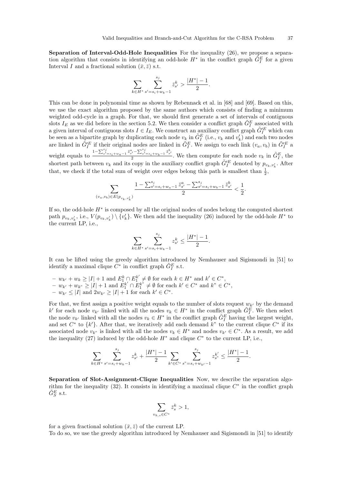Separation of Interval-Odd-Hole Inequalities For the inequality (26), we propose a separation algorithm that consists in identifying an odd-hole  $H^*$  in the conflict graph  $\tilde{G}^E_I$  for a given Interval I and a fractional solution  $(\bar{x}, \bar{z})$  s.t.

$$
\sum_{k \in H^*} \sum_{s'=s_i+w_k-1}^{s_j} \bar{z}_{s'}^k > \frac{|H^*|-1}{2}.
$$

This can be done in polynomial time as shown by Rebennack et al. in [68] and [69]. Based on this, we use the exact algorithm proposed by the same authors which consists of finding a minimum weighted odd-cycle in a graph. For that, we should first generate a set of intervals of contiguous slots  $I_E$  as we did before in the section 5.2. We then consider a conflict graph  $\tilde{G}^E_I$  associated with a given interval of contiguous slots  $I \in I_E$ . We construct an auxiliary conflict graph  $\tilde{G}_I^{FE}$  which can be seen as a bipartite graph by duplicating each node  $v_k$  in  $\tilde{G}^E_I$  (i.e.,  $v_k$  and  $v'_k$ ) and each two nodes are linked in  $\tilde{G}'^E_I$  if their original nodes are linked in  $\tilde{G}^E_I$ . We assign to each link  $(v_a, v_b)$  in  $\tilde{G}'^E_I$  a weight equals to  $\frac{1-\sum_{s'=s_i+w_a-1}^{s_j} \bar{z}_{s'}^a - \sum_{s'=s_i+w_b-1}^{s_j} \bar{z}_{s'}^b}{2}$  $\frac{1}{2} \sum_{s'} \frac{1}{s} \sum_{s'} \frac{1}{s'} \frac{1}{s'} \frac{1}{s'}$ . We then compute for each node  $v_k$  in  $\tilde{G}_I^E$ , the shortest path between  $v_k$  and its copy in the auxiliary conflict graph  $\tilde{G}^{\prime E}_I$  denoted by  $p_{v_k,v'_k}$ . After that, we check if the total sum of weight over edges belong this path is smallest than  $\frac{1}{2}$ ,

$$
\sum_{(v_a,v_b)\in E(p_{v_k,v'_k})}\frac{1-\sum_{s'=s_i+w_a-1}^{s_j}\bar{z}_{s'}^a-\sum_{s'=s_i+w_b-1}^{s_j}\bar{z}_{s'}^b}{2}<\frac{1}{2}.
$$

If so, the odd-hole  $H^*$  is composed by all the original nodes of nodes belong the computed shortest path  $p_{v_k,v'_k}$ , i.e.,  $V(p_{v_k,v'_k}) \setminus \{v'_k\}$ . We then add the inequality (26) induced by the odd-hole  $H^*$  to the current LP, i.e.,

$$
\sum_{k \in H^*} \sum_{s'=s_i+w_k-1}^{s_j} z_{s'}^k \le \frac{|H^*|-1}{2}.
$$

It can be lifted using the greedy algorithm introduced by Nemhauser and Sigismondi in [51] to identify a maximal clique  $\tilde{C}^*$  in conflict graph  $\tilde{G}^E_I$  s.t.

 $- w_{k'} + w_k \geq |I| + 1$  and  $E_1^k \cap E_1^{k'} \neq \emptyset$  for each  $k \in H^*$  and  $k' \in C^*$ ,  $- w_{k'} + w_{k''} \ge |I| + 1$  and  $E_1^{k'} \cap E_1^{k''} \ne \emptyset$  for each  $k' \in C^*$  and  $k'' \in C^*$ ,  $- w_{k'} \leq |I|$  and  $2w_{k'} \geq |I| + 1$  for each  $k' \in C^*$ .

For that, we first assign a positive weight equals to the number of slots request  $w_{k'}$  by the demand k' for each node  $v_{k'}$  linked with all the nodes  $v_k \in H^*$  in the conflict graph  $\tilde{G}_I^E$ . We then select the node  $v_{k'}$  linked with all the nodes  $v_k \in H^*$  in the conflict graph  $\tilde{G}_I^E$  having the largest weight, and set  $C^*$  to  $\{k'\}$ . After that, we iteratively add each demand  $k''$  to the current clique  $C^*$  if its associated node  $v_{k''}$  is linked with all the nodes  $v_k \in H^*$  and nodes  $v_{k'} \in C^*$ . As a result, we add the inequality (27) induced by the odd-hole  $H^*$  and clique  $C^*$  to the current LP, i.e.,

$$
\sum_{k\in H^*}\sum_{s'=s_i+w_k-1}^{s_j}z_{s'}^k+\frac{|H^*|-1}{2}\sum_{k'\in C^*}\sum_{s''=s_i+w_{k'}-1}^{s_j}z_{s'}^{k'}\leq\frac{|H^*|-1}{2}.
$$

Separation of Slot-Assignment-Clique Inequalities Now, we describe the separation algorithm for the inequality  $(32)$ . It consists in identifying a maximal clique  $C^*$  in the conflict graph  $\tilde{G}_{S}^{E}$  s.t.

$$
\sum_{v_{k,s}\in C^*}\bar{z}_s^k>1,
$$

for a given fractional solution  $(\bar{x}, \bar{z})$  of the current LP.

To do so, we use the greedy algorithm introduced by Nemhauser and Sigismondi in [51] to identify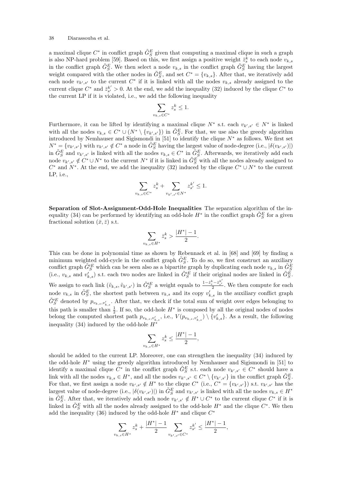a maximal clique  $C^*$  in conflict graph  $\tilde{G}_{S}^E$  given that computing a maximal clique in such a graph is also NP-hard problem [59]. Based on this, we first assign a positive weight  $\bar{z}_s^k$  to each node  $v_{k,s}$ in the conflict graph  $\tilde{G}_{S}^{E}$ . We then select a node  $v_{k,s}$  in the conflict graph  $\tilde{G}_{S}^{E}$  having the largest weight compared with the other nodes in  $\tilde{G}_{S}^{E}$ , and set  $C^* = \{v_{k,s}\}\.$  After that, we iteratively add each node  $v_{k',s'}$  to the current  $C^*$  if it is linked with all the nodes  $v_{k,s}$  already assigned to the current clique  $C^*$  and  $\bar{z}_{s'}^{k'} > 0$ . At the end, we add the inequality (32) induced by the clique  $C^*$  to the current LP if it is violated, i.e., we add the following inequality

$$
\sum_{v_{k,s}\in C^*} z_s^k \le 1.
$$

Furthermore, it can be lifted by identifying a maximal clique  $N^*$  s.t. each  $v_{k',s'} \in N^*$  is linked with all the nodes  $v_{k,s} \in C^* \cup (N^* \setminus \{v_{k',s'}\})$  in  $\tilde{G}_S^E$ . For that, we use also the greedy algorithm introduced by Nemhauser and Sigismondi in [51] to identify the clique  $N^*$  as follows. We first set  $N^* = \{v_{k',s'}\}$  with  $v_{k',s'} \notin C^*$  a node in  $\tilde{G}_{S}^E$  having the largest value of node-degree (i.e.,  $|\delta(v_{k',s'})|$ ) in  $\tilde{G}_{S}^{E}$  and  $v_{k',s'}$  is linked with all the nodes  $v_{k,s} \in C^*$  in  $\tilde{G}_{S}^{E}$ . Afterwards, we iteratively add each node  $v_{k',s'} \notin C^* \cup N^*$  to the current  $N^*$  if it is linked in  $\tilde{G}_S^F$  with all the nodes already assigned to  $C^*$  and  $N^*$ . At the end, we add the inequality (32) induced by the clique  $C^* \cup N^*$  to the current LP, i.e.,

$$
\sum_{v_{k,s}\in C^*} z_s^k + \sum_{v_{k',s'}\in N^*} z_{s'}^{k'} \le 1.
$$

Separation of Slot-Assignment-Odd-Hole Inequalities The separation algorithm of the inequality (34) can be performed by identifying an odd-hole  $H^*$  in the conflict graph  $\tilde{G}_{S}^{E}$  for a given fractional solution  $(\bar{x}, \bar{z})$  s.t.

$$
\sum_{v_{k,s}\in H^*}\bar{z}_s^k > \frac{|H^*|-1}{2}.
$$

This can be done in polynomial time as shown by Rebennack et al. in [68] and [69] by finding a minimum weighted odd-cycle in the conflict graph  $\tilde{G}_{S}^{E}$ . To do so, we first construct an auxiliary conflict graph  $\tilde{G}_{S}^{I E}$  which can be seen also as a bipartite graph by duplicating each node  $v_{k,s}$  in  $\tilde{G}_{S}^{E}$ <br>(i.e.,  $v_{k,s}$  and  $v'_{k,s}$ ) s.t. each two nodes are linked in  $\tilde{G}_{S}^{I E}$  if their original n We assign to each link  $(\tilde{v}_{k,s}, \tilde{v}_{k',s'})$  in  $\tilde{G}_{S}^{\prime E}$  a weight equals to  $\frac{1-\bar{z}_{s}^{k}-\bar{z}_{s'}^{k'}}{2}$ . We then compute for each node  $v_{k,s}$  in  $\tilde{G}_{S}^{E}$ , the shortest path between  $v_{k,s}$  and its copy  $v'_{k,s}$  in the auxiliary conflict graph  $\tilde{G}'^E_S$  denoted by  $p_{v_{k,s},v'_{k,s}}$ . After that, we check if the total sum of weight over edges belonging to this path is smaller than  $\frac{1}{2}$ . If so, the odd-hole  $H^*$  is composed by all the original nodes of nodes belong the computed shortest path  $p_{v_{k,s},v'_{k,s}}$ , i.e.,  $V(p_{v_{k,s},v'_{k,s}}) \setminus \{v'_{k,s}\}$ . As a result, the following inequality (34) induced by the odd-hole  $H^*$ 

$$
\sum_{v_{k,s}\in H^*}z_s^k\leq \frac{|H^*|-1}{2},
$$

should be added to the current LP. Moreover, one can strengthen the inequality (34) induced by the odd-hole  $H^*$  using the greedy algorithm introduced by Nemhauser and Sigismondi in [51] to identify a maximal clique  $C^*$  in the conflict graph  $\tilde{G}_{S}^E$  s.t. each node  $v_{k',s'} \in C^*$  should have a link with all the nodes  $v_{k,s} \in H^*$ , and all the nodes  $v_{k^*,s^*} \in C^* \setminus \{v_{k',s'}\}$  in the conflict graph  $\tilde{G}_S^E$ . For that, we first assign a node  $v_{k',s'} \notin H^*$  to the clique  $C^*$  (i.e.,  $C^* = \{v_{k',s'}\}$ ) s.t.  $v_{k',s'}$  has the largest value of node-degree (i.e.,  $|\delta(v_{k',s'})|$ ) in  $\tilde{G}_{S}^{E}$  and  $v_{k',s'}$  is linked with all the nodes  $v_{k,s} \in H^*$ in  $\tilde{G}_{S}^{E}$ . After that, we iteratively add each node  $v_{k',s'} \notin H^* \cup C^*$  to the current clique  $C^*$  if it is linked in  $\tilde{G}_{S}^{E}$  with all the nodes already assigned to the odd-hole  $H^*$  and the clique  $C^*$ . We then add the inequality (36) induced by the odd-hole  $H^*$  and clique  $C^*$ 

$$
\sum_{v_{k,s}\in H^*} z_s^k + \frac{|H^*|-1}{2}\sum_{v_{k',s'}\in C^*} z_{s'}^{k'} \le \frac{|H^*|-1}{2},
$$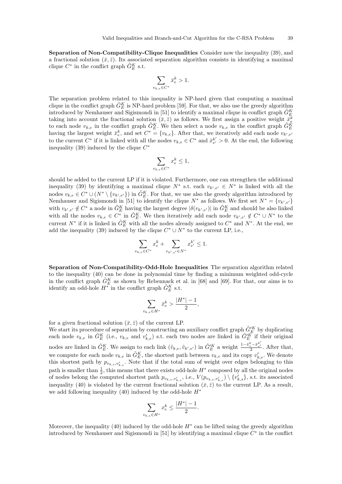Separation of Non-Compatibility-Clique Inequalities Consider now the inequality (39), and a fractional solution  $(\bar{x}, \bar{z})$ . Its associated separation algorithm consists in identifying a maximal clique  $C^*$  in the conflict graph  $\tilde{G}_E^K$  s.t.

$$
\sum_{v_{k,e}\in C^*}\bar{x}_e^k>1.
$$

The separation problem related to this inequality is NP-hard given that computing a maximal clique in the conflict graph  $\tilde{G}_E^K$  is NP-hard problem [59]. For that, we also use the greedy algorithm introduced by Nemhauser and Sigismondi in [51] to identify a maximal clique in conflict graph  $\tilde{G}_{E}^{K}$ Introduced by Nehmadser and Signshond in [51] to dentity a maximal clique in conflict graph  $G_E^k$ <br>taking into account the fractional solution  $(\bar{x}, \bar{z})$  as follows. We first assign a positive weight  $\tilde{\sigma}_E^k$ <br>to each having the largest weight  $\bar{x}_e^k$ , and set  $C^* = \{v_{k,e}\}\$ . After that, we iteratively add each node  $v_{k',e'}$ to the current  $C^*$  if it is linked with all the nodes  $v_{k,e} \in C^*$  and  $\bar{x}_{e'}^{k'} > 0$ . At the end, the following inequality (39) induced by the clique  $C^*$ 

$$
\sum_{v_{k,e} \in C^*} x_e^k \le 1,
$$

should be added to the current LP if it is violated. Furthermore, one can strengthen the additional inequality (39) by identifying a maximal clique  $N^*$  s.t. each  $v_{k',e'} \in N^*$  is linked with all the nodes  $v_{k,e} \in C^* \cup (N^* \setminus \{v_{k',e'}\})$  in  $\tilde{G}_E^K$ . For that, we use also the greedy algorithm introduced by Nemhauser and Sigismondi in [51] to identify the clique  $N^*$  as follows. We first set  $N^* = \{v_{k',e'}\}$ with  $v_{k',e'} \notin C^*$  a node in  $\tilde{G}_E^K$  having the largest degree  $|\delta(v_{k',e'})|$  in  $\tilde{G}_E^K$  and should be also linked with all the nodes  $v_{k,e} \in C^*$  in  $\tilde{G}_E^K$ . We then iteratively add each node  $v_{k',e'} \notin C^* \cup N^*$  to the current  $N^*$  if it is linked in  $\tilde{G}_E^K$  with all the nodes already assigned to  $C^*$  and  $N^*$ . At the end, we add the inequality (39) induced by the clique  $C^* \cup N^*$  to the current LP, i.e.,

$$
\sum_{v_{k,e}\in C^*} x_e^k + \sum_{v_{k',e'}\in N^*} x_{e'}^{k'} \le 1.
$$

Separation of Non-Compatibility-Odd-Hole Inequalities The separation algorithm related to the inequality (40) can be done in polynomial time by finding a minimum weighted odd-cycle in the conflict graph  $\tilde{G}_E^K$  as shown by Rebennack et al. in [68] and [69]. For that, our aims is to identify an odd-hole  $H^*$  in the conflict graph  $\tilde{G}_E^K$  s.t.

$$
\sum_{v_{k,e} \in H^*} \bar{x}_e^k > \frac{|H^*| - 1}{2},
$$

for a given fractional solution  $(\bar{x}, \bar{z})$  of the current LP.

We start its procedure of separation by constructing an auxiliary conflict graph  $\tilde{G}_E'^K$  by duplicating each node  $v_{k,e}$  in  $\tilde{G}_{E}^{K}$  (i.e.,  $v_{k,e}$  and  $v'_{k,e}$ ) s.t. each two nodes are linked in  $\tilde{G}_{E}^{\prime K}$  if their original nodes are linked in  $\tilde{G}_{E}^{K}$ . We assign to each link  $(\tilde{v}_{k,e}, \tilde{v}_{k',e'})$  in  $\tilde{G}_{E}^{\prime K}$  a weight  $\frac{1-\tilde{x}_{e}^{k}-\tilde{x}_{e'}^{k'}}{2}$ . After that, we compute for each node  $v_{k,e}$  in  $\tilde{G}_E^K$ , the shortest path between  $v_{k,e}$  and its copy  $v'_{k,e}$ . We denote this shortest path by  $p_{v_{k,e},v'_{k,e}}$ . Note that if the total sum of weight over edges belonging to this path is smaller than  $\frac{1}{2}$ , this means that there exists odd-hole  $H^*$  composed by all the original nodes of nodes belong the computed shortest path  $p_{v_{k,e},v'_{k,s}}$ , i.e.,  $V(p_{v_{k,e},v'_{k,s}}) \setminus \{v'_{k,s}\}\$ , s.t. its associated inequality (40) is violated by the current fractional solution  $(\bar{x}, \bar{z})$  to the current LP. As a result, we add following inequality (40) induced by the odd-hole  $H^*$ 

$$
\sum_{v_{k,e}\in H^*}x_e^k\leq \frac{|H^*|-1}{2}.
$$

Moreover, the inequality  $(40)$  induced by the odd-hole  $H^*$  can be lifted using the greedy algorithm introduced by Nemhauser and Sigismondi in [51] by identifying a maximal clique  $C^*$  in the conflict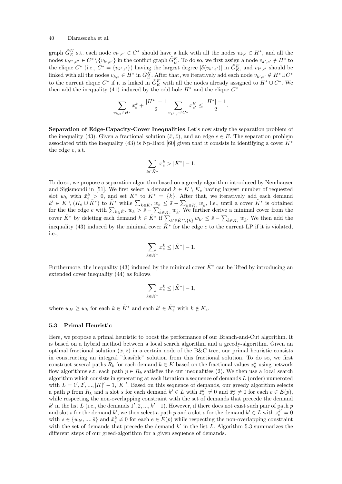graph  $\tilde{G}_E^K$  s.t. each node  $v_{k',e'} \in C^*$  should have a link with all the nodes  $v_{k,e} \in H^*$ , and all the nodes  $v_{k''',e''} \in C^* \setminus \{v_{k',e'}\}$  in the conflict graph  $\tilde{G}_E^K$ . To do so, we first assign a node  $v_{k',e'} \notin H^*$  to the clique  $C^*$  (i.e.,  $C^* = \{v_{k',e'}\}$ ) having the largest degree  $|\delta(v_{k',e'})|$  in  $\tilde{G}_E^K$ , and  $v_{k',e'}$  should be linked with all the nodes  $v_{k,e} \in H^*$  in  $\tilde{G}_E^K$ . After that, we iteratively add each node  $v_{k',e'} \notin H^* \cup C^*$ to the current clique  $C^*$  if it is linked in  $\tilde{G}_E^K$  with all the nodes already assigned to  $H^* \cup C^*$ . We then add the inequality (41) induced by the odd-hole  $H^*$  and the clique  $C^*$ 

$$
\sum_{v_{k,e}\in H^*} x_e^k + \frac{|H^*|-1}{2}\sum_{v_{k',e'}\in C^*} x_{e'}^{k'} \le \frac{|H^*|-1}{2}.
$$

Separation of Edge-Capacity-Cover Inequalities Let's now study the separation problem of the inequality (43). Given a fractional solution  $(\bar{x}, \bar{z})$ , and an edge  $e \in E$ . The separation problem associated with the inequality (43) is Np-Hard [60] given that it consists in identifying a cover  $K^*$ the edge e, s.t.

$$
\sum_{k\in \tilde K^*}\bar x_e^k>|\tilde K^*|-1.
$$

To do so, we propose a separation algorithm based on a greedy algorithm introduced by Nemhauser and Sigismondi in [51]. We first select a demand  $k \in K \setminus K_e$  having largest number of requested slot  $w_k$  with  $\bar{x}_{e}^k > 0$ , and set  $\tilde{K}^*$  to  $\tilde{K}^* = \{k\}$ . After that, we iteratively add each demand  $k' \in K \setminus (K_e \cup \tilde{K}^*)$  to  $\tilde{K}^*$  while  $\sum_{k \in \tilde{K}^*} w_k \leq \tilde{s} - \sum_{\tilde{k} \in K_e} w_{\tilde{k}}$ , i.e., until a cover  $\tilde{K}^*$  is obtained for the the edge  $e$  with  $\sum_{k\in \tilde{K}^*} w_k > \bar{s} - \sum_{\tilde{k}\in K_e} w_{\tilde{k}}$ . We further derive a minimal cover from the cover  $\tilde{K}^*$  by deleting each demand  $k \in \tilde{K}^*$  if  $\sum_{k' \in \tilde{K}^* \setminus \{k\}} w_{k'} \leq \bar{s} - \sum_{\tilde{k} \in K_e} w_{\tilde{k}}$ . We then add the inequality (43) induced by the minimal cover  $\tilde{K}^*$  for the edge e to the current LP if it is violated, i.e.,

$$
\sum_{k \in \tilde{K}^*} x_e^k \le |\tilde{K}^*| - 1.
$$

Furthermore, the inequality (43) induced by the minimal cover  $\tilde{K}^*$  can be lifted by introducing an extended cover inequality (44) as follows

$$
\sum_{k \in \tilde{K}^*} x_e^k \le |\tilde{K}^*| - 1,
$$

where  $w_{k'} \geq w_k$  for each  $k \in \tilde{K}^*$  and each  $k' \in \tilde{K}^*_e$  with  $k \notin K_e$ .

### 5.3 Primal Heuristic

Here, we propose a primal heuristic to boost the performance of our Branch-and-Cut algorithm. It is based on a hybrid method between a local search algorithm and a greedy-algorithm. Given an optimal fractional solution  $(\bar{x}, \bar{z})$  in a certain node of the B&C tree, our primal heuristic consists in constructing an integral "feasible" solution from this fractional solution. To do so, we first construct several paths  $R_k$  for each demand  $k \in K$  based on the fractional values  $\bar{x}_e^k$  using network flow algorithms s.t. each path  $p \in R_k$  satisfies the cut inequalities (2). We then use a local search algorithm which consists in generating at each iteration a sequence of demands  $L$  (order) numeroted with  $L = 1', 2', ..., |K|' - 1, |K|'$ . Based on this sequence of demands, our greedy algorithm selects a path p from  $R_k$  and a slot s for each demand  $k' \in L$  with  $\bar{z}_s^{k'} \neq 0$  and  $\bar{x}_e^k \neq 0$  for each  $e \in E(p)$ , while respecting the non-overlapping constraint with the set of demands that precede the demand k' in the list L (i.e., the demands  $1', 2, ..., k'-1$ ). However, if there does not exist such pair of path p and slot s for the demand k', we then select a path p and a slot s for the demand  $k' \in L$  with  $\bar{z}_s^{k'} = 0$ with  $s \in \{w_{k'}, ..., \bar{s}\}$  and  $\bar{x}_{e}^k \neq 0$  for each  $e \in E(p)$  while respecting the non-overlapping constraint with the set of demands that precede the demand  $k'$  in the list  $L$ . Algorithm 5.3 summarizes the different steps of our greed-algorithm for a given sequence of demands.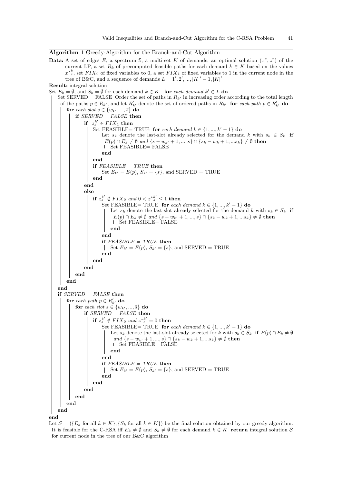| Algorithm 1 Greedy-Algorithm for the Branch-and-Cut Algorithm |  |  |  |  |  |
|---------------------------------------------------------------|--|--|--|--|--|
|                                                               |  |  |  |  |  |

Data: A set of edges E, a spectrum S, a multi-set K of demands, an optimal solution  $(x^*, z^*)$  of the current LP, a set  $R_k$  of precomputed feasible paths for each demand  $k \in K$  based on the values  $x^*_{e}^k$ , set  $FIX_0$  of fixed variables to 0, a set  $FIX_1$  of fixed variables to 1 in the current node in the tree of B&C, and a sequence of demands  $L = 1', 2', ..., |K|' - 1, |K|'$ Result: integral solution Set  $E_k = \emptyset$ , and  $S_k = \emptyset$  for each demand  $k \in K$  for each demand  $k' \in L$  do Set SERVED = FALSE Order the set of paths in  $R_{k'}$  in increasing order according to the total length of the paths  $p \in R_{k'}$ , and let  $R'_{k'}$  denote the set of ordered paths in  $R_{k'}$  for each path  $p \in R'_{k'}$  do for each slot  $s \in \{w_{k'}, ..., \bar{s}\}$  do if  $SERVED = FALSE$  then if  $z_s^{k'} \in FIX_1$  then Set FEASIBLE= TRUE for each demand  $k \in \{1, ..., k' - 1\}$  do Let  $s_k$  denote the last-slot already selected for the demand k with  $s_k \in S_k$  if  $E(p) \cap E_k \neq \emptyset$  and  $\{s - w_{k'} + 1, ..., s\} \cap \{s_k - w_k + 1, ... s_k\} \neq \emptyset$  then Set FEASIBLE= FALSE end end if  $FEASIBLE = TRUE$  then Set  $E_{k'} = E(p), S_{k'} = \{s\}$ , and SERVED = TRUE end end else if  $z^{k'}_s \notin FIX_0$  and  $0 < z^{*k'}_s \leq 1$  then Set FEASIBLE= TRUE for each demand  $k \in \{1, ..., k' - 1\}$  do Let  $s_k$  denote the last-slot already selected for the demand k with  $s_k \in S_k$  if  $E(p) \cap E_k \neq \emptyset$  and  $\{s - w_{k'} + 1, ..., s\} \cap \{s_k - w_k + 1, ...s_k\} \neq \emptyset$  then Set FEASIBLE= FALSE end end if  $FEASIBLE = TRUE$  then Set  $E_{k'} = E(p)$ ,  $S_{k'} = \{s\}$ , and SERVED = TRUE end end end end end end if  $SERVED = FALSE$  then for each path  $p \in R'_{k'}$  do for each slot  $s \in \{w_{k'}, ..., \bar{s}\}\)$  do if  $SERVED = FALSE$  then if  $z_s^{k'} \notin FIX_0$  and  $z^{*k'}_s = 0$  then Set FEASIBLE= TRUE for each demand  $k \in \{1, ..., k' - 1\}$  do Let  $s_k$  denote the last-slot already selected for k with  $s_k \in S_k$  if  $E(p) \cap E_k \neq \emptyset$ and  $\{s - w_{k'} + 1, ..., s\} \cap \{s_k - w_k + 1, ... s_k\} \neq \emptyset$  then Set FEASIBLE= FALSE end end if  $FEASIBLE = TRUE$  then Set  $E_{k'} = E(p)$ ,  $S_{k'} = \{s\}$ , and SERVED = TRUE end end end end end end end Let  $\mathcal{S} = (\{E_k \text{ for all } k \in K\}, \{S_k \text{ for all } k \in K\})$  be the final solution obtained by our greedy-algorithm.

It is feasible for the C-RSA iff  $E_k \neq \emptyset$  and  $S_k \neq \emptyset$  for each demand  $k \in K$  return integral solution S for current node in the tree of our B&C algorithm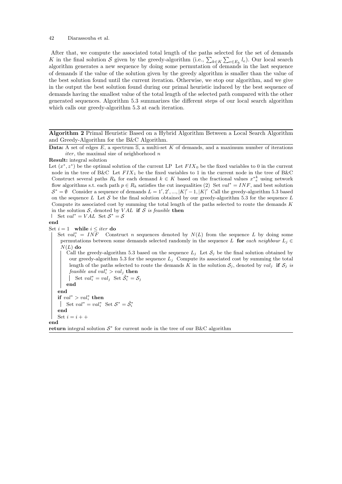After that, we compute the associated total length of the paths selected for the set of demands K in the final solution S given by the greedy-algorithm (i.e.,  $\sum_{k \in K} \sum_{e \in E_k} l_e$ ). Our local search algorithm generates a new sequence by doing some permutation of demands in the last sequence of demands if the value of the solution given by the greedy algorithm is smaller than the value of the best solution found until the current iteration. Otherwise, we stop our algorithm, and we give in the output the best solution found during our primal heuristic induced by the best sequence of demands having the smallest value of the total length of the selected path compared with the other generated sequences. Algorithm 5.3 summarizes the different steps of our local search algorithm which calls our greedy-algorithm 5.3 at each iteration.

Algorithm 2 Primal Heuristic Based on a Hybrid Algorithm Between a Local Search Algorithm and Greedy-Algorithm for the B&C Algorithm.

Data: A set of edges  $E$ , a spectrum  $S$ , a multi-set  $K$  of demands, and a maximum number of iterations iter, the maximal size of neighborhood  $n$ 

```
Result: integral solution
```
Let  $(x^*, z^*)$  be the optimal solution of the current LP Let  $FIN_0$  be the fixed variables to 0 in the current node in the tree of B&C Let  $FIX_1$  be the fixed variables to 1 in the current node in the tree of B&C Construct several paths  $R_k$  for each demand  $k \in K$  based on the fractional values  $x^*_{e}^k$  using network flow algorithms s.t. each path  $p \in R_k$  satisfies the cut inequalities (2) Set  $val^* = INF$ , and best solution  $S^* = \emptyset$  Consider a sequence of demands  $L = 1', 2', ..., |K|' - 1, |K|'$  Call the greedy-algorithm 5.3 based on the sequence L Let S be the final solution obtained by our greedy-algorithm 5.3 for the sequence L Compute its associated cost by summing the total length of the paths selected to route the demands K in the solution  $S$ , denoted by  $VAL$  if S is feasible then

```
Set val^* = VAL Set S^* = S
```
end

Set  $i = 1$  while  $i \leq iter$  do

Set  $val_i^* = INF$  Construct n sequences denoted by  $N(L)$  from the sequence L by doing some permutations between some demands selected randomly in the sequence L for each neighbour  $L_j \in$  $N(L)$  do

Call the greedy-algorithm 5.3 based on the sequence  $L_j$  Let  $\mathcal{S}_j$  be the final solution obtained by our greedy-algorithm 5.3 for the sequence  $L_j$  Compute its associated cost by summing the total length of the paths selected to route the demands K in the solution  $S_j$ , denoted by valj if  $S_j$  is feasible and  $val_i^* > val_j$  then Set  $val_i^* = val_j$  Set  $\tilde{S}_i^* = S_j$ end end if  $val^* > val_i^*$  then Set  $val^* = val_i^*$  Set  $S^* = \tilde{S}_i^*$ end

Set  $i = i + +$ 

end

return integral solution  $S^*$  for current node in the tree of our B&C algorithm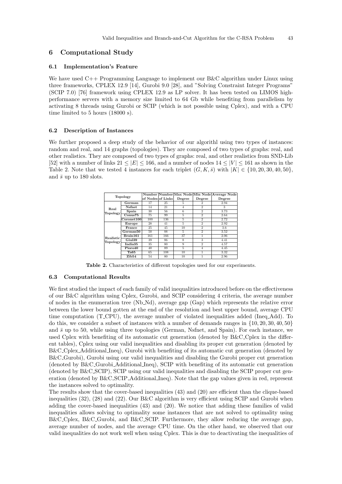### 6 Computational Study

### 6.1 Implementation's Feature

We have used C++ Programming Language to implement our B&C algorithm under Linux using three frameworks, CPLEX 12.9 [14], Gurobi 9.0 [28], and "Solving Constraint Integer Programs" (SCIP 7.0) [76] framework using CPLEX 12.9 as LP solver. It has been tested on LIMOS highperformance servers with a memory size limited to 64 Gb while benefiting from parallelism by activating 8 threads using Gurobi or SCIP (which is not possible using Cplex), and with a CPU time limited to 5 hours (18000 s).

### 6.2 Description of Instances

We further proposed a deep study of the behavior of our algorithe using two types of instances: random and real, and 14 graphs (topologies). They are composed of two types of graphs: real, and other realistics. They are composed of two types of graphs: real, and other realistics from SND-Lib [52] with a number of links  $21 \le |E| \le 166$ , and a number of nodes  $14 \le |V| \le 161$  as shown in the Table 2. Note that we tested 4 instances for each triplet  $(G, K, \overline{s})$  with  $|K| \in \{10, 20, 30, 40, 50\}$ , and  $\bar{s}$  up to 180 slots.

|           |                                |                   |     |                |                | Number Number Max Node Min Node Average Node |
|-----------|--------------------------------|-------------------|-----|----------------|----------------|----------------------------------------------|
|           | <b>Topology</b>                | of Nodes of Links |     | Degree         | Degree         | Degree                                       |
|           | German                         | 17                | 25  | 5              | 2              | 2.94                                         |
| Real      | <b>N</b> sfnet                 | 14                | 21  | $\overline{4}$ | $\overline{2}$ | 3                                            |
| Topology  | Spain                          | 30                | 56  | 6              | $\overline{2}$ | 3.73                                         |
|           | Conus75                        | 75                | 99  | 5              | $\overline{2}$ | 2.64                                         |
|           | Coronet100                     | 100               | 136 | 5              | $\overline{2}$ | 2.72                                         |
|           | Europe                         | 28                | 41  | 5              | $\overline{2}$ | 2.92                                         |
|           | $\mathop{\rm France}\nolimits$ | 25                | 45  | 10             | $\overline{2}$ | 3.6                                          |
|           | German50                       | 50                | 88  | 5              | $\overline{2}$ | 3.52                                         |
| Realistic | Brain161                       | 161               | 166 | 37             |                | 2.06                                         |
| Topology  | Giul39                         | 39                | 86  | 8              | 3              | 4.41                                         |
|           | India <sub>35</sub>            | 35                | 80  | 9              | $\overline{2}$ | 4.57                                         |
|           | Pioro40                        | 40                | 89  | 5              | 4              | 4.45                                         |
|           | Ta65                           | 65                | 108 | 10             |                | 3.32                                         |
|           | Zib54                          | 54                | 80  | 10             |                | 2.96                                         |

Table 2. Characteristics of different topologies used for our experiments.

### 6.3 Computational Results

We first studied the impact of each family of valid inequalities introduced before on the effectiveness of our B&C algorithm using Cplex, Gurobi, and SCIP considering 4 criteria, the average number of nodes in the enumeration tree (Nb Nd), average gap (Gap) which represents the relative error between the lower bound gotten at the end of the resolution and best upper bound, average CPU time computation (T CPU), the average number of violated inequalities added (Ineq Add). To do this, we consider a subset of instances with a number of demands ranges in {10, 20, 30, 40, 50} and  $\bar{s}$  up to 50, while using three topologies (German, Nsfnet, and Spain). For each instance, we used Cplex with benefiting of its automatic cut generation (denoted by B&C Cplex in the different tables), Cplex using our valid inequalities and disabling its proper cut generation (denoted by B&C Cplex Additional Ineq), Gurobi with benefiting of its automatic cut generation (denoted by B&C Gurobi), Gurobi using our valid inequalities and disabling the Gurobi proper cut generation (denoted by B&C Gurobi Additional Ineq), SCIP with benefiting of its automatic cut generation (denoted by B&C SCIP), SCIP using our valid inequalities and disabling the SCIP proper cut generation (denoted by B&C SCIP Additional Ineq). Note that the gap values given in red, represent the instances solved to optimality.

The results show that the cover-based inequalities (43) and (20) are efficient than the clique-based inequalities (32), (28) and (22). Our B&C algorithm is very efficient using SCIP and Gurobi when adding the cover-based inequalities (43) and (20). We notice that adding these families of valid inequalities allows solving to optimality some instances that are not solved to optimality using B&C Cplex, B&C Gurobi, and B&C SCIP. Furthermore, they allow reducing the average gap, average number of nodes, and the average CPU time. On the other hand, we observed that our valid inequalities do not work well when using Cplex. This is due to deactivating the inequalities of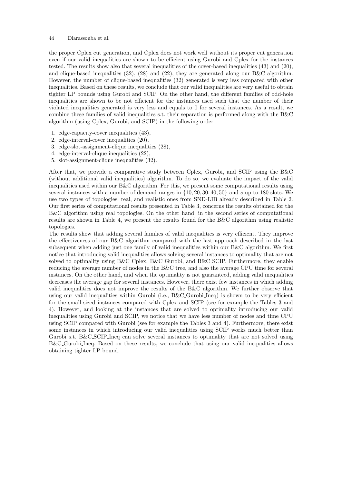the proper Cplex cut generation, and Cplex does not work well without its proper cut generation even if our valid inequalities are shown to be efficient using Gurobi and Cplex for the instances tested. The results show also that several inequalities of the cover-based inequalities (43) and (20), and clique-based inequalities  $(32)$ ,  $(28)$  and  $(22)$ , they are generated along our B&C algorithm. However, the number of clique-based inequalities (32) generated is very less compared with other inequalities. Based on these results, we conclude that our valid inequalities are very useful to obtain tighter LP bounds using Gurobi and SCIP. On the other hand, the different families of odd-hole inequalities are shown to be not efficient for the instances used such that the number of their violated inequalities generated is very less and equals to 0 for several instances. As a result, we combine these families of valid inequalities s.t. their separation is performed along with the  $B\&C$ algorithm (using Cplex, Gurobi, and SCIP) in the following order

- 1. edge-capacity-cover inequalities (43),
- 2. edge-interval-cover inequalities (20),
- 3. edge-slot-assignment-clique inequalities (28),
- 4. edge-interval-clique inequalities (22),
- 5. slot-assignment-clique inequalities (32).

After that, we provide a comparative study between Cplex, Gurobi, and SCIP using the B&C (without additional valid inequalities) algorithm. To do so, we evaluate the impact of the valid inequalities used within our B&C algorithm. For this, we present some computational results using several instances with a number of demand ranges in  $\{10, 20, 30, 40, 50\}$  and  $\bar{s}$  up to 180 slots. We use two types of topologies: real, and realistic ones from SND-LIB already described in Table 2. Our first series of computational results presented in Table 3, concerns the results obtained for the B&C algorithm using real topologies. On the other hand, in the second series of computational results are shown in Table 4, we present the results found for the B&C algorithm using realistic topologies.

The results show that adding several families of valid inequalities is very efficient. They improve the effectiveness of our B&C algorithm compared with the last approach described in the last subsequent when adding just one family of valid inequalities within our B&C algorithm. We first notice that introducing valid inequalities allows solving several instances to optimality that are not solved to optimality using B&C Cplex, B&C Gurobi, and B&C SCIP. Furthermore, they enable reducing the average number of nodes in the B&C tree, and also the average CPU time for several instances. On the other hand, and when the optimality is not guaranteed, adding valid inequalities decreases the average gap for several instances. However, there exist few instances in which adding valid inequalities does not improve the results of the B&C algorithm. We further observe that using our valid inequalities within Gurobi (i.e., B&C\_Gurobi\_Ineq) is shown to be very efficient for the small-sized instances compared with Cplex and SCIP (see for example the Tables 3 and 4). However, and looking at the instances that are solved to optimality introducing our valid inequalities using Gurobi and SCIP, we notice that we have less number of nodes and time CPU using SCIP compared with Gurobi (see for example the Tables 3 and 4). Furthermore, there exist some instances in which introducing our valid inequalities using SCIP works much better than Gurobi s.t. B&C SCIP Ineq can solve several instances to optimality that are not solved using B&C Gurobi Ineq. Based on these results, we conclude that using our valid inequalities allows obtaining tighter LP bound.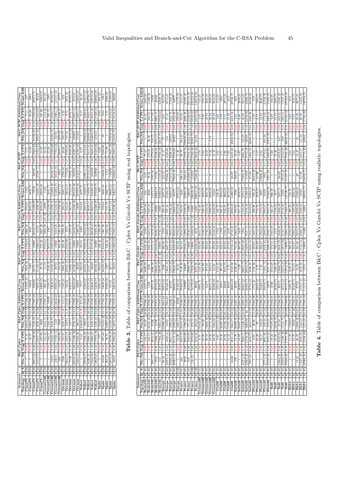| )                                         |
|-------------------------------------------|
| l                                         |
|                                           |
| J<br>-<br>}<br>}                          |
| しして ・・・<br>l<br>֚֕֡֡֡֡֡֡                  |
|                                           |
| \$<br>l                                   |
| $\zeta$                                   |
|                                           |
| i<br>$\frac{1}{2}$                        |
| l                                         |
| $\cdot$<br>į                              |
|                                           |
| $\zeta$                                   |
| $\frac{1}{2}$<br>$\overline{\phantom{a}}$ |
| )<br>)                                    |
| .<br>I<br>ł                               |
|                                           |
| $\overline{\phantom{a}}$<br>ì<br>I        |
|                                           |
| Table 4. Ia<br>.<br>E<br>Ξ                |

 $\ddot{\phantom{0}}$ 

Zib54 10 40 1 0,00 11,10 129403 13,57 17845,78 3168,75 1643,75 0,00 566,59 2192,50 0,00 468,23 723,75 1 0,00 2,84 1 0,00 3,62 614 Zib54 20 40 1 0,00 25,76 44022 27,40 17940,21 50448,75 754,25 0,00 342,07 3268,50 0,00 1300,90 3280,50 1 0,00 5,62 1 0,00 9,55 3530,75 Zib54 30 40 13,25 0,00 46,19 12691,25 52,81 17978,04 87701 18,50 0,00 341,26 3015,75 0,00 2028,68 13420,25 29 0,00 14,10 12 0,00 25,36 6877,25 Zib54 40 40 14227,50 0,26 4240,50 3432,25 59,21 17991,94 101917,25 2819,50 0,26 4723,54 8086,50 0,29 5928,94 58583 21728 0,26 4412,57 137,50 0,00 80,49 14435,50 Zib54 [50 40] 40960,50 3,02 13168,84 | 2274,25 |63,25 |73893,19 | 13701 | 1370 | 1380 | 1450 | 1450 | 1808,1375 | 18082,55 | 1808,00 | 1808,00 | 180708,49 | 180708,49 | 180708,49 | 180708,49 | 180708,49 | 180708,49 | 18070

 $18801375$ 

 $\frac{1}{450}$ 

 $\frac{1}{1400}$ 

**Post** 

E

11151.95

 $\frac{35}{25}$  17993 19  $\overline{180}$ 

k

F

 $\frac{1}{2}$ 

| $\frac{1}{2}$<br><b>NSINGL</b>                                                   |                 |                         | 14929.20 4.33 13/4.4.10               |                    | RN 09801   09'09'   09'09'09' |                                    | 0.00220                                                                          | $40333.50 + 4.33$    |                        | <b>BONS</b>        | <b>BOUG-20   U.S.L</b> |                 | 1/408.01                   | 219939.13            | <b>229700</b>      |                     | $-4.40$ 1.04.18.03  | 123113          |                        | $1.98$ $1.328.34$        | 208080.30           |  |
|----------------------------------------------------------------------------------|-----------------|-------------------------|---------------------------------------|--------------------|-------------------------------|------------------------------------|----------------------------------------------------------------------------------|----------------------|------------------------|--------------------|------------------------|-----------------|----------------------------|----------------------|--------------------|---------------------|---------------------|-----------------|------------------------|--------------------------|---------------------|--|
| 10 15<br>Spain                                                                   |                 |                         |                                       |                    | 11,55<br>322877               | 12904.73                           | 9381,33                                                                          | 982,67               |                        | 169,42             | 1196,67                |                 | 176,07                     | 940                  |                    |                     | 0,88                |                 |                        | 0,83                     | 301,33              |  |
| $\frac{20}{30} \frac{20}{25}$<br>Spain                                           | 85526           |                         | 197,69                                |                    | 22,73<br>118123,25            | 17702.56                           | 18928,50                                                                         | 66218,25             |                        | 6434,54            | 1987,50                |                 | 376,63                     | 3603,50              | 40426,25           | 0,15                | 5298,98             | 5               |                        | 9,64                     | 1913                |  |
| Spain                                                                            | 302,25          |                         | 28,51                                 |                    | 26,52<br>64967,25             | 17119,40                           | 35464,50                                                                         | 3387                 |                        | 343,41             | 1622,25                |                 | 541,76                     | 4867,75              | 1114               |                     | 71,98               |                 |                        | 531                      | 3760,50             |  |
| $\frac{1}{10}$<br>Spain                                                          |                 |                         | 83910,50   4,99   10794,05            |                    | 21328,50                      | 36,50 17966,76                     | 81144                                                                            | 26715                | 1,39                   | 13572,18           | 37239,75               | 0.07            | 9771,34                    | 90666,25             | 140206             |                     | 2,56 12641,22       | 107698,50       | 0,29                   | 8524,02                  | 31380,50            |  |
| $\frac{50}{35}$<br>Spain                                                         | 36547           |                         | $\frac{956.99}{56.99}$<br>$0.50$   30 |                    | 14875,75                      | 48.78 17978.25                     | 62618,25                                                                         | 33518                | 0.34                   | 13692,45           | 17801.25               | 0,48            | 10780,32                   | 83047,75             | 109464,50          |                     | 1,09 12855,13       | 82476,75        | 0.13                   | 9533.33                  | 69090               |  |
|                                                                                  |                 |                         |                                       |                    |                               |                                    |                                                                                  |                      |                        |                    |                        |                 |                            |                      |                    |                     |                     |                 |                        |                          |                     |  |
|                                                                                  |                 |                         |                                       |                    |                               |                                    |                                                                                  |                      |                        |                    |                        |                 |                            |                      |                    |                     |                     |                 |                        |                          |                     |  |
|                                                                                  |                 |                         | $\omega$<br>Tabl                      | ကဲ                 |                               |                                    | Table of comparison between B&C : Cplex Vs Gurobi Vs SCIP using real topologies. |                      |                        |                    |                        |                 |                            |                      |                    |                     |                     |                 |                        |                          |                     |  |
| Instances                                                                        |                 | B&C <sub>-Cplex</sub>   |                                       |                    |                               | B&C_Cplex_Additional_Cons          |                                                                                  |                      | B&C <sub>-Gurobi</sub> |                    |                        |                 | B&C_Gurobi_Additional_Cons |                      |                    | <b>B&amp;C.SCIP</b> |                     |                 |                        | B&C.SCIP_Additional_Cons |                     |  |
| S<br>Topology                                                                    |                 | Nbr_Nd Gap T            | U40.                                  |                    | Gap<br>Nbr_Nd                 | T CPU                              | Ncons_Add                                                                        | Nbr_Nd               | Gap                    | <b>T.CPU</b>       | Nbr_Nd Gap             |                 | <b>LCPU</b>                | Ncons_Add            | Nbr_Nd Gap T_CPU   |                     |                     | Nbr_Nd          | Gap                    | <b>LCPU</b>              | Ncons_Addec         |  |
| $rac{1}{2}$<br>$\frac{1}{2}$<br>Brain161                                         |                 | ₿.                      | 28,17                                 | 65187              |                               | 38,90 17906,44                     | 1347,75                                                                          | 6609,75              |                        | 2435,26            | 21933                  |                 | 5597,98                    | 634                  | $^{4.50}$          |                     | 77,13               |                 |                        | डा.<br>इ                 | 1265,50             |  |
| $\frac{40}{40}$<br>Brain161                                                      |                 | 3<br>S                  | 448,11                                | 30441,25           |                               | 50,24 17950,09                     | 1529                                                                             | 3589                 |                        | 3567,93            | 15472.75               |                 | 7267.81                    | 5086                 | 59,25              |                     | 379,38              | 58,50           | ₿<br>3                 | 508.72                   | 1489.50             |  |
| $\frac{1}{2}$<br>$\overline{30}$<br>Brain161                                     | 5985.75         |                         | 4954,43                               | 21226              | 48.28                         | 17962.03                           | 3073,25                                                                          | 6060.50              |                        | 4572,01            | 3578.50                | 2.13            | 11953.56                   | 14272,75             | 8195,50            |                     | 4779.94             | 559.75          | 0.05                   | 917.95                   | 12808               |  |
| $\oplus$<br>$\overline{=}$<br>Brain161                                           | 7552            | 0,35                    | 986,12                                | 14700              | 53,48                         | 17973,50                           | 20758,25                                                                         | 16636,25             | 2,88                   | 16188,06           | 9346,75                | 7.21            | 18000                      | 40068,75             | 17594              | 0,12                | 17929,61            | 6713,75         | 0.09                   | 9962.17                  | 26459               |  |
| ₽<br>30<br>Brain161                                                              | $\frac{513}{2}$ |                         | 984,46<br>5,20                        | 9493,75            | 54,85                         | 17979,82                           | 28305,25                                                                         | 10079,25             | 1.86                   | <b>18000</b>       | 7738,75                | 19,25           | 18000                      | 50580,50             | 11410,25           |                     | 7950,63             | 2637,75         | $\frac{98}{5}$         | 17933,65                 | 44029,75            |  |
| $\frac{25}{2}$<br>$\overline{a}$<br>Europe                                       | 90,25           | ₿.                      | 5,74                                  | 63968,50           | 23,79                         | 4652,48                            | 93975,50                                                                         | 2568                 |                        | 360,20             | <b>SSS</b>             |                 | 202,42                     | 2507,75              | 233,25             | B<br>⊃              | LI,LI<br>L          | Ξ               |                        | 2,01                     | 913,75              |  |
| E<br>$\overline{a}$<br>Europe                                                    |                 | 22878,75 0.63           | 1569,14                               | 14455              | 29.11                         | 7094.67                            | 68330,50                                                                         | 9847,25              | 0.65                   | 4607,67            | 4995.50                | 0.32            | 595.34                     | 32526,25             | 97062,50           | $\overline{0.65}$   | 4128.08             | 158             |                        | 15,35                    | 6714,25             |  |
| 80<br>$\overline{30}$<br>Europe                                                  | 85820,50        | $\boxed{0.33}$          | 1,71                                  | 4790,25            | 51,49                         | 14236,4                            | 82750                                                                            | 11270,25             | 0,63                   | 9310,92            | 4694,75                | 0.40            | 6766,36                    | 59859,25             | 235327.50          |                     | 12690,84            | 120373          |                        | 8544,7                   | 77234,25            |  |
| $\frac{50}{20}$<br>40 80<br>Europe<br>Europe                                     | 20903,75        | 1,14<br>0,00            | $\frac{111,12}{ }$<br>82,90           | 2798,25<br>1686,75 | 53,13<br>56,66                | 17007.62<br>18000                  | 60690,75<br>21406,50                                                             | 19628,75<br>38,50    | 1.16                   | 9352,87<br>234,26  | 6934.50<br>1916,50     |                 | 12068.7<br>8512,06         | 29754,50<br>90175    | 79644,50           | 0.98                | 8758,60<br>11,40    | 28205           | 0.65                   | 4723,85<br>259,59        | 11175,50<br>57689   |  |
| 10 50<br>France                                                                  |                 | ₿.                      | 4503,78                               | 29315,25           | 6,16                          | 12206,64                           | 70369.25                                                                         | 3149,50              |                        | 364,45             | 4044.50                |                 | 563,63                     | 5220                 | 2864,50            | ξ                   | 60.79               | 804,25          |                        | 19,02                    | 1212,25             |  |
| $\frac{20}{60}$<br>France                                                        | 4056<br>465     |                         | 185,90<br>$2,68$ 20                   |                    | 45,29<br>1566,25              | 15492.02                           | 10995                                                                            | 83688                | 2,60                   | 13556,1            | 1293,75                | 0,58            | 5330,56                    | 35095,50             | 326144             | $\frac{2,60}{}$     | 11870,51            | 00035,50        | 1,28                   | 4046,23                  | 24567,25            |  |
| $\frac{80}{180}$<br>France                                                       | <b>LF8</b>      | 8,89                    | 1504,94                               | 371,25             | 57,84                         | 17994.65                           | 80452,25                                                                         | 29890,75             | 6.52                   | 18000              | 9530.75                | 5.93            | 18000                      | 186659               | 164306,50          | 6,65                | 17051,61            | 31323,25        | 6.73                   | 13398.8                  | 201121,50           |  |
| 40 100                                                                           | 118,25          |                         | 1370,90                               | 470,75             |                               | 17995,76                           | 54179,25                                                                         | 7456,75              |                        | 18000              | 4408,50                |                 | 18000                      | 226833,50            |                    |                     | 17265,88            | 35301,75        | er<br>Z                |                          |                     |  |
| France                                                                           |                 | 9,60                    |                                       |                    | 59,26                         |                                    |                                                                                  |                      | 8,39                   |                    |                        | Ę               |                            |                      | 77080,25<br>123222 | 8,46                |                     |                 |                        | 3532.4                   | 222222,50           |  |
| $\frac{50}{120}$<br>German50 <sup>[10</sup> ] 35<br>France                       |                 | 6,63                    | 1210,43<br><b>B.70</b>                | 93433,25<br>303,50 |                               | 24,05 17875,73<br>58,54   17995,94 | 8894,75<br>39008                                                                 | 9275,50<br>1341,50   | 7.64                   | 14166,25<br>416,90 | 6041,75<br>3618        | 5.73            | 735,68<br>18000            | 209611,50<br>1015,50 |                    | 39                  | 13045,83            | 6148J           | 5.92                   | 13279.70<br>3,34         | 144678,50<br>510,25 |  |
| German50 <sup>20</sup>                                                           |                 | B <sub>3</sub>          | 20,93                                 | 43132              |                               | 17934.72                           | 1547,75                                                                          | 831,50               |                        | 443,66             | 1440,25                |                 | 648,34                     | 2384,75              |                    |                     | 6.22                |                 |                        | $\frac{8}{9}$            | 1181,50             |  |
| $\frac{1}{2}$<br>E<br>German50 <sup>30</sup>                                     |                 | 0.00<br>ອຸ              | 38,72                                 | 9691,25            | 33,02<br>44,32                | 17970,65                           | 14375                                                                            | 274.50               |                        | 358,03             | 1736.25                |                 | 1324,33                    | 4891.50              |                    |                     | 10.07               |                 |                        | 18,78                    | 3025,25             |  |
| S<br>German 50   40                                                              |                 | Ę                       | 19,58                                 | 2771,25            | 48,18                         | 17979,42                           | 29231,75                                                                         | 318,75               |                        | 417,79             | 2068,25                |                 | 1990.94                    | 8568,50              |                    |                     | 17,82               |                 |                        | 32,42                    | 4760,25             |  |
| German50 50 50                                                                   |                 | B <sub>3</sub>          | 69,78                                 | 1934,50            |                               | 52,70   17982,03                   | 22306,25                                                                         | 24,50                |                        | 470,86             | 2538,50                |                 | 3329,87                    | 12210                |                    |                     | 18,47               |                 |                        | 45,93                    | 7618,25             |  |
| $\frac{40}{2}$<br>Giul <sub>39</sub>                                             |                 | ₹                       | 6                                     |                    | 07155,25                      | 21.93 17880.40                     | 3354,50                                                                          | 3418,25              |                        | 548,49             | 1582                   |                 | 386,72                     | 630,25               |                    |                     | 2,02                |                 |                        | 2.06                     | 313,50              |  |
| 20   40<br>Giul <sup>39</sup>                                                    |                 | Ę                       | $\frac{8}{9.36}$                      |                    | 32,20<br>10367,25             | 17939.88                           | 18911                                                                            | 497,25               |                        | 234,52             | 1592                   |                 | 681,27                     | 2564,25              |                    |                     |                     |                 |                        | 4,78                     | 383                 |  |
| $\frac{40}{30}$<br>Giul <sub>39</sub>                                            |                 |                         | 19.94                                 | 25160,75           | 40.11                         | 17963.32                           | 33988                                                                            | 2912,75              |                        | 463,92             | 1556,25                |                 | 932,83                     | 4964,50              |                    |                     | 5,96                |                 |                        | 8,15                     | 2874,25             |  |
| ą<br>₹<br>Giul <sub>39</sub>                                                     |                 |                         | 13,34                                 | 5101,50            | 47.24                         | 17976.69                           | 40031                                                                            | R.TS                 |                        | 215,85             | 2183                   |                 | 1859.79                    | 8615,50              |                    |                     | 59.                 |                 |                        | 13.38                    | 4419                |  |
| $-50140$<br>Giul <sub>39</sub>                                                   | 16228           | 0,03                    | 4521,14                               | 9624,75            | 52,52                         | 17982,61                           | 49665,25                                                                         | 8519,50              | U.U3                   | 4733,14            | 2710,25                |                 | 2892,89                    | 14895,50             | 26257              | 0,03                | 4410,46             | 25022,50        | 0,03                   | 4412,18                  | 20748,75            |  |
| $\ddot{ }$<br>$\overline{\mathsf{S}}$<br>India <sub>35</sub>                     | e               |                         | 2.76                                  | 80989.25           | 26.67                         | 13367.49                           | 35225                                                                            | 2190.25              |                        | 715.86             | 1664.50                |                 | 384.63                     | <b>1780</b>          | 369.25             |                     | 19.81               |                 |                        | 2.34                     | 85                  |  |
| $rac{1}{2}$<br>$\overline{50}$<br>India <sub>35</sub>                            |                 |                         | 6,03                                  | 35957,25           | 33,12                         | 12951,98                           | 28203,75                                                                         | $\frac{120}{20}$     |                        | 697,08             | 1634                   |                 | 611,17                     | 4078,75              |                    |                     | 4,87                |                 |                        | $\frac{8}{6.06}$         | 2049,25             |  |
| $\frac{40}{40}$<br>$\frac{10}{30}$<br>India <sub>35</sub><br>India <sub>35</sub> | 35274,25        | 23065,25   3,24<br>0.71 | 734,91<br>7606,17                     | 4228,75<br>9669,50 | inf                           | 15359,15<br>42,96 13901.97         | 68667,50<br>83495,75                                                             | 30607,75<br>28316,75 | 0.50<br>12.I           | 14289,5<br>9947.09 | 9527,75<br>1954        |                 | 1165,86<br>7476,46         | 10755.78<br>51568,50 | 75905,75<br>115339 | 3.<br>3.            | 17572,47<br>8692,79 | 122.25<br>93869 | $\frac{33}{1}$<br>0.03 | 13256,99<br>42,66        | 45686,75<br>9514,25 |  |
| $50\,$ 80<br>India <sub>35</sub>                                                 | 7285,50         | 0,02                    | 3456,75                               | 4618,75            |                               | 53,70   17992,28                   | 27734,25                                                                         | 8838,25              | ă                      | 4834,34            | 1941.25                |                 | 3843.02                    | 18504,25             | 27183              | 5g                  | 4396.19             | 32894,50        | 0.01                   | 4448,39                  | 30332,50            |  |
| $\ddot{ }$<br>$\equiv$<br>Pioro40                                                |                 | ξ                       | 3                                     | 39,50              | 15,18                         | 17864,99                           | 1772,25                                                                          | 1191,50              |                        | 259,61             | 1687,50                |                 | 299,88                     | 592,25               | 96475,50           |                     |                     |                 |                        | 2,32                     | $\frac{1}{219}$     |  |
| $\frac{1}{2}$<br>$\overline{20}$<br>Pioro40                                      |                 | $_{0.00}$               | 22,28                                 | 13                 | 28,97                         | 17938,33                           | 22683,25                                                                         | $\frac{4.75}{ }$     |                        | 165,09             | 1713,75                |                 | 774.76                     | 2576,75              | 41798              |                     | 4.17                |                 |                        | 6,15                     | 1366,75             |  |
| $\overline{3}$<br>Pioro40                                                        |                 |                         | 38,17                                 | 128,50             | 50,51                         | 17966.8                            | 73468,75                                                                         | $\frac{50}{2}$       |                        | 238,47             | 1924,25                |                 | 1273,35                    | 5807                 | 19802,25           |                     |                     |                 |                        | 13,02                    | 3646,75             |  |
| 40   40<br>Pioro40                                                               | 27713,25        | $\overline{1}$          | 8991,06                               | 169,50             |                               | $61,24$   $17981,44$               | 85659,75                                                                         | 3291,75              | 3                      | 9225,83            | 2888,50                |                 | 2983,67                    | 20450                | 9505               | $\vec{z}$           | 8776,61             | 683.50          |                        | 173,82                   | 21258,50            |  |
| 50   80<br>Pioro40                                                               |                 |                         | 12143,50 0,02 4525,44                 | 210,25             |                               | 63,15 17991,72                     | 13879                                                                            | 8277,75              | 0.02                   | 5069,33            | 3594,75                | 0.20            | 7063,78                    | 81682,50             | 6231,50            | 0.02                | 4440,92             | 17655,50        | 0.04                   | 4485,61                  | 18355,25            |  |
| $\triangleq$<br>$\overline{a}$<br>Ta65                                           |                 |                         | 3.24                                  |                    | 24,82<br>7275,50              |                                    | 2558                                                                             | 3514,25              |                        |                    | 3161,25                |                 | 661.27                     | 966,25               |                    |                     | 5,30                |                 |                        | 5.87                     | 424,25              |  |
| $\frac{40}{1}$<br>Ta65                                                           |                 |                         | 50,95                                 | 32840,75           | 42,34                         | 17949,83                           | 30168,75                                                                         | 1288,25              |                        | 796,14             | 2151                   |                 | 1108,83                    | 2817                 |                    |                     | 10,86               |                 |                        | 15,53                    | 2280,75             |  |
| 30   40<br>Ta65                                                                  | 12942,25        | 0,02                    | 4542,52                               | 21154              | 52,94                         | 17966,89                           | 20274                                                                            | 5060,75              | 0.02                   | 4818.70            | 2049.50                |                 | 1806.49                    | 7285,75              | 28333              | 0,02                | 4419,2              | 637             |                        | 203,31                   | 14585,25            |  |
| 40 40<br>Ta65                                                                    | 30250,75        | 0,29                    | 13488,48                              |                    | 54,52<br>5521,75              | 17977,59                           | 12733,25                                                                         | 33276,25             | 0,29                   | 13672,92           | 6129,75                | ₽<br>JJ         | 6748,90                    | 52035                | 58523,25           | 0,42                | 13312,67            | 688             | 35                     | 280,12                   | 17037,25            |  |
| $-10^{10}$<br><b>Particular</b><br>Ta65                                          |                 |                         | 19240,50 0,35 17971,39                | 7159               |                               | 65,09 17989,66                     | 78757,75                                                                         | 13752,50             | 0.32                   | 18000              | 13383,75               | 0,40   15828,17 |                            | 121729,75            | 51167,75           |                     | 0,39   17821,38     | 36616,25        | $\frac{31}{2}$         | 12188,14                 | 107263,50           |  |
|                                                                                  |                 |                         |                                       |                    |                               |                                    |                                                                                  |                      |                        |                    |                        |                 |                            |                      |                    |                     |                     |                 |                        |                          |                     |  |

|                                                                                                                                 | 93,25                    | 253515.25                             | 446796.75                                                                                  | 222712.50                                    | 268086,50                                                                 | 301.33         | 1913                               | 3760,50                          | 31380,50                                    | 69090                                                                         |  |                            |                                                                                                                                                             | 1265,50                                            | 1489,50                            | 12808                                 | 26459                                       | 44029,75                                       | 913.75                                                                                                                                                   |
|---------------------------------------------------------------------------------------------------------------------------------|--------------------------|---------------------------------------|--------------------------------------------------------------------------------------------|----------------------------------------------|---------------------------------------------------------------------------|----------------|------------------------------------|----------------------------------|---------------------------------------------|-------------------------------------------------------------------------------|--|----------------------------|-------------------------------------------------------------------------------------------------------------------------------------------------------------|----------------------------------------------------|------------------------------------|---------------------------------------|---------------------------------------------|------------------------------------------------|----------------------------------------------------------------------------------------------------------------------------------------------------------|
|                                                                                                                                 |                          |                                       |                                                                                            |                                              |                                                                           |                |                                    |                                  |                                             |                                                                               |  |                            |                                                                                                                                                             |                                                    |                                    |                                       |                                             |                                                |                                                                                                                                                          |
|                                                                                                                                 | 0.17                     | 6296.84                               |                                                                                            | 8341,22                                      |                                                                           | $^{0.83}$      | 9,64                               | 5.31                             | 8524.02                                     |                                                                               |  |                            |                                                                                                                                                             | 81,21                                              | 508,72                             | 917.95                                | 9962.17                                     | 17933,65                                       |                                                                                                                                                          |
|                                                                                                                                 |                          |                                       |                                                                                            |                                              |                                                                           | $\frac{8}{10}$ | $\frac{8}{10}$                     | 8,00                             |                                             |                                                                               |  |                            |                                                                                                                                                             | 0,00                                               |                                    | 0.05                                  |                                             |                                                |                                                                                                                                                          |
|                                                                                                                                 | 1000                     |                                       |                                                                                            | 1,34   7609,34   124003,75   1,34            |                                                                           |                | 59                                 |                                  | 140206   2.56   12641.22   107698.50   0.29 |                                                                               |  | B&C_SCIP_Additional_Cons   |                                                                                                                                                             |                                                    | 58,50                              | 559,75                                | 6713,75 0.09                                |                                                |                                                                                                                                                          |
|                                                                                                                                 | 0.27                     |                                       |                                                                                            |                                              |                                                                           | 0,88           |                                    |                                  |                                             |                                                                               |  |                            | <b>B&amp;C_SCIP</b>                                                                                                                                         |                                                    | <b>ET'12</b>                       | 379,38                                | 4779,94                                     |                                                |                                                                                                                                                          |
|                                                                                                                                 | $\frac{1}{2}$            |                                       |                                                                                            |                                              |                                                                           |                |                                    |                                  |                                             |                                                                               |  |                            |                                                                                                                                                             |                                                    | 3                                  |                                       |                                             |                                                |                                                                                                                                                          |
| 20208   18,01   18000   1898,25   7,01   18000   297978,50   213247,75   5,85  16706,36    181223   7,52   16879,17   240595,25 |                          | 249014.75 1.14 8153.62 250663.25 0.66 | 271523,25 2,47 7613,18 168300,25 3,79 8063,73                                              | 250109                                       | $329760 \mid 4.46 \mid 16418.03 \mid 123115 \mid 7.98 \mid 17328.54 \mid$ |                | 3603,50   140426,25 0,15   5298,98 | 1114   0.00   71.98              |                                             | 83047,75   109464,50   1,09   12855,13   82476,75   0,13   9533,33            |  |                            |                                                                                                                                                             | $4,50$   0.00                                      | 59,25                              | 8195,50                               | 17594   0.12   17929,61                     | 11410,25   3,17   17950,63    12637,75   1,98  |                                                                                                                                                          |
|                                                                                                                                 |                          | 34409.75                              |                                                                                            | 162393.25                                    |                                                                           |                |                                    |                                  | 90666,25                                    |                                                                               |  |                            |                                                                                                                                                             |                                                    |                                    |                                       |                                             |                                                |                                                                                                                                                          |
|                                                                                                                                 | 4077,75                  |                                       |                                                                                            |                                              |                                                                           | $\frac{1}{2}$  |                                    | 4867,75                          |                                             |                                                                               |  |                            |                                                                                                                                                             | 634                                                | 5086                               | 14272.75                              | 40068.75                                    | 50580,50                                       |                                                                                                                                                          |
|                                                                                                                                 | 216,64                   | 2384,70                               |                                                                                            |                                              |                                                                           | 176,07         | 376,63                             | 541,76                           | 9771,34                                     |                                                                               |  |                            |                                                                                                                                                             |                                                    | 7267,81                            |                                       | 18000                                       |                                                |                                                                                                                                                          |
|                                                                                                                                 |                          |                                       |                                                                                            |                                              |                                                                           |                | 0,00                               |                                  |                                             |                                                                               |  |                            |                                                                                                                                                             |                                                    |                                    |                                       |                                             |                                                |                                                                                                                                                          |
|                                                                                                                                 | $6358$   0,00            |                                       |                                                                                            |                                              |                                                                           | 1196,67        |                                    |                                  |                                             |                                                                               |  | B&C_Gurobi_Additional_Cons |                                                                                                                                                             |                                                    |                                    |                                       |                                             |                                                |                                                                                                                                                          |
|                                                                                                                                 | 60,74                    | 7008,50 20945,50 0,00                 | $21817,25 \mid 2,47 \mid 9172,79 \mid 41426,75 \mid 0,67 \mid 9629,51 \mid 118950,75 \mid$ | $1,34$   9175,36   28030,25   0,28   9327,03 | 46333,50 4,33   18000   6505,25   0,91   12468,67   279539,75             | 169,42         | 66218,25 0,15 6434,54 1987,50      | $0.00$   343,41   1622,25   0.00 | $1,39$   $13572.18$   $37239.75$   0.07     |                                                                               |  |                            |                                                                                                                                                             |                                                    | $0.00$   3567,93   15472,75   0,00 | 4572,01    13578,50   2,13   11953,56 |                                             |                                                |                                                                                                                                                          |
|                                                                                                                                 | $\frac{1}{2}$            |                                       |                                                                                            |                                              |                                                                           | $\frac{8}{3}$  |                                    |                                  |                                             |                                                                               |  | B&C_Gurobi                 |                                                                                                                                                             |                                                    |                                    |                                       |                                             |                                                |                                                                                                                                                          |
|                                                                                                                                 | 883,25                   | 84354,25 0,70                         |                                                                                            | 34928                                        |                                                                           | 982,67         |                                    | 3387                             | 26715                                       | $[ 33518 \quad 0,34 \quad 13692,45 \quad 17801,25 \quad 0,48 \quad 10780,32]$ |  |                            |                                                                                                                                                             | 6609,75   0,00   2435,26    21933   0,00   5597,98 | 3589                               | 6060,50   0,00                        | 16636,25   2,88   16188,06   9346,75   7,21 | 00081  97.61  92.8242    00081  98.11  9764000 |                                                                                                                                                          |
| 69203                                                                                                                           | 3717                     | 35484.25                              | 65155.25                                                                                   | 64946.75                                     | 52238.75                                                                  | 9381,33        | 18928,50                           | 35464,50                         | 81144                                       | 62618,25                                                                      |  |                            | Nor.Nd Gap  T.CPU  Nor.Nd Gap  T.CPU  Nor.Nd   Nor.Nd  Gap  T.CPU  Nor.Nd  Gap  T.CPU  Nors.Add   Nor.Nd   Nor.Nd  Gap  T.CPU  Nor.Nd  Gap  T.CPU  Nons.Add | 1347,75                                            | 1529                               | 3073,25                               | 20758,25                                    | 28305,25                                       | Dare 10125    90.25    0.00    5.74    63968.50    2583    2583    1686    0.00    1585    0.00    2012    233.25    0.00    11.7    17    10.00    2.01 |
|                                                                                                                                 |                          | 12.88 13616.67                        |                                                                                            |                                              |                                                                           | 11,55 12904,73 |                                    |                                  |                                             |                                                                               |  | B&C_Cplex_Additional_Cons  |                                                                                                                                                             |                                                    |                                    | 48,28 17962,03                        |                                             |                                                |                                                                                                                                                          |
|                                                                                                                                 |                          |                                       |                                                                                            |                                              |                                                                           |                |                                    |                                  |                                             |                                                                               |  |                            |                                                                                                                                                             |                                                    |                                    |                                       |                                             |                                                |                                                                                                                                                          |
| German   50 55   54422,25   4,69   8356,88     986,75   61,10   17995,21                                                        | $64330,25$ $0,00$ 811,29 | 68010                                 | $79515.75$ 38.52 17980.98                                                                  | 2458.75 53.36 17593.17                       | 1225, 25   58, 03   16983, 09                                             | 322877         | 118123,25 22,73 17702,56           | 64967,25 26,52 17119,40          | 21328,50 36,50 17966,76                     | $ 92, 82.621  82, 942   0, 966   06, 996   06   070   17928   8   08   09$    |  |                            |                                                                                                                                                             | 128,17    65187  38,90  17906,44                   | 30441,25 50,24 17950,09            | 21226                                 | 14700 53,48 17973,50                        | 9493,75 54,85 17979,82                         |                                                                                                                                                          |
|                                                                                                                                 | $1 \t 0.00 \t 0.44$      |                                       |                                                                                            | 8980.37                                      |                                                                           | 1.77           | 497,69                             | 28,51                            | 83910,50 4.99 10794,05                      |                                                                               |  |                            |                                                                                                                                                             |                                                    | 448,11                             | 4954,43                               | $0.35$   17986, 12                          | $5,20$   17984,46                              |                                                                                                                                                          |
|                                                                                                                                 |                          |                                       |                                                                                            |                                              |                                                                           |                | 0,14                               |                                  |                                             |                                                                               |  |                            |                                                                                                                                                             | $\frac{0.00}{\cdot}$                               | 8g                                 | $\frac{8}{3}$                         |                                             |                                                |                                                                                                                                                          |
|                                                                                                                                 |                          |                                       |                                                                                            |                                              |                                                                           |                |                                    | $302,25$ 0,00                    |                                             |                                                                               |  | <b>B&amp;C_Cplex</b>       |                                                                                                                                                             |                                                    |                                    |                                       |                                             |                                                |                                                                                                                                                          |
|                                                                                                                                 |                          | 20 20 47956,75 0,70 5596,36           | $30  30    8490.25   2.47   8988.43  $                                                     | 40 35 15382,50 1,34                          | 50   50    14929,25    4,33    17974,16                                   |                | 85526                              |                                  |                                             |                                                                               |  |                            |                                                                                                                                                             |                                                    |                                    | 5985,75                               | 7552                                        | $\frac{3}{513}$                                |                                                                                                                                                          |
|                                                                                                                                 | 10 15                    |                                       |                                                                                            |                                              |                                                                           |                | 20 20                              | 30 25                            | $40$ 30                                     |                                                                               |  |                            |                                                                                                                                                             |                                                    |                                    |                                       |                                             |                                                |                                                                                                                                                          |
|                                                                                                                                 | Nsfnet                   | <b>Nsfnet</b>                         | Nsfnet                                                                                     | Nsfnet                                       | Nsfnet                                                                    | Spain          | Spain                              | Spain                            | Spain                                       | Spain                                                                         |  | Instances                  | S   N    Kilodo                                                                                                                                             | rain161 10 40                                      | rain161 20 40                      | rain161 30 40                         | rain161 40 40                               | rain161 50 40                                  |                                                                                                                                                          |
|                                                                                                                                 |                          |                                       |                                                                                            |                                              |                                                                           |                |                                    |                                  |                                             |                                                                               |  |                            |                                                                                                                                                             |                                                    |                                    |                                       |                                             |                                                |                                                                                                                                                          |

6879.1

**BOOK** 

18000

 $\sqrt{3}$ 

1436.  $\frac{1,48}{1.71}$ 

2078

1346 3361

 $6224.61$ 1950.06

ē

 $\frac{1}{2}$ 

18000 883.99

 $0.82$ 

 $\overline{\mathsf{R}}$  $\overline{\mathsf{R}}$ ĨБ

 $\frac{100}{100}$ 

**SOON** 

 $\frac{1}{2}$ 

Instances || B&C Cplex || B&C Cplex Additional Cons || B&C Gurobi -| B&C Gurobi Additional Cons || B&C SCIP ||<br>pology |K| S||Nn-Nd| Gap| T\_CPU| Nn-Nd| Gap| T\_CPU| Noos Add| Nn-Nd| Gap| T\_CPU| Noos Add| Nn-Nd| Gap| T\_CPU| N Topology | K S || Nbr Nd Gap T CPU || Nbr Nd Gap T CPU Ncons Add || Nbr Nd Gap || Ncons Add Nbr Nd Gap || Ncons Nd Gap || Nbr Nd Gap || T CPU || Ncons Add Nons Add Nons Add Nons Add Nons Add Nbr New September 1998 || 1999 Conus75 10,40 1 0,00 17,27 88345,25 17,39 17,09,35 17,09,35 0,00 1188,84 3960,35 0,00 878,05 1222 1222 1222 12<br>20 12:00 12:00 12:00 12:00 12:00 12:00 12:00 12:00 12:00 12:00 13:00 13:00 13:00 13:00 12:00 12:00 12:00 12:00<br> Conus75 20:40 44,17 33681,75 33681,7709,16 56502 3491 0,00 1177,57 6021 2032,22 4653,75 1 0,00 12,20 10,00 20,26<br>Conus75 20:40 45 10:00 44,17 33681,75 33,531,7709,16 56502 3491 0,00 1177,57 1 0,00 2062,22 4653,75 1 0,00 12 Conus75 30 40 46973,50 0,68 17440,65 7422,50 48,69 179623 36751,75 0,56 18000 30555,75 0,19 1442,071 79730 9000 10000 3010,60 17670,60 83977,75 0,00 17670,00 83977,75 0,00 17670,00 83977,75 0,00 17670,00 83977,75 0,00 8397 Conus75 40 40 21223,75 0,85 13057,54 3029,25 56,90 17992,33 78597,25 1323,03 13889,00 13889,00 12303,00 12303,00 12303,00 13902,00 13902,09 13902,09 13902,09 13902,09 13902,09 13902,09 13902,09 13902,09 13902,09 96430,09 9 Conus75 50,80 1 0,00 187,98 30,66 51,10 17989,84 4400,25 37,50 0,000 5875,50 0,000 6576,50 22585,50 1, 0,00 10,00 0,00 10,00 10,00 10,00 0,00 0,00 0,00 0,00 0,00 0,00 0,00 0,00 0,00 0,00 0,00 0,00 0,00 0,00 0,00 0,00 0,00 Coronet100 10 40 1 0,00 521,22 2441,75 63,74 17997,31 960,50 11159 0,00 9705,61 3886,50 187,78 18000 1188 1 0,00 36,58 1 0,00 1554,46 967,25 Coronet100 20 40 1 0,00 346,57 1284,75 1284,75 1284,75 1254,75 2000 1365,55 2007 12,76 12,76 3041,75 10,00 365<br>Coronet100 20 1 12,76 12,80 12,80 12,80 12,80 12,80 12,80 12,80 12,80 12,80 12,80 12,80 12,80 12,80 10,00 585, Coronet100 30 40 15557 0,72 13321,77 9433,75 48,41 17812,14 7383,75 14412,50 0,81 13783,35 1633,14 13838,85 13838,85 13835,85 1535,85 15354,17 13334,17 13334,17 13334,175 13334,175 13334,175 13334,175 13334,17 85708,75 148 Coronet100 40 23015 0,84 17958,15 1228 50,40 14622,69 95882,55 29702 18000 9319,25 3,78 13224,61 13084,75 1520<br>Coronet100 40 23015 0,84 17958,15 1228 50,40 14622,69 9502 20702 1,8300 9319,25 3,78 13234,61 13082,750 1,71 12 Coronet100 50 80 226 0,00 462,99 3888 50,43 17991,81 52130 433,60 0,000 883,50 22,98 11950,06 3881,75 4915, 0,00 2809,11 2078,50 0,00 1436,55 18772<br>Coronet100 50 80 226 0,000 883,50 2809, 12019, 12019 1202, 1883,50 0,000 8 German 10 15 7686 10,00 165,87 9235,75 0,00 115,13 1585,25 | 6096,50 0,00 2003,38 | 2000,24 2000,24 2000,25 | 2000,25 0,00 26,00 26,00 26,00 26,00 26,00 26,00 26,00 26,00 26,00 26,00 26,00 26,00 26,00 26,00 26,00 26,00 26, German 20 45 18632,75 0,27 4454,34 61074 6,57 16447,88 92132 (1633,29 0,37 463,39 644,94 10044,75 177236 0,27 37638 197,50 0,27 3052,30<br>German 20 45 18632,75 0,27 4454,34 1004,47,84 92132 (1632,125 0,27 4683,90 9,322,50 0, German 30 45 7120 0,19 4471,62 18171 27,39 17972,26 93045,75 14882,50 0,20 4558,14 3279,25 0,00 967,80 27432,50 78292,50 0,95 4020,46 111610,50 0,58 3876,79 61595,75 German 40 45 66539,75 3,88 11926,56 2758,75 53,57 1798,40 80243,50 18000 1288,275 2,15 1430,59 204155,50 20337 4,32 16871,41 271131<br>German 40 45 16339,75 3,88 11926,50 2058,71 2083,00 8024,350 18000 12842,75 2,15 1430,50 2

E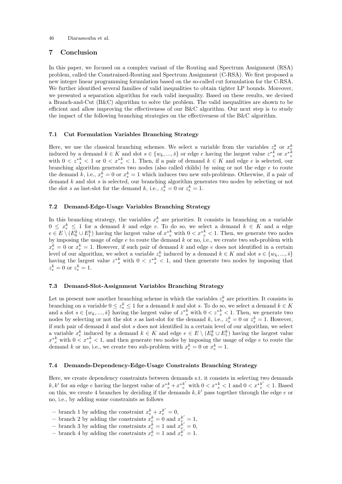### 7 Conclusion

In this paper, we focused on a complex variant of the Routing and Spectrum Assignment (RSA) problem, called the Constrained-Routing and Spectrum Assignment (C-RSA). We first proposed a new integer linear programming formulation based on the so-called cut formulation for the C-RSA. We further identified several families of valid inequalities to obtain tighter LP bounds. Moreover, we presented a separation algorithm for each valid inequality. Based on these results, we devised a Branch-and-Cut (B&C) algorithm to solve the problem. The valid inequalities are shown to be efficient and allow improving the effectiveness of our B&C algorithm. Our next step is to study the impact of the following branching strategies on the effectiveness of the B&C algorithm.

### 7.1 Cut Formulation Variables Branching Strategy

Here, we use the classical branching schemes. We select a variable from the variables  $z_s^k$  or  $x_{\epsilon}^k$  induced by a demand  $k \in K$  and slot  $s \in \{w_k, ..., \bar{s}\}$  or edge e having the largest value  $z_{s}^{*k}$  or  $x_{\epsilon}^{*k}$ with  $0 < z^*_{s} < 1$  or  $0 < x^*_{e} < 1$ . Then, if a pair of demand  $k \in K$  and edge e is selected, our branching algorithm generates two nodes (also called childs) by using or not the edge  $e$  to route the demand k, i.e.,  $x_e^k = 0$  or  $x_e^k = 1$  which induces two new sub-problems. Otherwise, if a pair of demand k and slot s is selected, our branching algorithm generates two nodes by selecting or not the slot s as last-slot for the demand k, i.e.,  $z_s^k = 0$  or  $z_s^k = 1$ .

### 7.2 Demand-Edge-Usage Variables Branching Strategy

In this branching strategy, the variables  $x_e^k$  are priorities. It consists in branching on a variable  $0 \leq x_e^k \leq 1$  for a demand k and edge e. To do so, we select a demand  $k \in K$  and a edge  $e \in E \setminus (E_0^k \cup E_1^k)$  having the largest value of  $x^*_{e}^k$  with  $0 < x^*_{e}^k < 1$ . Then, we generate two nodes by imposing the usage of edge  $e$  to route the demand  $k$  or no, i.e., we create two sub-problem with  $x_e^k = 0$  or  $x_e^k = 1$ . However, if such pair of demand k and edge e does not identified in a certain level of our algorithm, we select a variable  $z_s^k$  induced by a demand  $k \in K$  and slot  $s \in \{w_k, ..., \bar{s}\}$ having the largest value  $z_{s}^{*k}$  with  $0 < z_{s}^{*k} < 1$ , and then generate two nodes by imposing that  $z_s^k = 0 \text{ or } z_s^k = 1.$ 

### 7.3 Demand-Slot-Assignment Variables Branching Strategy

Let us present now another branching scheme in which the variables  $z_s^k$  are priorities. It consists in branching on a variable  $0 \leq z_s^k \leq 1$  for a demand k and slot s. To do so, we select a demand  $k \in K$ and a slot  $s \in \{w_k, ..., \overline{s}\}$  having the largest value of  $z^{*k}_{s}$  with  $0 < z^{*k}_{s} < 1$ . Then, we generate two nodes by selecting or not the slot s as last-slot for the demand k, i.e.,  $z_s^k = 0$  or  $z_s^k = 1$ . However, if such pair of demand  $k$  and slot  $s$  does not identified in a certain level of our algorithm, we select a variable  $x_e^k$  induced by a demand  $k \in K$  and edge  $e \in E \setminus (E_0^k \cup E_1^k)$  having the largest value  $x^*_{e}^k$  with  $0 \lt x^*_{e}^k \lt 1$ , and then generate two nodes by imposing the usage of edge e to route the demand k or no, i.e., we create two sub-problem with  $x_e^k = 0$  or  $x_e^k = 1$ .

### 7.4 Demands-Dependency-Edge-Usage Constraints Branching Strategy

Here, we create dependency constraints between demands s.t. it consists in selecting two demands  $k, k'$  for an edge e having the largest value of  $x^*{}_{e}^k + x^*{}_{e}^{k'}$  with  $0 < x^*{}_{e}^k < 1$  and  $0 < x^*{}_{e}^{k'} < 1$ . Based on this, we create 4 branches by deciding if the demands  $k, k'$  pass together through the edge e or no, i.e., by adding some constraints as follows

- branch 1 by adding the constraint  $x_e^k + x_e^{k'} = 0$ ,
- branch 2 by adding the constraints  $x_e^k = 0$  and  $x_e^{k'} = 1$ ,
- branch 3 by adding the constraints  $x_e^{\tilde{k}} = 1$  and  $x_e^{\tilde{k}'} = 0$ ,
- branch 4 by adding the constraints  $x_e^{\tilde{k}} = 1$  and  $x_e^{\tilde{k}'} = 1$ .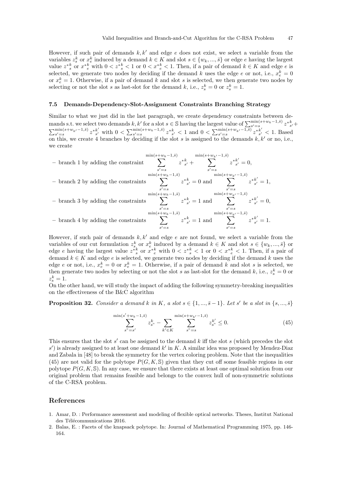However, if such pair of demands  $k, k'$  and edge e does not exist, we select a variable from the variables  $z_s^k$  or  $x_e^k$  induced by a demand  $k \in K$  and slot  $s \in \{w_k, ..., \overline{s}\}$  or edge e having the largest value  $z_{s}^{*k}$  or  $x_{e}^{*k}$  with  $0 < z^{*k}$   $< 1$  or  $0 < x_{e}^{*k}$   $< 1$ . Then, if a pair of demand  $k \in K$  and edge e is selected, we generate two nodes by deciding if the demand k uses the edge e or not, i.e.,  $x_e^k = 0$ or  $x_e^k = 1$ . Otherwise, if a pair of demand k and slot s is selected, we then generate two nodes by selecting or not the slot s as last-slot for the demand k, i.e.,  $z_s^k = 0$  or  $z_s^k = 1$ .

### 7.5 Demands-Dependency-Slot-Assignment Constraints Branching Strategy

Similar to what we just did in the last paragraph, we create dependency constraints between demands s.t. we select two demands  $k, k'$  for a slot  $s \in \mathbb{S}$  having the largest value of  $\sum_{s'=s}^{\min(s+w_k-1,\overline{s})} z^*_{s'}^k$  $\sum_{s'=s}^{\min(s+w_{k'}-1,\bar{s})} z^{*k'}_{s'}$  $s'$  with 0 <  $\sum_{s'=s}^{\min(s+w_k-1,\bar{s})} z^{*k}_{s'}$  < 1 and 0 <  $\sum_{s'=s}^{\min(s+w_{k'}-1,\bar{s})} z^{*k'}_{s'}$  $\frac{\kappa}{s'}$  < 1. Based on this, we create 4 branches by deciding if the slot s is assigned to the demands  $k, k'$  or no, i.e., we create



However, if such pair of demands  $k, k'$  and edge e are not found, we select a variable from the variables of our cut formulation  $z_s^k$  or  $x_e^k$  induced by a demand  $k \in K$  and slot  $s \in \{w_k, ..., \overline{s}\}$  or edge e having the largest value  $z_{s}^{*k}$  or  $x_{e}^{*k}$  with  $0 < z_{s}^{*k} < 1$  or  $0 < x_{e}^{*k} < 1$ . Then, if a pair of demand  $k \in K$  and edge e is selected, we generate two nodes by deciding if the demand k uses the edge e or not, i.e.,  $x_e^k = 0$  or  $x_e^k = 1$ . Otherwise, if a pair of demand k and slot s is selected, we then generate two nodes by selecting or not the slot s as last-slot for the demand k, i.e.,  $z_s^k = 0$  or  $z_s^k=1.$ 

On the other hand, we will study the impact of adding the following symmetry-breaking inequalities on the effectiveness of the B&C algorithm

**Proposition 32.** Consider a demand k in K, a slot  $s \in \{1, ..., \bar{s} - 1\}$ . Let s' be a slot in  $\{s, ..., \bar{s}\}$ 

$$
\sum_{s^{\nu}=s'}^{\min(s'+w_k-1,\bar{s})} z_s^k - \sum_{k' \in K} \sum_{s^{\nu}=s}^{\min(s+w_{k'}-1,\bar{s})} z_{s^{\nu}}^{k'} \le 0.
$$
\n(45)

This ensures that the slot  $s'$  can be assigned to the demand  $k$  iff the slot  $s$  (which precedes the slot  $s'$ ) is already assigned to at least one demand  $k'$  in K. A similar idea was proposed by Mendez-Diaz and Zabala in [48] to break the symmetry for the vertex coloring problem. Note that the inequalities (45) are not valid for the polytope  $P(G, K, S)$  given that they cut off some feasible regions in our polytope  $P(G, K, \mathbb{S})$ . In any case, we ensure that there exists at least one optimal solution from our original problem that remains feasible and belongs to the convex hull of non-symmetric solutions of the C-RSA problem.

### References

- 1. Amar, D. : Performance assessment and modeling of flexible optical networks. Theses, Institut National des Télécommunications 2016.
- 2. Balas, E. : Facets of the knapsack polytope. In: Journal of Mathematical Programming 1975, pp. 146- 164.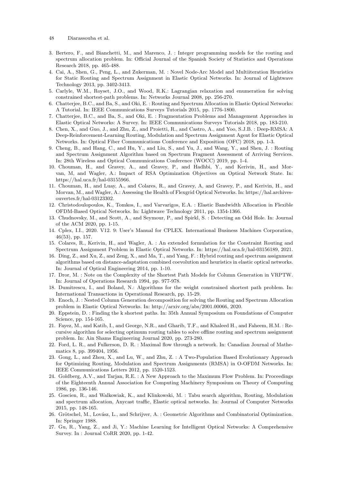- 48 Diarassouba et al.
- 3. Bertero, F., and Bianchetti, M., and Marenco, J. : Integer programming models for the routing and spectrum allocation problem. In: Official Journal of the Spanish Society of Statistics and Operations Research 2018, pp. 465-488.
- 4. Cai, A., Shen, G., Peng, L., and Zukerman, M. : Novel Node-Arc Model and Multiiteration Heuristics for Static Routing and Spectrum Assignment in Elastic Optical Networks. In: Journal of Lightwave Technology 2013, pp. 3402-3413.
- 5. Carlyle, W.M., Royset, J.O., and Wood, R.K.: Lagrangian relaxation and enumeration for solving constrained shortest-path problems. In: Networks Journal 2008, pp. 256-270.
- 6. Chatterjee, B.C., and Ba, S., and Oki, E. : Routing and Spectrum Allocation in Elastic Optical Networks: A Tutorial. In: IEEE Communications Surveys Tutorials 2015, pp. 1776-1800.
- 7. Chatterjee, B.C., and Ba, S., and Oki, E. : Fragmentation Problems and Management Approaches in Elastic Optical Networks: A Survey. In: IEEE Communications Surveys Tutorials 2018, pp. 183-210.
- 8. Chen, X., and Guo, J., and Zhu, Z., and Proietti, R., and Castro, A., and Yoo, S.J.B. : Deep-RMSA: A Deep-Reinforcement-Learning Routing, Modulation and Spectrum Assignment Agent for Elastic Optical Networks. In: Optical Fiber Communications Conference and Exposition (OFC) 2018, pp. 1-3.
- 9. Cheng, B., and Hang, C., and Hu, Y., and Liu, S., and Yu, J., and Wang, Y., and Shen, J. : Routing and Spectrum Assignment Algorithm based on Spectrum Fragment Assessment of Arriving Services. In: 28th Wireless and Optical Communications Conference (WOCC) 2019, pp. 1-4.
- 10. Chouman, H., and Gravey, A., and Gravey, P., and Hadhbi, Y., and Kerivin, H., and Morvan, M, and Wagler, A.: Impact of RSA Optimization Objectives on Optical Network State. In: https://hal.uca.fr/hal-03155966.
- 11. Chouman, H., and Luay, A., and Colares, R., and Gravey, A, and Gravey, P., and Kerivin, H., and Morvan, M., and Wagler, A.: Assessing the Health of Flexgrid Optical Networks. In: https://hal.archivesouvertes.fr/hal-03123302.
- 12. Christodoulopoulos, K., Tomkos, I., and Varvarigos, E.A. : Elastic Bandwidth Allocation in Flexible OFDM-Based Optical Networks. In: Lightwave Technology 2011, pp. 1354-1366.
- 13. Chudnovsky, M., and Scott, A., and Seymour, P., and Spirkl, S. : Detecting an Odd Hole. In: Journal of the ACM 2020, pp. 1-15.
- 14. Cplex, I.I., 2020. V12. 9: User's Manual for CPLEX. International Business Machines Corporation, 46(53), pp. 157.
- 15. Colares, R., Kerivin, H., and Wagler, A. : An extended formulation for the Constraint Routing and Spectrum Assignment Problem in Elastic Optical Networks. In: https://hal.uca.fr/hal-03156189, 2021.
- 16. Ding, Z., and Xu, Z., and Zeng, X., and Ma, T., and Yang, F. : Hybrid routing and spectrum assignment algorithms based on distance-adaptation combined coevolution and heuristics in elastic optical networks. In: Journal of Optical Engineering 2014, pp. 1-10.
- 17. Dror, M. : Note on the Complexity of the Shortest Path Models for Column Generation in VRPTW. In: Journal of Operations Research 1994, pp. 977-978.
- 18. Dumitrescu, I., and Boland, N.: Algorithms for the weight constrained shortest path problem. In: International Transactions in Operational Research, pp. 15-29.
- 19. Enoch, J. : Nested Column Generation decomposition for solving the Routing and Spectrum Allocation problem in Elastic Optical Networks. In: http://arxiv.org/abs/2001.00066, 2020.
- 20. Eppstein, D. : Finding the k shortest paths. In: 35th Annual Symposium on Foundations of Computer Science, pp. 154-165.
- 21. Fayez, M., and Katib, I., and George, N.R., and Gharib, T.F., and Khaleed H., and Faheem, H.M. : Recursive algorithm for selecting optimum routing tables to solve offline routing and spectrum assignment problem. In: Ain Shams Engineering Journal 2020, pp. 273-280.
- 22. Ford, L. R., and Fulkerson, D. R. : Maximal flow through a network. In: Canadian Journal of Mathematics 8, pp. 399404, 1956.
- 23. Gong, L., and Zhou, X., and Lu, W., and Zhu, Z. : A Two-Population Based Evolutionary Approach for Optimizing Routing, Modulation and Spectrum Assignments (RMSA) in O-OFDM Networks. In: IEEE Communications Letters 2012, pp. 1520-1523.
- 24. Goldberg, A.V., and Tarjan, R.E. : A New Approach to the Maximum Flow Problem. In: Proceedings of the Eighteenth Annual Association for Computing Machinery Symposium on Theory of Computing 1986, pp. 136-146.
- 25. Goscien, R., and Walkowiak, K., and Klinkowski, M. : Tabu search algorithm, Routing, Modulation and spectrum allocation, Anycast traffic, Elastic optical networks. In: Journal of Computer Networks 2015, pp. 148-165.
- 26. Grötschel, M., Lovász, L., and Schrijver, A. : Geometric Algorithms and Combinatorial Optimization. In: Springer 1988.
- 27. Gu, R., Yang, Z., and Ji, Y.: Machine Learning for Intelligent Optical Networks: A Comprehensive Survey. In : Journal CoRR 2020, pp. 1-42.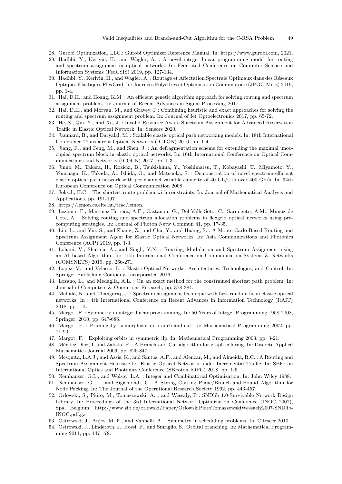- 28. Gurobi Optimization, LLC.: Gurobi Optimizer Reference Manual. In: https://www.gurobi.com, 2021.
- 29. Hadhbi, Y., Kerivin, H., and Wagler, A. : A novel integer linear programming model for routing and spectrum assignment in optical networks. In: Federated Conference on Computer Science and Information Systems (FedCSIS) 2019, pp. 127-134.
- 30. Hadhbi, Y., Kerivin, H., and Wagler, A. : Routage et Affectation Spectrale Optimaux dans des Réseaux Optiques Élastiques FlexGrid. In: Journées Polyédres et Optimisation Combinatoire (JPOC-Metz) 2019, pp. 1-4.
- 31. Hai, D.H., and Hoang, K.M. : An efficient genetic algorithm approach for solving routing and spectrum assignment problem. In: Journal of Recent Advances in Signal Processing 2017.
- 32. Hai, D.H., and Morvan, M., and Gravey, P.: Combining heuristic and exact approaches for solving the routing and spectrum assignment problem. In: Journal of Iet Optoelectronics 2017, pp. 65-72.
- 33. He, S., Qiu, Y., and Xu, J. : Invalid-Resource-Aware Spectrum Assignment for Advanced-Reservation Traffic in Elastic Optical Network. In: Sensors 2020.
- 34. Jaumard, B., and Daryalal, M. : Scalable elastic optical path networking models. In: 18th International Conference Transparent Optical Networks (ICTON) 2016, pp. 1-4.
- 35. Jiang, R., and Feng, M., and Shen, J. : An defragmentation scheme for extending the maximal unoccupied spectrum block in elastic optical networks. In: 16th International Conference on Optical Communications and Networks (ICOCN) 2017, pp. 1-3.
- 36. Jinno, M., Takara, H., Kozicki, B., Tsukishima, Y., Yoshimatsu, T., Kobayashi, T., Miyamoto, Y., Yonenaga, K., Takada, A., Ishida, O., and Matsuoka, S. : Demonstration of novel spectrum-efficient elastic optical path network with per-channel variable capacity of 40 Gb/s to over 400 Gb/s. In: 34th European Conference on Optical Communication 2008.
- 37. Joksch, H.C. : The shortest route problem with constraints. In: Journal of Mathematical Analysis and Applications, pp. 191-197.
- 38. https://lemon.cs.elte.hu/trac/lemon.
- 39. Lezama, F., Martinez-Herrera, A.F., Castanon, G., Del-Valle-Soto, C., Sarmiento, A.M., Munoz de Cote, A. : Solving routing and spectrum allocation problems in flexgrid optical networks using precomputing strategies. In: Journal of Photon Netw Commun 41, pp. 17-35.
- 40. Liu, L., and Yin, S., and Zhang, Z., and Chu, Y., and Huang, S. : A Monte Carlo Based Routing and Spectrum Assignment Agent for Elastic Optical Networks. In: Asia Communications and Photonics Conference (ACP) 2019, pp. 1-3.
- 41. Lohani, V., Sharma, A., and Singh, Y.N. : Routing, Modulation and Spectrum Assignment using an AI based Algorithm. In: 11th International Conference on Communication Systems & Networks (COMSNETS) 2019, pp. 266-271.
- 42. Lopez, V., and Velasco, L. : Elastic Optical Networks: Architectures, Technologies, and Control. In: Springer Publishing Company, Incorporated 2016.
- 43. Lozano, L., and Medaglia, A.L. : On an exact method for the constrained shortest path problem. In: Journal of Computers & Operations Research, pp. 378-384.
- 44. Mahala, N., and Thangaraj, J. : Spectrum assignment technique with first-random fit in elastic optical networks. In : 4th International Conference on Recent Advances in Information Technology (RAIT) 2018, pp. 1-4.
- 45. Margot, F. : Symmetry in integer linear programming. In: 50 Years of Integer Programming 1958-2008, Springer, 2010, pp. 647-686.
- 46. Margot, F. : Pruning by isomorphism in branch-and-cut. In: Mathematical Programming 2002, pp. 71-90.
- 47. Margot, F. : Exploiting orbits in symmetric ilp. In: Mathematical Programming 2003, pp. 3-21.
- 48. Méndez-Díaz, I. and Zabala, P. : A Branch-and-Cut algorithm for graph coloring. In: Discrete Applied Mathematics Journal 2006, pp. 826-847.
- 49. Mesquita, L.A.J., and Assis, K., and Santos, A.F., and Alencar, M., and Almeida, R.C. : A Routing and Spectrum Assignment Heuristic for Elastic Optical Networks under Incremental Traffic. In: SBFoton International Optics and Photonics Conference (SBFoton IOPC) 2018, pp. 1-5.
- 50. Nemhauser, G.L., and Wolsey, L.A. : Integer and Combinatorial Optimization. In: John Wiley 1988.
- 51. Nemhauser, G. L., and Sigismondi, G.: A Strong Cutting Plane/Branch-and-Bound Algorithm for Node Packing. In: The Journal of the Operational Research Society 1992, pp. 443-457.
- 52. Orlowski, S., Pióro, M., Tomaszewski, A., and Wessäly, R.: SNDlib 1.0-Survivable Network Design Library. In: Proceedings of the 3rd International Network Optimization Conference (INOC 2007), Spa, Belgium, http://www.zib.de/orlowski/Paper/OrlowskiPioroTomaszewskiWessaely2007-SNDlib-INOC.pdf.gz.
- 53. Ostrowski, J., Anjos, M. F., and Vannelli, A. : Symmetry in scheduling problems. In: Citeseer 2010.
- 54. Ostrowski, J., Linderoth, J., Rossi, F., and Smriglio, S.: Orbital branching. In: Mathematical Programming 2011, pp. 147-178.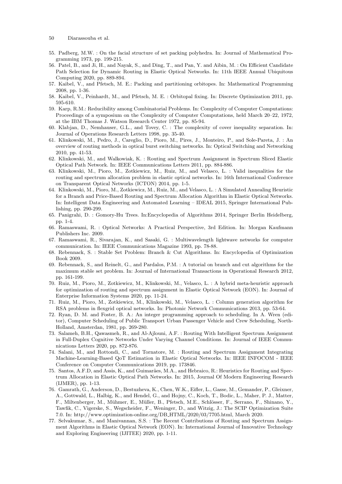- 50 Diarassouba et al.
- 55. Padberg, M.W. : On the facial structure of set packing polyhedra. In: Journal of Mathematical Programming 1973, pp. 199-215.
- 56. Patel, B., and Ji, H., and Nayak, S., and Ding, T., and Pan, Y. and Aibin, M. : On Efficient Candidate Path Selection for Dynamic Routing in Elastic Optical Networks. In: 11th IEEE Annual Ubiquitous Computing 2020, pp. 889-894.
- 57. Kaibel, V., and Pfetsch, M. E.: Packing and partitioning orbitopes. In: Mathematical Programming 2008, pp. 1-36.
- 58. Kaibel, V., Peinhardt, M., and Pfetsch, M. E. : Orbitopal fixing. In: Discrete Optimization 2011, pp. 595-610.
- 59. Karp, R.M.: Reducibility among Combinatorial Problems. In: Complexity of Computer Computations: Proceedings of a symposium on the Complexity of Computer Computations, held March 20–22, 1972, at the IBM Thomas J. Watson Research Center 1972, pp. 85-94.
- 60. Klabjan, D., Nemhauser, G.L., and Tovey, C. : The complexity of cover inequality separation. In: Journal of Operations Research Letters 1998, pp. 35-40.
- 61. Klinkowski, M., Pedro, J., Careglio, D., Pioro, M., Pires, J., Monteiro, P., and Sole-Pareta, J. : An overview of routing methods in optical burst switching networks. In: Optical Switching and Networking 2010, pp. 41-53.
- 62. Klinkowski, M., and Walkowiak, K. : Routing and Spectrum Assignment in Spectrum Sliced Elastic Optical Path Network. In: IEEE Communications Letters 2011, pp. 884-886.
- 63. Klinkowski, M., Pioro, M., Zotkiewicz, M., Ruiz, M., and Velasco, L. : Valid inequalities for the routing and spectrum allocation problem in elastic optical networks. In: 16th International Conference on Transparent Optical Networks (ICTON) 2014, pp. 1-5.
- 64. Klinkowski, M., Pioro, M., Zotkiewicz, M., Ruiz, M., and Velasco, L. : A Simulated Annealing Heuristic for a Branch and Price-Based Routing and Spectrum Allocation Algorithm in Elastic Optical Networks. In: Intelligent Data Engineering and Automated Learning – IDEAL 2015, Springer International Publishing, pp. 290-299.
- 65. Panigrahi, D. : Gomory-Hu Trees. In:Encyclopedia of Algorithms 2014, Springer Berlin Heidelberg, pp. 1-4.
- 66. Ramaswami, R. : Optical Networks: A Practical Perspective, 3rd Edition. In: Morgan Kaufmann Publishers Inc. 2009.
- 67. Ramaswami, R., Sivarajan, K., and Sasaki, G. : Multiwavelength lightwave networks for computer communication. In: IEEE Communications Magazine 1993, pp. 78-88.
- 68. Rebennack, S. : Stable Set Problem: Branch & Cut Algorithms. In: Encyclopedia of Optimization Book 2009.
- 69. Rebennack, S., and Reinelt, G., and Pardalos, P.M. : A tutorial on branch and cut algorithms for the maximum stable set problem. In: Journal of International Transactions in Operational Research 2012, pp. 161-199.
- 70. Ruiz, M., Pioro, M., Zotkiewicz, M., Klinkowski, M., Velasco, L. : A hybrid meta-heuristic approach for optimization of routing and spectrum assignment in Elastic Optical Network (EON). In: Journal of Enterprise Information Systems 2020, pp. 11-24.
- 71. Ruiz, M., Pioro, M., Zotkiewicz, M., Klinkowski, M., Velasco, L. : Column generation algorithm for RSA problems in flexgrid optical networks. In: Photonic Network Communications 2013, pp. 53-64.
- 72. Ryan, D. M. and Foster, B. A.: An integer programming approach to scheduling. In A. Wren (editor), Computer Scheduling of Public Transport Urban Passenger Vehicle and Crew Scheduling, North-Holland, Amsterdan, 1981, pp. 269-280.
- 73. Salameh, B.H., Qawasmeh, R., and Al-Ajlouni, A.F. : Routing With Intelligent Spectrum Assignment in Full-Duplex Cognitive Networks Under Varying Channel Conditions. In: Journal of IEEE Communications Letters 2020, pp. 872-876.
- 74. Salani, M., and Rottondi, C., and Tornatore, M. : Routing and Spectrum Assignment Integrating Machine-Learning-Based QoT Estimation in Elastic Optical Networks. In: IEEE INFOCOM - IEEE Conference on Computer Communications 2019, pp. 173846.
- 75. Santos, A.F.D, and Assis, K., and Guimarães, M.A., and Hebraico, R.: Heuristics for Routing and Spectrum Allocation in Elastic Optical Path Networks. In: 2015, Journal Of Modern Engineering Research (IJMER), pp. 1-13.
- 76. Gamrath, G., Anderson, D., Bestuzheva, K., Chen, W.K., Eifler, L., Gasse, M., Gemander, P., Gleixner, A., Gottwald, L., Halbig, K., and Hendel, G., and Hojny, C., Koch, T., Bodic, L., Maher, P. J., Matter, F., Miltenberger, M., Mühmer, E., Müller, B., Pfetsch, M.E., Schlösser, F., Serrano, F., Shinano, Y., Tawfik, C., Vigerske, S., Wegscheider, F., Weninger, D., and Witzig, J.: The SCIP Optimization Suite 7.0. In: http://www.optimization-online.org/DB HTML/2020/03/7705.html, March 2020.
- 77. Selvakumar, S., and Manivannan, S.S. : The Recent Contributions of Routing and Spectrum Assignment Algorithms in Elastic Optical Network (EON). In: International Journal of Innovative Technology and Exploring Engineering (IJITEE) 2020, pp. 1-11.